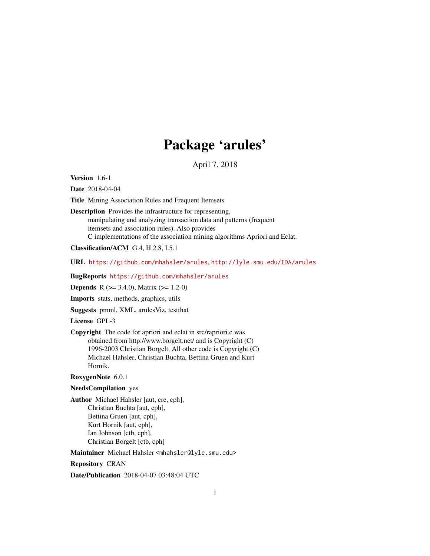# Package 'arules'

April 7, 2018

<span id="page-0-0"></span>Version 1.6-1

Date 2018-04-04

Title Mining Association Rules and Frequent Itemsets

Description Provides the infrastructure for representing, manipulating and analyzing transaction data and patterns (frequent itemsets and association rules). Also provides C implementations of the association mining algorithms Apriori and Eclat.

Classification/ACM G.4, H.2.8, I.5.1

URL <https://github.com/mhahsler/arules>, <http://lyle.smu.edu/IDA/arules>

BugReports <https://github.com/mhahsler/arules>

**Depends** R  $(>= 3.4.0)$ , Matrix  $(>= 1.2-0)$ 

Imports stats, methods, graphics, utils

Suggests pmml, XML, arulesViz, testthat

License GPL-3

Copyright The code for apriori and eclat in src/rapriori.c was obtained from http://www.borgelt.net/ and is Copyright (C) 1996-2003 Christian Borgelt. All other code is Copyright (C) Michael Hahsler, Christian Buchta, Bettina Gruen and Kurt Hornik.

RoxygenNote 6.0.1

# NeedsCompilation yes

Author Michael Hahsler [aut, cre, cph], Christian Buchta [aut, cph], Bettina Gruen [aut, cph], Kurt Hornik [aut, cph], Ian Johnson [ctb, cph], Christian Borgelt [ctb, cph]

Maintainer Michael Hahsler <mhahsler@lyle.smu.edu>

Repository CRAN

Date/Publication 2018-04-07 03:48:04 UTC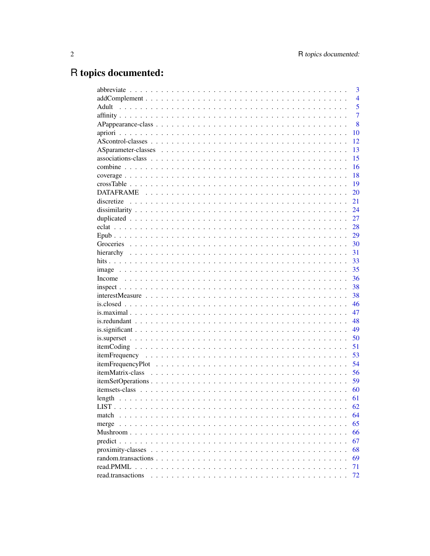# R topics documented:

|                   | 3              |
|-------------------|----------------|
|                   | $\overline{4}$ |
| Adult             | 5              |
|                   | $\overline{7}$ |
|                   | 8              |
|                   | 10             |
|                   | 12             |
|                   | 13             |
|                   | 15             |
|                   | 16             |
|                   | 18             |
|                   | 19             |
|                   | 20             |
|                   | 21             |
|                   | 24             |
|                   | 27             |
|                   | 28             |
|                   | 29             |
|                   | 30             |
|                   | 31             |
|                   | 33             |
|                   | 35             |
|                   | 36             |
|                   | 38             |
|                   | 38             |
|                   | 46             |
|                   | 47             |
|                   | 48             |
|                   | 49             |
|                   | 50             |
|                   | 51             |
|                   | 53             |
|                   | 54             |
|                   | 56             |
|                   | 59             |
|                   | 60             |
|                   | 61             |
|                   | 62             |
| match             | 64             |
|                   | 65             |
|                   | 66             |
|                   | 67             |
|                   | 68             |
|                   | 69             |
|                   | 71             |
| read.transactions | 72             |
|                   |                |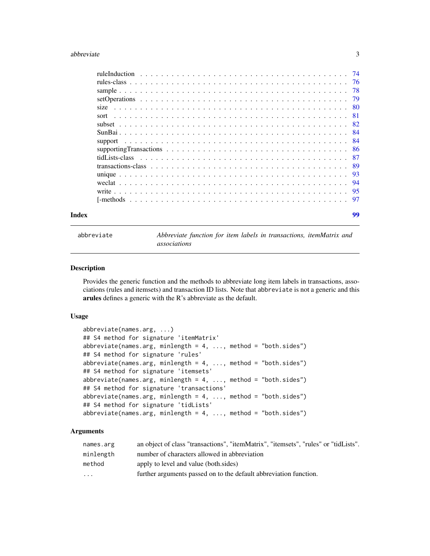#### <span id="page-2-0"></span>abbreviate 3

| Index |      | 99 |
|-------|------|----|
|       |      |    |
|       |      |    |
|       |      |    |
|       |      |    |
|       |      |    |
|       |      |    |
|       |      |    |
|       |      |    |
|       |      |    |
|       |      |    |
|       | sort |    |
|       |      |    |
|       |      |    |
|       |      |    |
|       |      |    |
|       |      |    |

<span id="page-2-1"></span>abbreviate *Abbreviate function for item labels in transactions, itemMatrix and associations*

# Description

Provides the generic function and the methods to abbreviate long item labels in transactions, associations (rules and itemsets) and transaction ID lists. Note that abbreviate is not a generic and this arules defines a generic with the R's abbreviate as the default.

# Usage

```
abbreviate(names.arg, ...)
## S4 method for signature 'itemMatrix'
abbreviate(names.argv, minlength = 4, ..., method = "both.sides")## S4 method for signature 'rules'
abbreviate(names.argv, minlength = 4, ..., method = "both.sides")## S4 method for signature 'itemsets'
abbreviate(names.arg, minlength = 4, \ldots, method = "both.sides")
## S4 method for signature 'transactions'
abbreviate(names.argv, minlength = 4, ..., method = "both.sides")## S4 method for signature 'tidLists'
abbreviate(names.argv, minlength = 4, ..., method = "both.sides")
```
# Arguments

| names.arg | an object of class "transactions", "itemMatrix", "itemsets", "rules" or "tidLists". |
|-----------|-------------------------------------------------------------------------------------|
| minlength | number of characters allowed in abbreviation                                        |
| method    | apply to level and value (both.sides)                                               |
| $\cdot$   | further arguments passed on to the default abbreviation function.                   |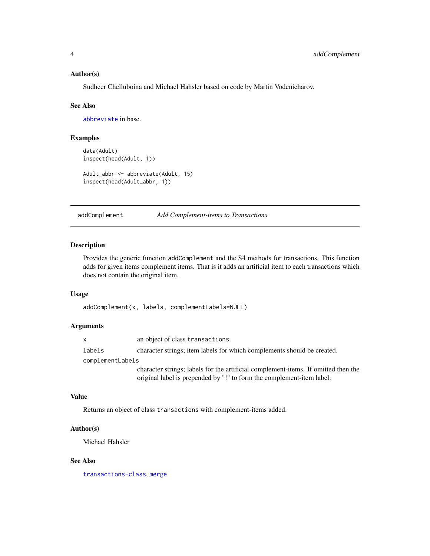# <span id="page-3-0"></span>Author(s)

Sudheer Chelluboina and Michael Hahsler based on code by Martin Vodenicharov.

#### See Also

[abbreviate](#page-2-1) in base.

# Examples

```
data(Adult)
inspect(head(Adult, 1))
```

```
Adult_abbr <- abbreviate(Adult, 15)
inspect(head(Adult_abbr, 1))
```
addComplement *Add Complement-items to Transactions*

# Description

Provides the generic function addComplement and the S4 methods for transactions. This function adds for given items complement items. That is it adds an artificial item to each transactions which does not contain the original item.

### Usage

addComplement(x, labels, complementLabels=NULL)

#### Arguments

x an object of class transactions.

labels character strings; item labels for which complements should be created.

complementLabels

character strings; labels for the artificial complement-items. If omitted then the original label is prepended by "!" to form the complement-item label.

#### Value

Returns an object of class transactions with complement-items added.

# Author(s)

Michael Hahsler

# See Also

[transactions-class](#page-88-1), [merge](#page-64-1)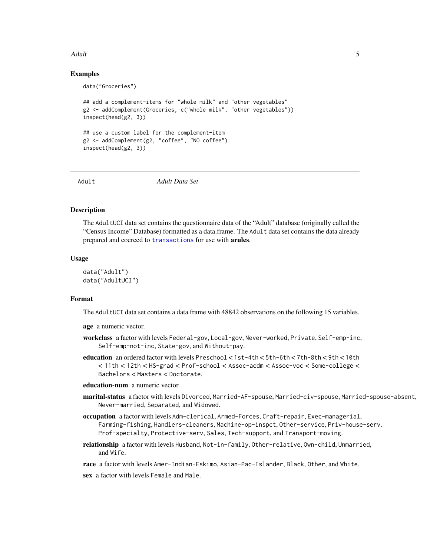#### <span id="page-4-0"></span>Adult 5

# Examples

```
data("Groceries")
## add a complement-items for "whole milk" and "other vegetables"
g2 <- addComplement(Groceries, c("whole milk", "other vegetables"))
inspect(head(g2, 3))
## use a custom label for the complement-item
g2 <- addComplement(g2, "coffee", "NO coffee")
inspect(head(g2, 3))
```
Adult *Adult Data Set*

#### Description

The AdultUCI data set contains the questionnaire data of the "Adult" database (originally called the "Census Income" Database) formatted as a data.frame. The Adult data set contains the data already prepared and coerced to [transactions](#page-88-1) for use with arules.

#### Usage

```
data("Adult")
data("AdultUCI")
```
#### Format

The AdultUCI data set contains a data frame with 48842 observations on the following 15 variables.

age a numeric vector.

- workclass a factor with levels Federal-gov, Local-gov, Never-worked, Private, Self-emp-inc, Self-emp-not-inc, State-gov, and Without-pay.
- education an ordered factor with levels Preschool < 1st-4th < 5th-6th < 7th-8th < 9th < 10th < 11th < 12th < HS-grad < Prof-school < Assoc-acdm < Assoc-voc < Some-college < Bachelors < Masters < Doctorate.

education-num a numeric vector.

- marital-status a factor with levels Divorced, Married-AF-spouse, Married-civ-spouse, Married-spouse-absent, Never-married, Separated, and Widowed.
- occupation a factor with levels Adm-clerical, Armed-Forces, Craft-repair, Exec-managerial, Farming-fishing, Handlers-cleaners, Machine-op-inspct, Other-service, Priv-house-serv, Prof-specialty, Protective-serv, Sales, Tech-support, and Transport-moving.
- relationship a factor with levels Husband, Not-in-family, Other-relative, Own-child, Unmarried, and Wife.

race a factor with levels Amer-Indian-Eskimo, Asian-Pac-Islander, Black, Other, and White.

sex a factor with levels Female and Male.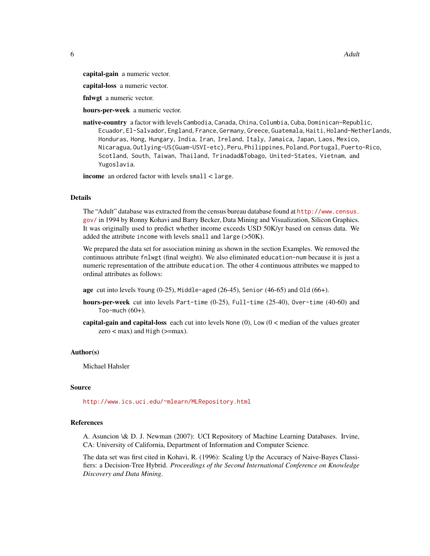6 and the contract of the contract of the contract of the contract of the contract of the contract of the contract of the contract of the contract of the contract of the contract of the contract of the contract of the cont

capital-gain a numeric vector.

capital-loss a numeric vector.

fnlwgt a numeric vector.

hours-per-week a numeric vector.

native-country a factor with levels Cambodia, Canada, China, Columbia, Cuba, Dominican-Republic, Ecuador, El-Salvador, England, France, Germany, Greece, Guatemala, Haiti, Holand-Netherlands, Honduras, Hong, Hungary, India, Iran, Ireland, Italy, Jamaica, Japan, Laos, Mexico, Nicaragua, Outlying-US(Guam-USVI-etc), Peru, Philippines, Poland, Portugal, Puerto-Rico, Scotland, South, Taiwan, Thailand, Trinadad&Tobago, United-States, Vietnam, and Yugoslavia.

income an ordered factor with levels small < large.

# Details

The "Adult" database was extracted from the census bureau database found at [http://www.census.](http://www.census.gov/) [gov/](http://www.census.gov/) in 1994 by Ronny Kohavi and Barry Becker, Data Mining and Visualization, Silicon Graphics. It was originally used to predict whether income exceeds USD 50K/yr based on census data. We added the attribute income with levels small and large (>50K).

We prepared the data set for association mining as shown in the section Examples. We removed the continuous attribute fnlwgt (final weight). We also eliminated education-num because it is just a numeric representation of the attribute education. The other 4 continuous attributes we mapped to ordinal attributes as follows:

age cut into levels Young  $(0-25)$ , Middle-aged  $(26-45)$ , Senior  $(46-65)$  and Old  $(66+)$ .

- hours-per-week cut into levels Part-time (0-25), Full-time (25-40), Over-time (40-60) and Too-much  $(60+)$ .
- capital-gain and capital-loss each cut into levels None  $(0)$ , Low  $(0 <$  median of the values greater zero  $<$  max) and High ( $>=$ max).

# Author(s)

Michael Hahsler

#### Source

<http://www.ics.uci.edu/~mlearn/MLRepository.html>

#### References

A. Asuncion \& D. J. Newman (2007): UCI Repository of Machine Learning Databases. Irvine, CA: University of California, Department of Information and Computer Science.

The data set was first cited in Kohavi, R. (1996): Scaling Up the Accuracy of Naive-Bayes Classifiers: a Decision-Tree Hybrid. *Proceedings of the Second International Conference on Knowledge Discovery and Data Mining*.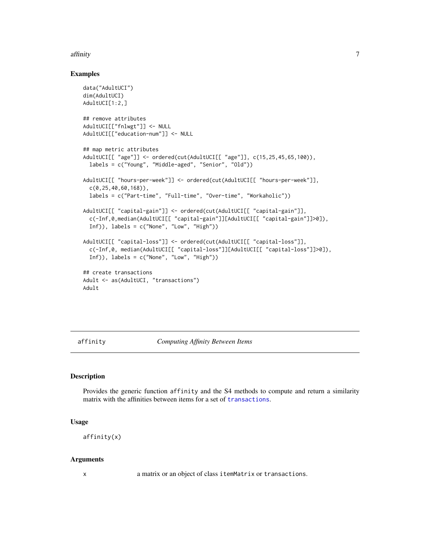#### <span id="page-6-0"></span>affinity that the contract of the contract of the contract of the contract of the contract of the contract of the contract of the contract of the contract of the contract of the contract of the contract of the contract of

# Examples

```
data("AdultUCI")
dim(AdultUCI)
AdultUCI[1:2,]
## remove attributes
AdultUCI[["fnlwgt"]] <- NULL
AdultUCI[["education-num"]] <- NULL
## map metric attributes
AdultUCI[[ "age"]] <- ordered(cut(AdultUCI[[ "age"]], c(15,25,45,65,100)),
  labels = c("Young", "Middle-aged", "Senior", "Old"))
AdultUCI[[ "hours-per-week"]] <- ordered(cut(AdultUCI[[ "hours-per-week"]],
  c(0,25,40,60,168)),
  labels = c("Part-time", "Full-time", "Over-time", "Workaholic"))
AdultUCI[[ "capital-gain"]] <- ordered(cut(AdultUCI[[ "capital-gain"]],
  c(-Inf,0,median(AdultUCI[[ "capital-gain"]][AdultUCI[[ "capital-gain"]]>0]),
  Inf)), labels = c("None", "Low", "High"))
AdultUCI[[ "capital-loss"]] <- ordered(cut(AdultUCI[[ "capital-loss"]],
  c(-Inf,0, median(AdultUCI[[ "capital-loss"]][AdultUCI[[ "capital-loss"]]>0]),
  Inf)), labels = c("None", "Low", "High")## create transactions
Adult <- as(AdultUCI, "transactions")
Adult
```
<span id="page-6-1"></span>affinity *Computing Affinity Between Items*

# Description

Provides the generic function affinity and the S4 methods to compute and return a similarity matrix with the affinities between items for a set of [transactions](#page-88-1).

#### Usage

```
affinity(x)
```
# Arguments

x a matrix or an object of class itemMatrix or transactions.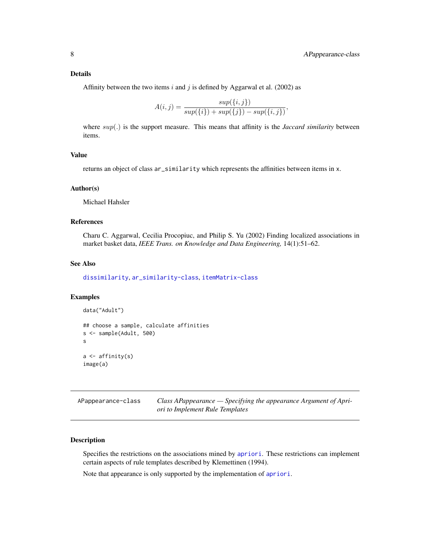# <span id="page-7-0"></span>Details

Affinity between the two items i and j is defined by Aggarwal et al. (2002) as

$$
A(i,j) = \frac{sup(\{i,j\})}{sup(\{i\}) + sup(\{j\}) - sup(\{i,j\})},
$$

where sup(.) is the support measure. This means that affinity is the *Jaccard similarity* between items.

# Value

returns an object of class ar\_similarity which represents the affinities between items in x.

#### Author(s)

Michael Hahsler

#### References

Charu C. Aggarwal, Cecilia Procopiuc, and Philip S. Yu (2002) Finding localized associations in market basket data, *IEEE Trans. on Knowledge and Data Engineering,* 14(1):51–62.

# See Also

[dissimilarity](#page-23-1), [ar\\_similarity-class](#page-67-1), [itemMatrix-class](#page-55-1)

# Examples

```
data("Adult")
## choose a sample, calculate affinities
s <- sample(Adult, 500)
s
a \leftarrow affinity(s)
image(a)
```
<span id="page-7-1"></span>APappearance-class *Class APappearance — Specifying the appearance Argument of Apriori to Implement Rule Templates*

# Description

Specifies the restrictions on the associations mined by [apriori](#page-9-1). These restrictions can implement certain aspects of rule templates described by Klemettinen (1994).

Note that appearance is only supported by the implementation of [apriori](#page-9-1).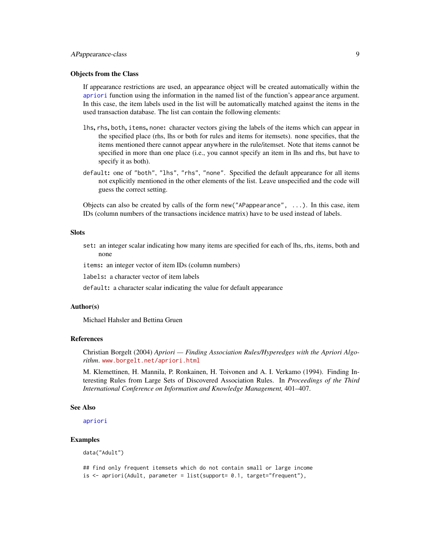# APappearance-class 9

# Objects from the Class

If appearance restrictions are used, an appearance object will be created automatically within the [apriori](#page-9-1) function using the information in the named list of the function's appearance argument. In this case, the item labels used in the list will be automatically matched against the items in the used transaction database. The list can contain the following elements:

- lhs, rhs, both, items, none: character vectors giving the labels of the items which can appear in the specified place (rhs, lhs or both for rules and items for itemsets). none specifies, that the items mentioned there cannot appear anywhere in the rule/itemset. Note that items cannot be specified in more than one place (i.e., you cannot specify an item in lhs and rhs, but have to specify it as both).
- default: one of "both", "lhs", "rhs", "none". Specified the default appearance for all items not explicitly mentioned in the other elements of the list. Leave unspecified and the code will guess the correct setting.

Objects can also be created by calls of the form new ("APappearance",  $\dots$ ). In this case, item IDs (column numbers of the transactions incidence matrix) have to be used instead of labels.

#### **Slots**

set: an integer scalar indicating how many items are specified for each of lhs, rhs, items, both and none

items: an integer vector of item IDs (column numbers)

labels: a character vector of item labels

default: a character scalar indicating the value for default appearance

#### Author(s)

Michael Hahsler and Bettina Gruen

# References

Christian Borgelt (2004) *Apriori — Finding Association Rules/Hyperedges with the Apriori Algorithm*. <www.borgelt.net/apriori.html>

M. Klemettinen, H. Mannila, P. Ronkainen, H. Toivonen and A. I. Verkamo (1994). Finding Interesting Rules from Large Sets of Discovered Association Rules. In *Proceedings of the Third International Conference on Information and Knowledge Management,* 401–407.

#### See Also

[apriori](#page-9-1)

# Examples

data("Adult")

```
## find only frequent itemsets which do not contain small or large income
is <- apriori(Adult, parameter = list(support= 0.1, target="frequent"),
```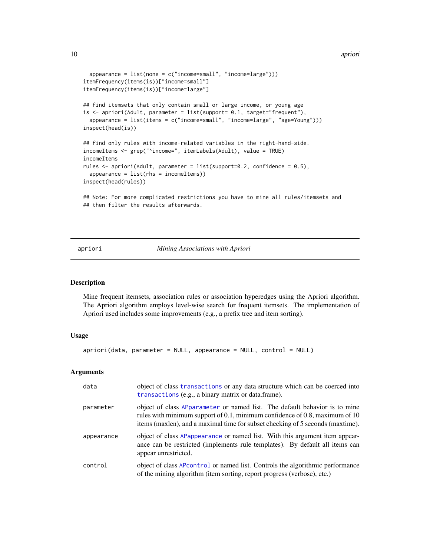```
appearance = list(name = c("income=small", "income=large"))itemFrequency(items(is))["income=small"]
itemFrequency(items(is))["income=large"]
## find itemsets that only contain small or large income, or young age
is <- apriori(Adult, parameter = list(support= 0.1, target="frequent"),
 appearance = list(items = c("income=small", "income=large", "age=Young")))
inspect(head(is))
## find only rules with income-related variables in the right-hand-side.
incomeItems <- grep("^income=", itemLabels(Adult), value = TRUE)
incomeItems
rules <- apriori(Adult, parameter = list(support=0.2, confidence = 0.5),
 appearance = list(rhs = incomeltems))inspect(head(rules))
## Note: For more complicated restrictions you have to mine all rules/itemsets and
## then filter the results afterwards.
```
#### <span id="page-9-1"></span>apriori *Mining Associations with Apriori*

#### Description

Mine frequent itemsets, association rules or association hyperedges using the Apriori algorithm. The Apriori algorithm employs level-wise search for frequent itemsets. The implementation of Apriori used includes some improvements (e.g., a prefix tree and item sorting).

#### Usage

apriori(data, parameter = NULL, appearance = NULL, control = NULL)

#### Arguments

| data       | object of class transactions or any data structure which can be coerced into<br>transactions (e.g., a binary matrix or data.frame).                                                                                                         |  |
|------------|---------------------------------------------------------------------------------------------------------------------------------------------------------------------------------------------------------------------------------------------|--|
| parameter  | object of class APparameter or named list. The default behavior is to mine<br>rules with minimum support of 0.1, minimum confidence of 0.8, maximum of 10<br>items (maxlen), and a maximal time for subset checking of 5 seconds (maxtime). |  |
| appearance | object of class APappearance or named list. With this argument item appear-<br>ance can be restricted (implements rule templates). By default all items can<br>appear unrestricted.                                                         |  |
| control    | object of class AP control or named list. Controls the algorithmic performance<br>of the mining algorithm (item sorting, report progress (verbose), etc.)                                                                                   |  |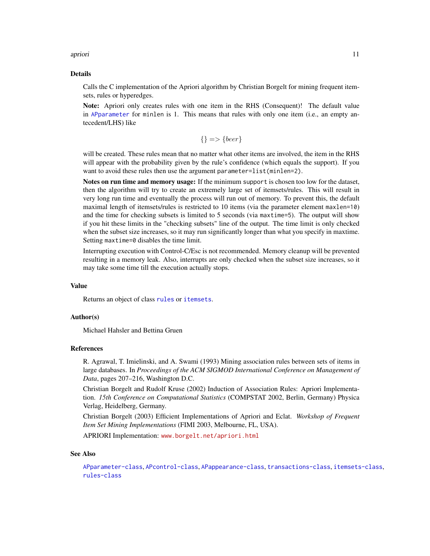#### apriori de la contrada de la contrada de la contrada de la contrada de la contrada de la contrada de la contra

#### Details

Calls the C implementation of the Apriori algorithm by Christian Borgelt for mining frequent itemsets, rules or hyperedges.

Note: Apriori only creates rules with one item in the RHS (Consequent)! The default value in [APparameter](#page-12-1) for minlen is 1. This means that rules with only one item (i.e., an empty antecedent/LHS) like

$$
\{\} => \{ beer\}
$$

will be created. These rules mean that no matter what other items are involved, the item in the RHS will appear with the probability given by the rule's confidence (which equals the support). If you want to avoid these rules then use the argument parameter=list(minlen=2).

Notes on run time and memory usage: If the minimum support is chosen too low for the dataset, then the algorithm will try to create an extremely large set of itemsets/rules. This will result in very long run time and eventually the process will run out of memory. To prevent this, the default maximal length of itemsets/rules is restricted to 10 items (via the parameter element maxlen=10) and the time for checking subsets is limited to 5 seconds (via maxtime=5). The output will show if you hit these limits in the "checking subsets" line of the output. The time limit is only checked when the subset size increases, so it may run significantly longer than what you specify in maxtime. Setting maxtime=0 disables the time limit.

Interrupting execution with Control-C/Esc is not recommended. Memory cleanup will be prevented resulting in a memory leak. Also, interrupts are only checked when the subset size increases, so it may take some time till the execution actually stops.

# Value

Returns an object of class [rules](#page-75-1) or [itemsets](#page-59-1).

# Author(s)

Michael Hahsler and Bettina Gruen

#### References

R. Agrawal, T. Imielinski, and A. Swami (1993) Mining association rules between sets of items in large databases. In *Proceedings of the ACM SIGMOD International Conference on Management of Data*, pages 207–216, Washington D.C.

Christian Borgelt and Rudolf Kruse (2002) Induction of Association Rules: Apriori Implementation. *15th Conference on Computational Statistics* (COMPSTAT 2002, Berlin, Germany) Physica Verlag, Heidelberg, Germany.

Christian Borgelt (2003) Efficient Implementations of Apriori and Eclat. *Workshop of Frequent Item Set Mining Implementations* (FIMI 2003, Melbourne, FL, USA).

APRIORI Implementation: <www.borgelt.net/apriori.html>

#### See Also

[APparameter-class](#page-12-1), [APcontrol-class](#page-11-1), [APappearance-class](#page-7-1), [transactions-class](#page-88-1), [itemsets-class](#page-59-1), [rules-class](#page-75-1)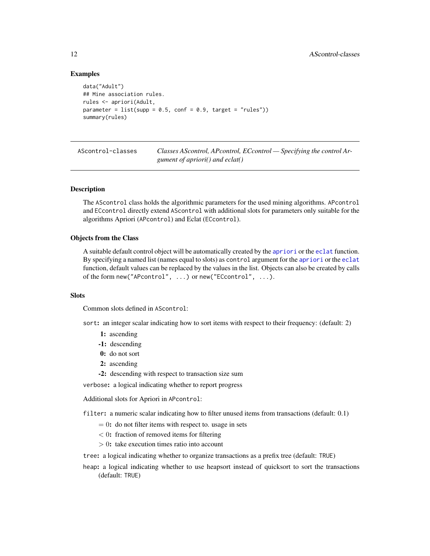# Examples

```
data("Adult")
## Mine association rules.
rules <- apriori(Adult,
parameter = list(supp = 0.5, conf = 0.9, target = "rules"))summary(rules)
```
AScontrol-classes *Classes AScontrol, APcontrol, ECcontrol — Specifying the control Argument of apriori() and eclat()*

# <span id="page-11-1"></span>Description

The AScontrol class holds the algorithmic parameters for the used mining algorithms. APcontrol and ECcontrol directly extend AScontrol with additional slots for parameters only suitable for the algorithms Apriori (APcontrol) and Eclat (ECcontrol).

# Objects from the Class

A suitable default control object will be automatically created by the [apriori](#page-9-1) or the [eclat](#page-27-1) function. By specifying a named list (names equal to slots) as control argument for the [apriori](#page-9-1) or the [eclat](#page-27-1) function, default values can be replaced by the values in the list. Objects can also be created by calls of the form new("APcontrol", ...) or new("ECcontrol", ...).

# Slots

Common slots defined in AScontrol:

sort: an integer scalar indicating how to sort items with respect to their frequency: (default: 2)

- 1: ascending
- -1: descending
- 0: do not sort
- 2: ascending
- -2: descending with respect to transaction size sum

verbose: a logical indicating whether to report progress

Additional slots for Apriori in APcontrol:

filter: a numeric scalar indicating how to filter unused items from transactions (default: 0.1)

- $= 0$ : do not filter items with respect to. usage in sets
- $< 0$ : fraction of removed items for filtering
- > 0: take execution times ratio into account

tree: a logical indicating whether to organize transactions as a prefix tree (default: TRUE)

heap: a logical indicating whether to use heapsort instead of quicksort to sort the transactions (default: TRUE)

<span id="page-11-0"></span>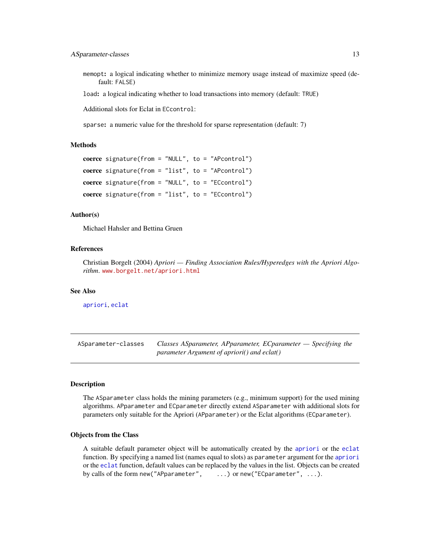<span id="page-12-0"></span>memopt: a logical indicating whether to minimize memory usage instead of maximize speed (default: FALSE)

load: a logical indicating whether to load transactions into memory (default: TRUE)

Additional slots for Eclat in ECcontrol:

sparse: a numeric value for the threshold for sparse representation (default: 7)

#### Methods

```
coerce signature(from = "NULL", to = "APcontrol")
coerce signature(from = "list", to = "APcontrol")
coerce signature(from = "NULL", to = "ECcontrol")
coerce signature(from = "list", to = "EControl")
```
#### Author(s)

Michael Hahsler and Bettina Gruen

# References

Christian Borgelt (2004) *Apriori — Finding Association Rules/Hyperedges with the Apriori Algorithm*. <www.borgelt.net/apriori.html>

# See Also

[apriori](#page-9-1), [eclat](#page-27-1)

ASparameter-classes *Classes ASparameter, APparameter, ECparameter — Specifying the parameter Argument of apriori() and eclat()*

# <span id="page-12-1"></span>Description

The ASparameter class holds the mining parameters (e.g., minimum support) for the used mining algorithms. APparameter and ECparameter directly extend ASparameter with additional slots for parameters only suitable for the Apriori (APparameter) or the Eclat algorithms (ECparameter).

# Objects from the Class

A suitable default parameter object will be automatically created by the [apriori](#page-9-1) or the [eclat](#page-27-1) function. By specifying a named list (names equal to slots) as parameter argument for the [apriori](#page-9-1) or the [eclat](#page-27-1) function, default values can be replaced by the values in the list. Objects can be created by calls of the form new("APparameter", ...) or new("ECparameter", ...).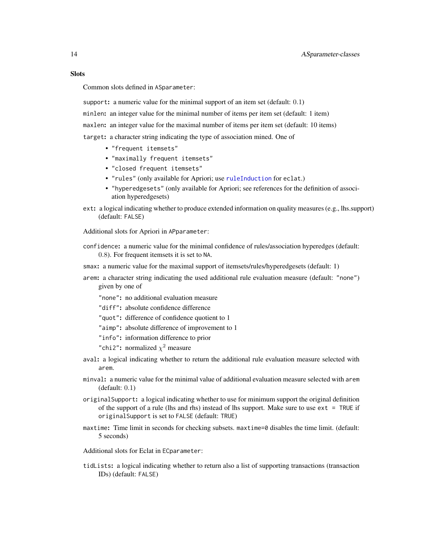# **Slots**

Common slots defined in ASparameter:

support: a numeric value for the minimal support of an item set (default: 0.1) minlen: an integer value for the minimal number of items per item set (default: 1 item) maxlen: an integer value for the maximal number of items per item set (default: 10 items) target: a character string indicating the type of association mined. One of

- "frequent itemsets"
- "maximally frequent itemsets"
- "closed frequent itemsets"
- "rules" (only available for Apriori; use [ruleInduction](#page-73-1) for eclat.)
- "hyperedgesets" (only available for Apriori; see references for the definition of association hyperedgesets)
- ext: a logical indicating whether to produce extended information on quality measures (e.g., lhs.support) (default: FALSE)

Additional slots for Apriori in APparameter:

- confidence: a numeric value for the minimal confidence of rules/association hyperedges (default: 0.8). For frequent itemsets it is set to NA.
- smax: a numeric value for the maximal support of itemsets/rules/hyperedgesets (default: 1)
- arem: a character string indicating the used additional rule evaluation measure (default: "none") given by one of
	- "none": no additional evaluation measure

"diff": absolute confidence difference

- "quot": difference of confidence quotient to 1
- "aimp": absolute difference of improvement to 1
- "info": information difference to prior
- "chi2": normalized  $\chi^2$  measure
- aval: a logical indicating whether to return the additional rule evaluation measure selected with arem.
- minval: a numeric value for the minimal value of additional evaluation measure selected with arem (default: 0.1)
- originalSupport: a logical indicating whether to use for minimum support the original definition of the support of a rule (lhs and rhs) instead of lhs support. Make sure to use  $ext$  = TRUE if originalSupport is set to FALSE (default: TRUE)
- maxtime: Time limit in seconds for checking subsets. maxtime=0 disables the time limit. (default: 5 seconds)
- Additional slots for Eclat in ECparameter:
- tidLists: a logical indicating whether to return also a list of supporting transactions (transaction IDs) (default: FALSE)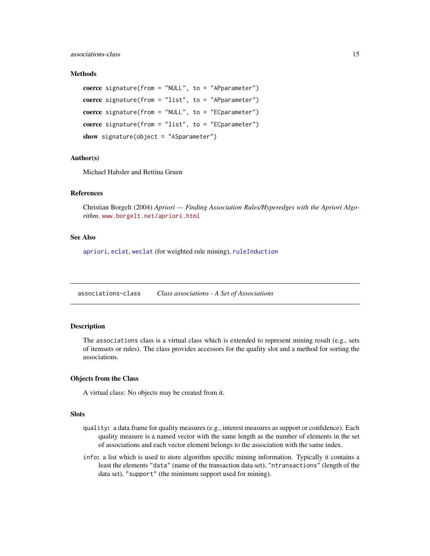#### <span id="page-14-0"></span>associations-class 15

#### **Methods**

```
coerce signature(from = "NULL", to = "APparameter")
coerce signature(from = "list", to = "APparameter")
coerce signature(from = "NULL", to = "ECparameter")
coerce signature(from = "list", to = "ECparameter")
show signature(object = "ASparameter")
```
# Author(s)

Michael Hahsler and Bettina Gruen

# References

Christian Borgelt (2004) *Apriori — Finding Association Rules/Hyperedges with the Apriori Algorithm*. <www.borgelt.net/apriori.html>

#### See Also

[apriori](#page-9-1), [eclat](#page-27-1), [weclat](#page-93-1) (for weighted rule mining), [ruleInduction](#page-73-1)

<span id="page-14-1"></span>associations-class *Class associations - A Set of Associations*

#### Description

The associations class is a virtual class which is extended to represent mining result (e.g., sets of itemsets or rules). The class provides accessors for the quality slot and a method for sorting the associations.

# Objects from the Class

A virtual class: No objects may be created from it.

# **Slots**

- quality: a data.frame for quality measures (e.g., interest measures as support or confidence). Each quality measure is a named vector with the same length as the number of elements in the set of associations and each vector element belongs to the association with the same index.
- info: a list which is used to store algorithm specific mining information. Typically it contains a least the elements "data" (name of the transaction data set), "ntransactions" (length of the data set), "support" (the minimum support used for mining).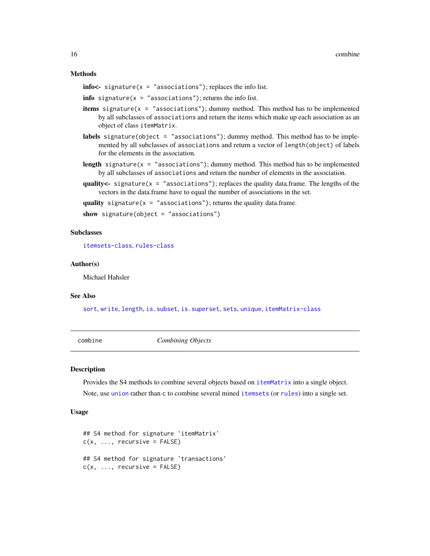#### Methods

 $info < -$  signature(x = "associations"); replaces the info list.

**info** signature( $x =$ "associations"); returns the info list.

- **items** signature( $x =$  "associations"); dummy method. This method has to be implemented by all subclasses of associations and return the items which make up each association as an object of class itemMatrix.
- labels signature(object = "associations"); dummy method. This method has to be implemented by all subclasses of associations and return a vector of length(object) of labels for the elements in the association.
- **length** signature( $x =$  "associations"); dummy method. This method has to be implemented by all subclasses of associations and return the number of elements in the association.
- quality  $\lt$  signature( $x = "associations")$ ; replaces the quality data.frame. The lengths of the vectors in the data.frame have to equal the number of associations in the set.

quality signature( $x = "associations")$ ; returns the quality data.frame.

show signature(object = "associations")

# Subclasses

[itemsets-class](#page-59-1), [rules-class](#page-75-1)

#### Author(s)

Michael Hahsler

#### See Also

[sort](#page-80-1), [write](#page-94-1), [length](#page-60-1), [is.subset](#page-49-1), [is.superset](#page-49-2), [sets](#page-78-1), [unique](#page-92-1), [itemMatrix-class](#page-55-1)

combine *Combining Objects*

#### **Description**

Provides the S4 methods to combine several objects based on [itemMatrix](#page-55-1) into a single object. Note, use [union](#page-78-1) rather than c to combine several mined [itemsets](#page-59-1) (or [rules](#page-75-1)) into a single set.

# Usage

```
## S4 method for signature 'itemMatrix'
c(x, \ldots, recursive = FALSE)
## S4 method for signature 'transactions'
c(x, \ldots, recursive = FALSE)
```
<span id="page-15-0"></span>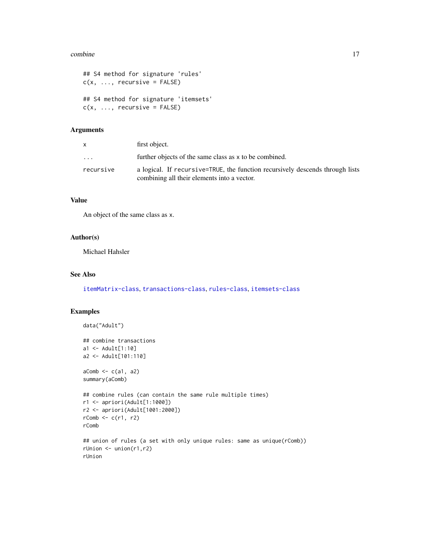#### combine the combine of the combine of the combine of the combine of the combine of the combine of the combine of the combine of the combine of the combine of the combine of the combine of the combine of the combine of the

```
## S4 method for signature 'rules'
c(x, \ldots, recursive = FALSE)
## S4 method for signature 'itemsets'
c(x, \ldots, recursive = FALSE)
```
# Arguments

|           | first object.                                                                                                                |
|-----------|------------------------------------------------------------------------------------------------------------------------------|
| $\ddotsc$ | further objects of the same class as x to be combined.                                                                       |
| recursive | a logical. If recursive=TRUE, the function recursively descends through lists<br>combining all their elements into a vector. |

# Value

An object of the same class as x.

# Author(s)

Michael Hahsler

# See Also

[itemMatrix-class](#page-55-1), [transactions-class](#page-88-1), [rules-class](#page-75-1), [itemsets-class](#page-59-1)

# Examples

```
data("Adult")
## combine transactions
a1 <- Adult[1:10]
a2 <- Adult[101:110]
aComb \leftarrow c(a1, a2)summary(aComb)
## combine rules (can contain the same rule multiple times)
r1 <- apriori(Adult[1:1000])
r2 <- apriori(Adult[1001:2000])
rComb \leq c(r1, r2)rComb
## union of rules (a set with only unique rules: same as unique(rComb))
rUnion <- union(r1,r2)
rUnion
```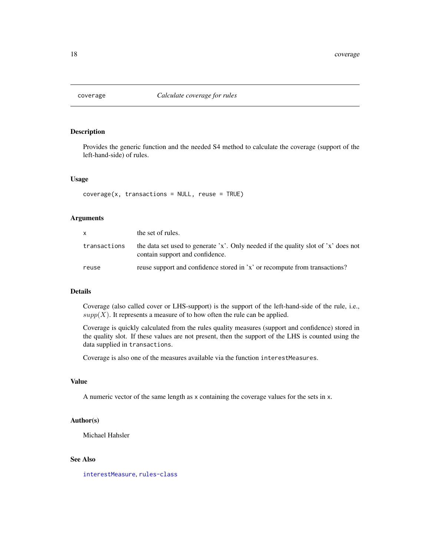<span id="page-17-0"></span>

# Description

Provides the generic function and the needed S4 method to calculate the coverage (support of the left-hand-side) of rules.

#### Usage

```
coverage(x, transactions = NULL, reuse = TRUE)
```
#### Arguments

| <b>X</b>     | the set of rules.                                                                                                     |
|--------------|-----------------------------------------------------------------------------------------------------------------------|
| transactions | the data set used to generate 'x'. Only needed if the quality slot of 'x' does not<br>contain support and confidence. |
| reuse        | reuse support and confidence stored in 'x' or recompute from transactions?                                            |

# Details

Coverage (also called cover or LHS-support) is the support of the left-hand-side of the rule, i.e.,  $supp(X)$ . It represents a measure of to how often the rule can be applied.

Coverage is quickly calculated from the rules quality measures (support and confidence) stored in the quality slot. If these values are not present, then the support of the LHS is counted using the data supplied in transactions.

Coverage is also one of the measures available via the function interestMeasures.

# Value

A numeric vector of the same length as x containing the coverage values for the sets in x.

# Author(s)

Michael Hahsler

# See Also

[interestMeasure](#page-37-1), [rules-class](#page-75-1)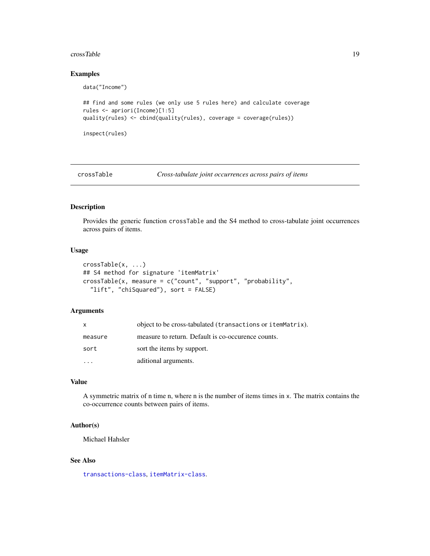#### <span id="page-18-0"></span>crossTable 2012 2013 2014 2022 2023 2024 2022 2022 2023 2024 2022 2023 2024 2022 2023 2024 2022 2023 2024 2022

# Examples

```
data("Income")
## find and some rules (we only use 5 rules here) and calculate coverage
rules <- apriori(Income)[1:5]
quality(rules) <- cbind(quality(rules), coverage = coverage(rules))
inspect(rules)
```
crossTable *Cross-tabulate joint occurrences across pairs of items*

# Description

Provides the generic function crossTable and the S4 method to cross-tabulate joint occurrences across pairs of items.

# Usage

```
crossTable(x, ...)
## S4 method for signature 'itemMatrix'
crossTable(x, measure = c("count", "support", "probability",
  "lift", "chiSquared"), sort = FALSE)
```
#### Arguments

| X       | object to be cross-tabulated (transactions or itemMatrix). |
|---------|------------------------------------------------------------|
| measure | measure to return. Default is co-occurence counts.         |
| sort    | sort the items by support.                                 |
|         | aditional arguments.                                       |

# Value

A symmetric matrix of n time n, where n is the number of items times in x. The matrix contains the co-occurrence counts between pairs of items.

# Author(s)

Michael Hahsler

# See Also

[transactions-class](#page-88-1), [itemMatrix-class](#page-55-1).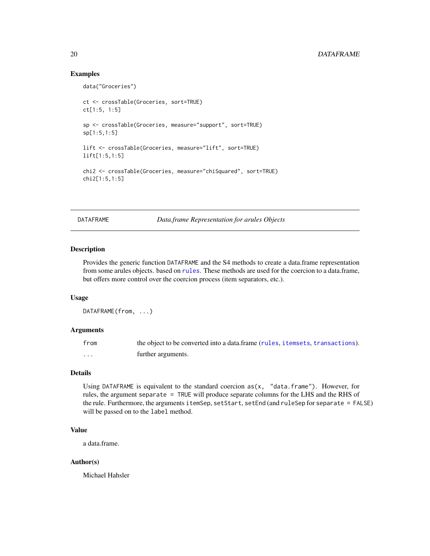# Examples

```
data("Groceries")
ct <- crossTable(Groceries, sort=TRUE)
ct[1:5, 1:5]
sp <- crossTable(Groceries, measure="support", sort=TRUE)
sp[1:5,1:5]
lift <- crossTable(Groceries, measure="lift", sort=TRUE)
lift[1:5,1:5]
chi2 <- crossTable(Groceries, measure="chiSquared", sort=TRUE)
chi2[1:5,1:5]
```
DATAFRAME *Data.frame Representation for arules Objects*

# Description

Provides the generic function DATAFRAME and the S4 methods to create a data.frame representation from some arules objects. based on [rules](#page-75-1). These methods are used for the coercion to a data.frame, but offers more control over the coercion process (item separators, etc.).

# Usage

DATAFRAME(from, ...)

# Arguments

| from | the object to be converted into a data.frame (rules, i temsets, transactions). |
|------|--------------------------------------------------------------------------------|
| .    | further arguments.                                                             |

# Details

Using DATAFRAME is equivalent to the standard coercion  $as(x, 'data-frame'')$ . However, for rules, the argument separate = TRUE will produce separate columns for the LHS and the RHS of the rule. Furthermore, the arguments itemSep, setStart, setEnd (and ruleSep for separate = FALSE) will be passed on to the label method.

# Value

a data.frame.

# Author(s)

Michael Hahsler

<span id="page-19-0"></span>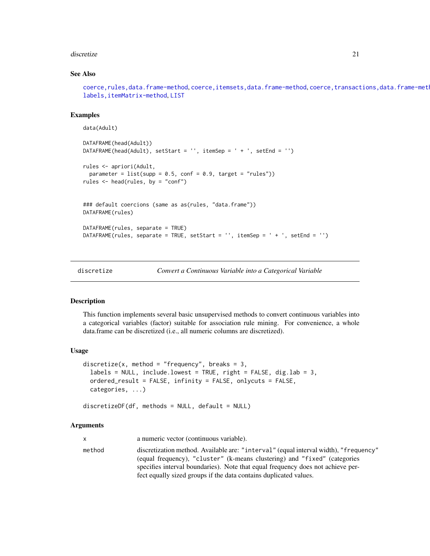#### <span id="page-20-0"></span>discretize 21

# See Also

```
coerce,rules,data.frame-method, coerce,itemsets,data.frame-method, coerce,transactions,data.frame-method,
labels,itemMatrix-method, LIST
```
# Examples

```
data(Adult)
DATAFRAME(head(Adult))
DATAFRAME(head(Adult), setStart = '', itemSep = ' + ', setEnd = '')
rules <- apriori(Adult,
  parameter = list(supp = 0.5, conf = 0.9, target = "rules"))rules <- head(rules, by = "conf")
### default coercions (same as as(rules, "data.frame"))
DATAFRAME(rules)
DATAFRAME(rules, separate = TRUE)
DATAFRAME(rules, separate = TRUE, setStart = '', itemSep = ' + ', setEnd = '')
```
discretize *Convert a Continuous Variable into a Categorical Variable*

# Description

This function implements several basic unsupervised methods to convert continuous variables into a categorical variables (factor) suitable for association rule mining. For convenience, a whole data.frame can be discretized (i.e., all numeric columns are discretized).

#### Usage

```
discretize(x, method = "frequency", breaks = 3,
  labels = NULL, include. lowest = TRUE, right = FALSE, dig. lab = 3,
  ordered_result = FALSE, infinity = FALSE, onlycuts = FALSE,
  categories, ...)
```
 $discretizeDF(df, methods = NULL, default = NULL)$ 

#### Arguments

x a numeric vector (continuous variable). method discretization method. Available are: "interval" (equal interval width), "frequency" (equal frequency), "cluster" (k-means clustering) and "fixed" (categories specifies interval boundaries). Note that equal frequency does not achieve perfect equally sized groups if the data contains duplicated values.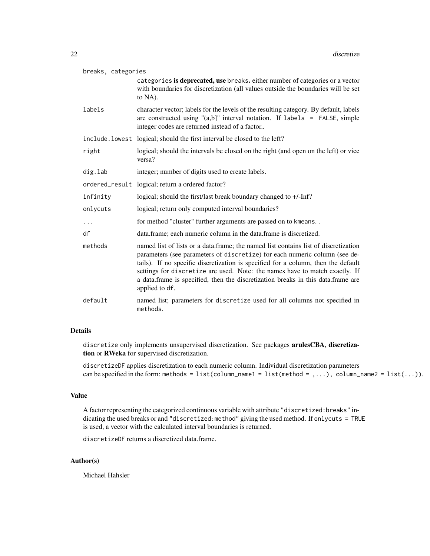| breaks, categories                                                                                                                                                                                                                  |                                                                                                                                                                                                                                                                                                                                                                                                                                             |  |
|-------------------------------------------------------------------------------------------------------------------------------------------------------------------------------------------------------------------------------------|---------------------------------------------------------------------------------------------------------------------------------------------------------------------------------------------------------------------------------------------------------------------------------------------------------------------------------------------------------------------------------------------------------------------------------------------|--|
|                                                                                                                                                                                                                                     | categories is deprecated, use breaks. either number of categories or a vector<br>with boundaries for discretization (all values outside the boundaries will be set<br>to NA).                                                                                                                                                                                                                                                               |  |
| labels<br>character vector; labels for the levels of the resulting category. By default, labels<br>are constructed using " $(a,b)$ " interval notation. If labels = FALSE, simple<br>integer codes are returned instead of a factor |                                                                                                                                                                                                                                                                                                                                                                                                                                             |  |
|                                                                                                                                                                                                                                     | include. lowest logical; should the first interval be closed to the left?                                                                                                                                                                                                                                                                                                                                                                   |  |
| right                                                                                                                                                                                                                               | logical; should the intervals be closed on the right (and open on the left) or vice<br>versa?                                                                                                                                                                                                                                                                                                                                               |  |
| dig.lab                                                                                                                                                                                                                             | integer; number of digits used to create labels.                                                                                                                                                                                                                                                                                                                                                                                            |  |
|                                                                                                                                                                                                                                     | ordered_result logical; return a ordered factor?                                                                                                                                                                                                                                                                                                                                                                                            |  |
| infinity                                                                                                                                                                                                                            | logical; should the first/last break boundary changed to +/-Inf?                                                                                                                                                                                                                                                                                                                                                                            |  |
| onlycuts                                                                                                                                                                                                                            | logical; return only computed interval boundaries?                                                                                                                                                                                                                                                                                                                                                                                          |  |
| $\cdots$                                                                                                                                                                                                                            | for method "cluster" further arguments are passed on to kmeans                                                                                                                                                                                                                                                                                                                                                                              |  |
| df                                                                                                                                                                                                                                  | data.frame; each numeric column in the data.frame is discretized.                                                                                                                                                                                                                                                                                                                                                                           |  |
| methods                                                                                                                                                                                                                             | named list of lists or a data.frame; the named list contains list of discretization<br>parameters (see parameters of discretize) for each numeric column (see de-<br>tails). If no specific discretization is specified for a column, then the default<br>settings for discretize are used. Note: the names have to match exactly. If<br>a data.frame is specified, then the discretization breaks in this data.frame are<br>applied to df. |  |
| default                                                                                                                                                                                                                             | named list; parameters for discretize used for all columns not specified in<br>methods.                                                                                                                                                                                                                                                                                                                                                     |  |

# Details

discretize only implements unsupervised discretization. See packages arulesCBA, discretization or RWeka for supervised discretization.

discretizeDF applies discretization to each numeric column. Individual discretization parameters can be specified in the form: methods = list(column\_name1 = list(method = ,...), column\_name2 = list(...)).

# Value

A factor representing the categorized continuous variable with attribute "discretized:breaks" indicating the used breaks or and "discretized:method" giving the used method. If onlycuts = TRUE is used, a vector with the calculated interval boundaries is returned.

discretizeDF returns a discretized data.frame.

# Author(s)

Michael Hahsler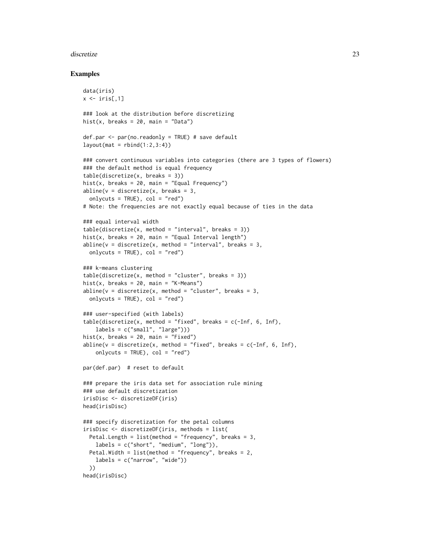#### discretize 23

# Examples

```
data(iris)
x \leftarrow \text{iris}[, 1]### look at the distribution before discretizing
hist(x, breaks = 20, main = "Data")
def.par \leq par(no.readonly = TRUE) # save default
layout(max = rbind(1:2,3:4))### convert continuous variables into categories (there are 3 types of flowers)
### the default method is equal frequency
table(discretize(x, breaks = 3))
hist(x, breaks = 20, main = "Equal Frequency")
abline(v = discrete(x, breaks = 3,onlycuts = TRUE), col = "red")
# Note: the frequencies are not exactly equal because of ties in the data
### equal interval width
table(discretize(x, method = "interval", breaks = 3))hist(x, breaks = 20, main = "Equal Interval length")
abline(v = discrete(x, method = "interval", breaks = 3,onlycuts = TRUE), col = "red")
### k-means clustering
table(discretize(x, method = "cluster", breaks = 3))hist(x, breaks = 20, main = "K-Means")
abline(v = discreteize(x, method = "cluster", breaks = 3,onlycuts = TRUE), col = "red")
### user-specified (with labels)
table(discretize(x, method = "fixed", breaks = c(-Inf, 6, Inf),labels = c("small", "large"))hist(x, breaks = 20, main = "Fixed")
abline(v = discrete(x, method = "fixed", breaks = c(-Inf, 6, Inf),onlycuts = TRUE), col = "red")
par(def.par) # reset to default
### prepare the iris data set for association rule mining
### use default discretization
irisDisc <- discretizeDF(iris)
head(irisDisc)
### specify discretization for the petal columns
irisDisc <- discretizeDF(iris, methods = list(
  Petal.Length = list(method = "frequency", breaks = 3,labels = c("short", "medium", "long")),
  Petal.Width = list(method = "frequency", breaks = 2,labels = c("narrow", "wide"))
  ))
head(irisDisc)
```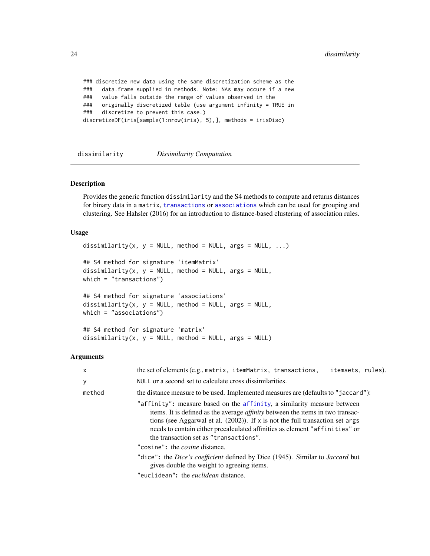```
### discretize new data using the same discretization scheme as the
### data.frame supplied in methods. Note: NAs may occure if a new
### value falls outside the range of values observed in the
### originally discretized table (use argument infinity = TRUE in
### discretize to prevent this case.)
discretizeDF(iris[sample(1:nrow(iris), 5),], methods = irisDisc)
```
<span id="page-23-1"></span>dissimilarity *Dissimilarity Computation*

#### Description

Provides the generic function dissimilarity and the S4 methods to compute and returns distances for binary data in a matrix, [transactions](#page-88-1) or [associations](#page-14-1) which can be used for grouping and clustering. See Hahsler (2016) for an introduction to distance-based clustering of association rules.

#### Usage

```
dissimilarity(x, y = NULL, method = NULL, args = NULL, ...)
## S4 method for signature 'itemMatrix'
dissimilarity(x, y = NULL, method = NULL, args = NULL,
which = "transactions")
## S4 method for signature 'associations'
dissimilarity(x, y = NULL, method = NULL, args = NULL,
which = "associations")
## S4 method for signature 'matrix'
dissimilarity(x, y = NULL, method = NULL, args = NULL)
```
#### Arguments

| $\times$ | the set of elements (e.g., matrix, itemMatrix, transactions,<br>itemsets, rules).                                                                                                                                                                                                                                                                                             |
|----------|-------------------------------------------------------------------------------------------------------------------------------------------------------------------------------------------------------------------------------------------------------------------------------------------------------------------------------------------------------------------------------|
| y        | NULL or a second set to calculate cross dissimilarities.                                                                                                                                                                                                                                                                                                                      |
| method   | the distance measure to be used. Implemented measures are (defaults to "jaccard"):                                                                                                                                                                                                                                                                                            |
|          | "affinity": measure based on the affinity, a similarity measure between<br>items. It is defined as the average <i>affinity</i> between the items in two transac-<br>tions (see Aggarwal et al. $(2002)$ ). If x is not the full transaction set args<br>needs to contain either precalculated affinities as element "affinities" or<br>the transaction set as "transactions". |
|          | "cosine": the <i>cosine</i> distance.                                                                                                                                                                                                                                                                                                                                         |
|          | "dice": the Dice's coefficient defined by Dice (1945). Similar to Jaccard but<br>gives double the weight to agreeing items.                                                                                                                                                                                                                                                   |
|          | "euclidean": the <i>euclidean</i> distance.                                                                                                                                                                                                                                                                                                                                   |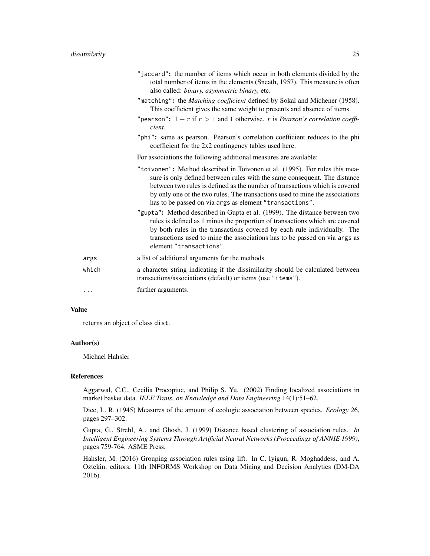|          | "jaccard": the number of items which occur in both elements divided by the<br>total number of items in the elements (Sneath, 1957). This measure is often<br>also called: binary, asymmetric binary, etc.                                                                                                                                                                          |
|----------|------------------------------------------------------------------------------------------------------------------------------------------------------------------------------------------------------------------------------------------------------------------------------------------------------------------------------------------------------------------------------------|
|          | "matching": the Matching coefficient defined by Sokal and Michener (1958).<br>This coefficient gives the same weight to presents and absence of items.                                                                                                                                                                                                                             |
|          | "pearson": $1 - r$ if $r > 1$ and 1 otherwise. r is <i>Pearson's correlation coeffi</i> -<br>cient.                                                                                                                                                                                                                                                                                |
|          | "phi": same as pearson. Pearson's correlation coefficient reduces to the phi<br>coefficient for the 2x2 contingency tables used here.                                                                                                                                                                                                                                              |
|          | For associations the following additional measures are available:                                                                                                                                                                                                                                                                                                                  |
|          | "toivonen": Method described in Toivonen et al. (1995). For rules this mea-<br>sure is only defined between rules with the same consequent. The distance<br>between two rules is defined as the number of transactions which is covered<br>by only one of the two rules. The transactions used to mine the associations<br>has to be passed on via args as element "transactions". |
|          | "gupta": Method described in Gupta et al. (1999). The distance between two<br>rules is defined as 1 minus the proportion of transactions which are covered<br>by both rules in the transactions covered by each rule individually. The<br>transactions used to mine the associations has to be passed on via args as<br>element "transactions".                                    |
| args     | a list of additional arguments for the methods.                                                                                                                                                                                                                                                                                                                                    |
| which    | a character string indicating if the dissimilarity should be calculated between<br>transactions/associations (default) or items (use "items").                                                                                                                                                                                                                                     |
| $\cdots$ | further arguments.                                                                                                                                                                                                                                                                                                                                                                 |

# Value

returns an object of class dist.

# Author(s)

Michael Hahsler

#### References

Aggarwal, C.C., Cecilia Procopiuc, and Philip S. Yu. (2002) Finding localized associations in market basket data. *IEEE Trans. on Knowledge and Data Engineering* 14(1):51–62.

Dice, L. R. (1945) Measures of the amount of ecologic association between species. *Ecology* 26, pages 297–302.

Gupta, G., Strehl, A., and Ghosh, J. (1999) Distance based clustering of association rules. *In Intelligent Engineering Systems Through Artificial Neural Networks (Proceedings of ANNIE 1999)*, pages 759-764. ASME Press.

Hahsler, M. (2016) Grouping association rules using lift. In C. Iyigun, R. Moghaddess, and A. Oztekin, editors, 11th INFORMS Workshop on Data Mining and Decision Analytics (DM-DA 2016).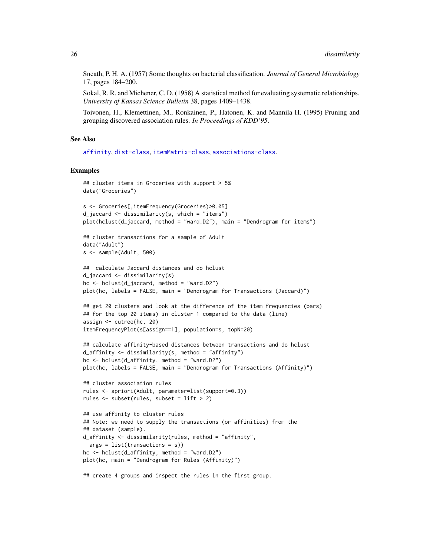Sneath, P. H. A. (1957) Some thoughts on bacterial classification. *Journal of General Microbiology* 17, pages 184–200.

Sokal, R. R. and Michener, C. D. (1958) A statistical method for evaluating systematic relationships. *University of Kansas Science Bulletin* 38, pages 1409–1438.

Toivonen, H., Klemettinen, M., Ronkainen, P., Hatonen, K. and Mannila H. (1995) Pruning and grouping discovered association rules. *In Proceedings of KDD'95*.

# See Also

[affinity](#page-6-1), [dist-class](#page-67-1), [itemMatrix-class](#page-55-1), [associations-class](#page-14-1).

# Examples

```
## cluster items in Groceries with support > 5%
data("Groceries")
s <- Groceries[,itemFrequency(Groceries)>0.05]
d_jaccard <- dissimilarity(s, which = "items")
plot(hclust(d_jaccard, method = "ward.D2"), main = "Dendrogram for items")
## cluster transactions for a sample of Adult
data("Adult")
s <- sample(Adult, 500)
## calculate Jaccard distances and do hclust
d_jaccard <- dissimilarity(s)
hc \leq -hclust(d_jaccard, method = "ward.D2")plot(hc, labels = FALSE, main = "Dendrogram for Transactions (Jaccard)")
## get 20 clusters and look at the difference of the item frequencies (bars)
## for the top 20 items) in cluster 1 compared to the data (line)
assign <- cutree(hc, 20)
itemFrequencyPlot(s[assign==1], population=s, topN=20)
## calculate affinity-based distances between transactions and do hclust
d_affinity \leq dissimilarity(s, method = "affinity")
hc <- hclust(d_affinity, method = "ward.D2")
plot(hc, labels = FALSE, main = "Dendrogram for Transactions (Affinity)")
## cluster association rules
rules <- apriori(Adult, parameter=list(support=0.3))
rules \le subset(rules, subset = lift > 2)
## use affinity to cluster rules
## Note: we need to supply the transactions (or affinities) from the
## dataset (sample).
d_affinity <- dissimilarity(rules, method = "affinity",
  args = list(transactions = s))hc \le hclust(d_affinity, method = "ward.D2")
plot(hc, main = "Dendrogram for Rules (Affinity)")
```
## create 4 groups and inspect the rules in the first group.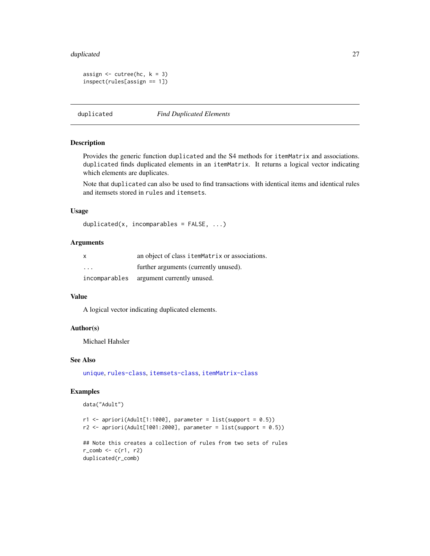#### <span id="page-26-0"></span>duplicated 27 and 27 and 27 and 27 and 27 and 27 and 27 and 27 and 27 and 27 and 27 and 27 and 27 and 27 and 27

```
assign \leq cutree(hc, k = 3)
inspect(rules[assign == 1])
```
duplicated *Find Duplicated Elements*

# Description

Provides the generic function duplicated and the S4 methods for itemMatrix and associations. duplicated finds duplicated elements in an itemMatrix. It returns a logical vector indicating which elements are duplicates.

Note that duplicated can also be used to find transactions with identical items and identical rules and itemsets stored in rules and itemsets.

# Usage

```
duplicated(x, incomparables = FALSE, ...)
```
# Arguments

| X                       | an object of class itemMatrix or associations. |
|-------------------------|------------------------------------------------|
| $\cdot$ $\cdot$ $\cdot$ | further arguments (currently unused).          |
| incomparables           | argument currently unused.                     |

# Value

A logical vector indicating duplicated elements.

# Author(s)

Michael Hahsler

# See Also

[unique](#page-92-1), [rules-class](#page-75-1), [itemsets-class](#page-59-1), [itemMatrix-class](#page-55-1)

# Examples

```
data("Adult")
```

```
r1 <- apriori(Adult[1:1000], parameter = list(support = 0.5))
r2 \le apriori(Adult[1001:2000], parameter = list(support = 0.5))
## Note this creates a collection of rules from two sets of rules
r_{\text{comb}} \leftarrow c(r1, r2)
```

```
duplicated(r_comb)
```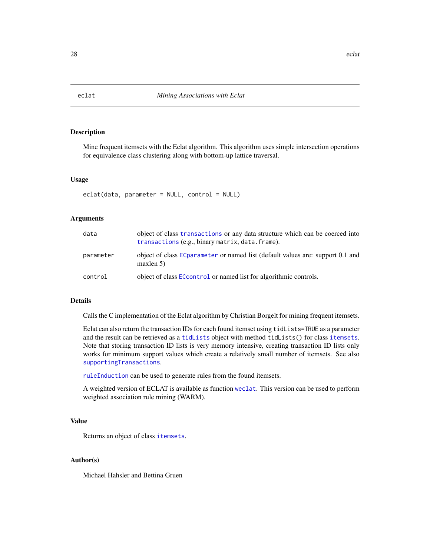<span id="page-27-1"></span><span id="page-27-0"></span>

# Description

Mine frequent itemsets with the Eclat algorithm. This algorithm uses simple intersection operations for equivalence class clustering along with bottom-up lattice traversal.

#### Usage

```
eclat(data, parameter = NULL, control = NULL)
```
# Arguments

| data      | object of class transactions or any data structure which can be coerced into<br>transactions (e.g., binary matrix, data. frame). |
|-----------|----------------------------------------------------------------------------------------------------------------------------------|
| parameter | object of class EC parameter or named list (default values are: support 0.1 and<br>maxlen 5                                      |
| control   | object of class ECcontrol or named list for algorithmic controls.                                                                |

# Details

Calls the C implementation of the Eclat algorithm by Christian Borgelt for mining frequent itemsets.

Eclat can also return the transaction IDs for each found itemset using tidLists=TRUE as a parameter and the result can be retrieved as a [tidLists](#page-86-1) object with method tidLists() for class [itemsets](#page-59-1). Note that storing transaction ID lists is very memory intensive, creating transaction ID lists only works for minimum support values which create a relatively small number of itemsets. See also [supportingTransactions](#page-85-1).

[ruleInduction](#page-73-1) can be used to generate rules from the found itemsets.

A weighted version of ECLAT is available as function [weclat](#page-93-1). This version can be used to perform weighted association rule mining (WARM).

# Value

Returns an object of class [itemsets](#page-59-1).

# Author(s)

Michael Hahsler and Bettina Gruen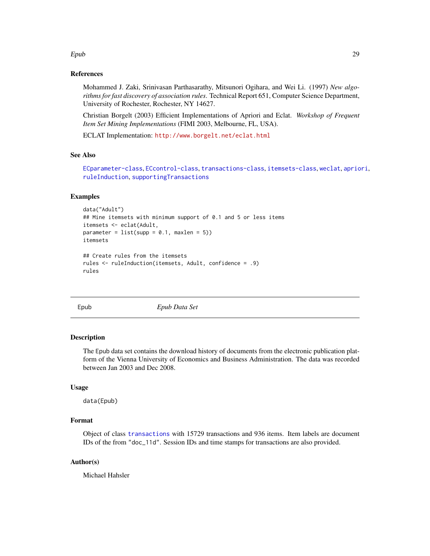#### <span id="page-28-0"></span>Epub 29

# References

Mohammed J. Zaki, Srinivasan Parthasarathy, Mitsunori Ogihara, and Wei Li. (1997) *New algorithms for fast discovery of association rules*. Technical Report 651, Computer Science Department, University of Rochester, Rochester, NY 14627.

Christian Borgelt (2003) Efficient Implementations of Apriori and Eclat. *Workshop of Frequent Item Set Mining Implementations* (FIMI 2003, Melbourne, FL, USA).

ECLAT Implementation: <http://www.borgelt.net/eclat.html>

# See Also

```
ECparameter-class, ECcontrol-class, transactions-class, itemsets-class, weclat, apriori,
ruleInduction, supportingTransactions
```
# Examples

```
data("Adult")
## Mine itemsets with minimum support of 0.1 and 5 or less items
itemsets <- eclat(Adult,
parameter = list(supp = 0.1, maxlen = 5))itemsets
## Create rules from the itemsets
rules <- ruleInduction(itemsets, Adult, confidence = .9)
rules
```
Epub *Epub Data Set*

#### **Description**

The Epub data set contains the download history of documents from the electronic publication platform of the Vienna University of Economics and Business Administration. The data was recorded between Jan 2003 and Dec 2008.

# Usage

data(Epub)

# Format

Object of class [transactions](#page-88-1) with 15729 transactions and 936 items. Item labels are document IDs of the from "doc\_11d". Session IDs and time stamps for transactions are also provided.

# Author(s)

Michael Hahsler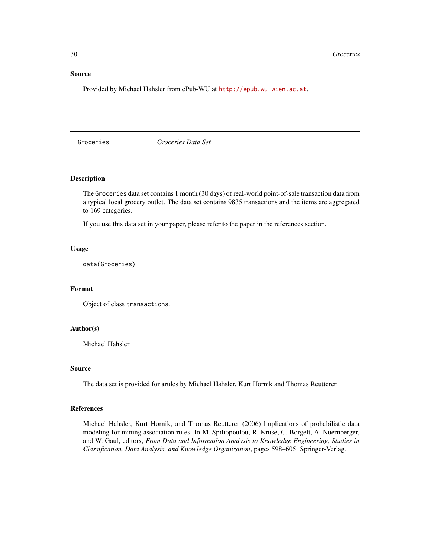# <span id="page-29-0"></span>Source

Provided by Michael Hahsler from ePub-WU at <http://epub.wu-wien.ac.at>.

Groceries *Groceries Data Set*

# Description

The Groceries data set contains 1 month (30 days) of real-world point-of-sale transaction data from a typical local grocery outlet. The data set contains 9835 transactions and the items are aggregated to 169 categories.

If you use this data set in your paper, please refer to the paper in the references section.

#### Usage

data(Groceries)

# Format

Object of class transactions.

# Author(s)

Michael Hahsler

# Source

The data set is provided for arules by Michael Hahsler, Kurt Hornik and Thomas Reutterer.

# References

Michael Hahsler, Kurt Hornik, and Thomas Reutterer (2006) Implications of probabilistic data modeling for mining association rules. In M. Spiliopoulou, R. Kruse, C. Borgelt, A. Nuernberger, and W. Gaul, editors, *From Data and Information Analysis to Knowledge Engineering, Studies in Classification, Data Analysis, and Knowledge Organization*, pages 598–605. Springer-Verlag.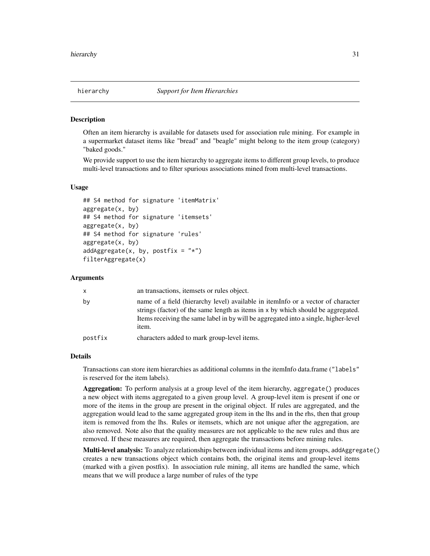<span id="page-30-0"></span>

#### Description

Often an item hierarchy is available for datasets used for association rule mining. For example in a supermarket dataset items like "bread" and "beagle" might belong to the item group (category) "baked goods."

We provide support to use the item hierarchy to aggregate items to different group levels, to produce multi-level transactions and to filter spurious associations mined from multi-level transactions.

# Usage

```
## S4 method for signature 'itemMatrix'
aggregate(x, by)
## S4 method for signature 'itemsets'
aggregate(x, by)
## S4 method for signature 'rules'
aggregate(x, by)
addAggregate(x, by, postfix = "*")filterAggregate(x)
```
# Arguments

| X       | an transactions, itemsets or rules object.                                                                                                                                                                                                                           |
|---------|----------------------------------------------------------------------------------------------------------------------------------------------------------------------------------------------------------------------------------------------------------------------|
| by      | name of a field (hierarchy level) available in itemInfo or a vector of character<br>strings (factor) of the same length as items in x by which should be aggregated.<br>Items receiving the same label in by will be aggregated into a single, higher-level<br>item. |
| postfix | characters added to mark group-level items.                                                                                                                                                                                                                          |

# Details

Transactions can store item hierarchies as additional columns in the itemInfo data.frame ("labels" is reserved for the item labels).

Aggregation: To perform analysis at a group level of the item hierarchy, aggregate() produces a new object with items aggregated to a given group level. A group-level item is present if one or more of the items in the group are present in the original object. If rules are aggregated, and the aggregation would lead to the same aggregated group item in the lhs and in the rhs, then that group item is removed from the lhs. Rules or itemsets, which are not unique after the aggregation, are also removed. Note also that the quality measures are not applicable to the new rules and thus are removed. If these measures are required, then aggregate the transactions before mining rules.

Multi-level analysis: To analyze relationships between individual items and item groups, addAggregate() creates a new transactions object which contains both, the original items and group-level items (marked with a given postfix). In association rule mining, all items are handled the same, which means that we will produce a large number of rules of the type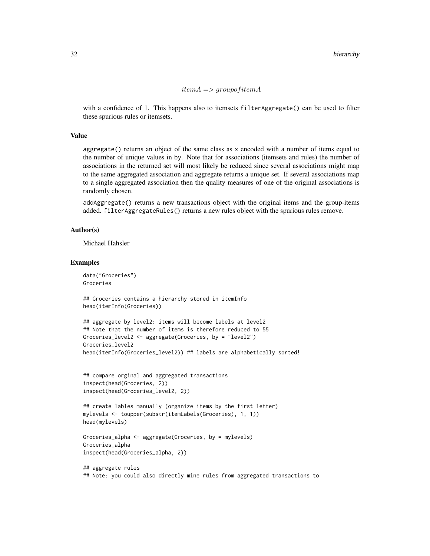$item A \implies group of item A$ 

with a confidence of 1. This happens also to itemsets filterAggregate() can be used to filter these spurious rules or itemsets.

# Value

aggregate() returns an object of the same class as x encoded with a number of items equal to the number of unique values in by. Note that for associations (itemsets and rules) the number of associations in the returned set will most likely be reduced since several associations might map to the same aggregated association and aggregate returns a unique set. If several associations map to a single aggregated association then the quality measures of one of the original associations is randomly chosen.

addAggregate() returns a new transactions object with the original items and the group-items added. filterAggregateRules() returns a new rules object with the spurious rules remove.

# Author(s)

Michael Hahsler

#### Examples

```
data("Groceries")
Groceries
```
## Groceries contains a hierarchy stored in itemInfo head(itemInfo(Groceries))

```
## aggregate by level2: items will become labels at level2
## Note that the number of items is therefore reduced to 55
Groceries_level2 <- aggregate(Groceries, by = "level2")
Groceries_level2
head(itemInfo(Groceries_level2)) ## labels are alphabetically sorted!
```

```
## compare orginal and aggregated transactions
inspect(head(Groceries, 2))
inspect(head(Groceries_level2, 2))
```

```
## create lables manually (organize items by the first letter)
mylevels <- toupper(substr(itemLabels(Groceries), 1, 1))
head(mylevels)
```

```
Groceries_alpha <- aggregate(Groceries, by = mylevels)
Groceries_alpha
inspect(head(Groceries_alpha, 2))
```

```
## aggregate rules
## Note: you could also directly mine rules from aggregated transactions to
```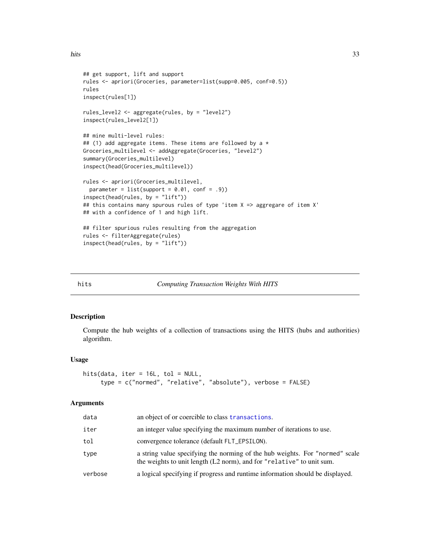```
## get support, lift and support
rules <- apriori(Groceries, parameter=list(supp=0.005, conf=0.5))
rules
inspect(rules[1])
rules_level2 <- aggregate(rules, by = "level2")
inspect(rules_level2[1])
## mine multi-level rules:
## (1) add aggregate items. These items are followed by a *Groceries_multilevel <- addAggregate(Groceries, "level2")
summary(Groceries_multilevel)
inspect(head(Groceries_multilevel))
rules <- apriori(Groceries_multilevel,
 parameter = list(support = 0.01, conf = .9))inspect(head(rules, by = "lift"))
## this contains many spurous rules of type 'item X => aggregare of item X'
## with a confidence of 1 and high lift.
## filter spurious rules resulting from the aggregation
rules <- filterAggregate(rules)
inspect(head(rules, by = "lift"))
```
#### hits *Computing Transaction Weights With HITS*

# Description

Compute the hub weights of a collection of transactions using the HITS (hubs and authorities) algorithm.

#### Usage

```
hits(data, iter = 16L, tol = NULL,
     type = c("normed", "relative", "absolute"), verbose = FALSE)
```
#### Arguments

| data    | an object of or coercible to class transactions.                                                                                                      |
|---------|-------------------------------------------------------------------------------------------------------------------------------------------------------|
| iter    | an integer value specifying the maximum number of iterations to use.                                                                                  |
| tol     | convergence tolerance (default FLT_EPSILON).                                                                                                          |
| type    | a string value specifying the norming of the hub weights. For "normed" scale<br>the weights to unit length (L2 norm), and for "relative" to unit sum. |
| verbose | a logical specifying if progress and runtime information should be displayed.                                                                         |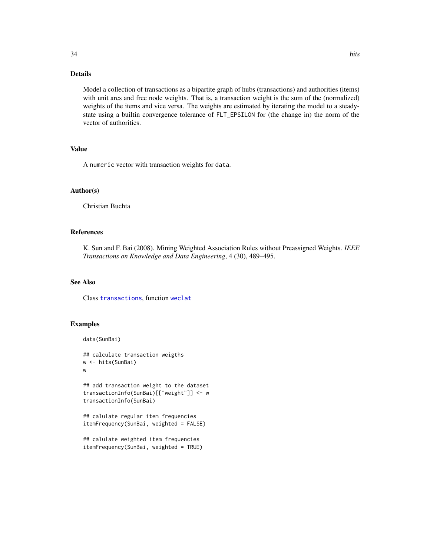# Details

Model a collection of transactions as a bipartite graph of hubs (transactions) and authorities (items) with unit arcs and free node weights. That is, a transaction weight is the sum of the (normalized) weights of the items and vice versa. The weights are estimated by iterating the model to a steadystate using a builtin convergence tolerance of FLT\_EPSILON for (the change in) the norm of the vector of authorities.

# Value

A numeric vector with transaction weights for data.

# Author(s)

Christian Buchta

# References

K. Sun and F. Bai (2008). Mining Weighted Association Rules without Preassigned Weights. *IEEE Transactions on Knowledge and Data Engineering*, 4 (30), 489–495.

# See Also

Class [transactions](#page-88-2), function [weclat](#page-93-1)

# Examples

```
data(SunBai)
```
## calculate transaction weigths w <- hits(SunBai) w

```
## add transaction weight to the dataset
transactionInfo(SunBai)[["weight"]] <- w
transactionInfo(SunBai)
```

```
## calulate regular item frequencies
itemFrequency(SunBai, weighted = FALSE)
```

```
## calulate weighted item frequencies
itemFrequency(SunBai, weighted = TRUE)
```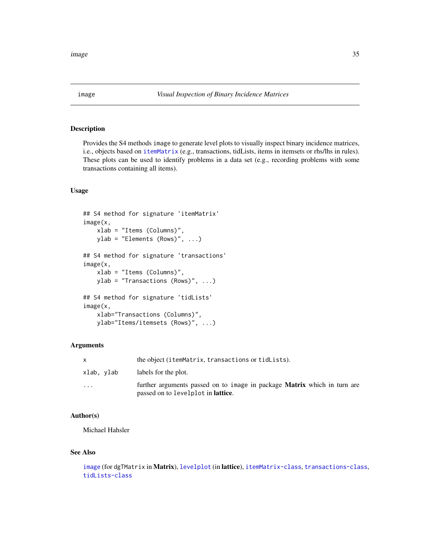<span id="page-34-1"></span><span id="page-34-0"></span>

# Description

Provides the S4 methods image to generate level plots to visually inspect binary incidence matrices, i.e., objects based on [itemMatrix](#page-55-1) (e.g., transactions, tidLists, items in itemsets or rhs/lhs in rules). These plots can be used to identify problems in a data set  $(e.g.,$  recording problems with some transactions containing all items).

# Usage

```
## S4 method for signature 'itemMatrix'
image(x,
    xlab = "Items (Columns)",
    ylab = "Elements (Rows)", ...)## S4 method for signature 'transactions'
image(x,
    xlab = "Items (Columns)",
    ylab = "Transactions (Rows)", ...)
## S4 method for signature 'tidLists'
image(x,
    xlab="Transactions (Columns)",
   ylab="Items/itemsets (Rows)", ...)
```
# Arguments

|            | the object (itemMatrix, transactions or tidLists).                                                                     |
|------------|------------------------------------------------------------------------------------------------------------------------|
| xlab, ylab | labels for the plot.                                                                                                   |
| $\cdot$    | further arguments passed on to image in package Matrix which in turn are<br>passed on to levelplot in <b>lattice</b> . |

# Author(s)

Michael Hahsler

# See Also

```
imagelevelplotitemMatrix-classtransactions-class,
tidLists-class
```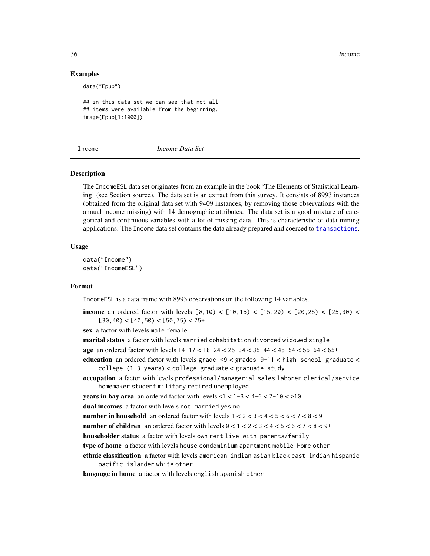36 Income

# Examples

data("Epub")

```
## in this data set we can see that not all
## items were available from the beginning.
image(Epub[1:1000])
```
Income *Income Data Set*

# Description

The IncomeESL data set originates from an example in the book 'The Elements of Statistical Learning' (see Section source). The data set is an extract from this survey. It consists of 8993 instances (obtained from the original data set with 9409 instances, by removing those observations with the annual income missing) with 14 demographic attributes. The data set is a good mixture of categorical and continuous variables with a lot of missing data. This is characteristic of data mining applications. The Income data set contains the data already prepared and coerced to [transactions](#page-88-2).

## Usage

data("Income") data("IncomeESL")

# Format

IncomeESL is a data frame with 8993 observations on the following 14 variables.

**income** an ordered factor with levels  $[0,10) < [10,15) < [15,20) < [20,25) < [25,30) <$  $[30, 40)$  <  $[40, 50)$  <  $[50, 75)$  <  $75+$ 

sex a factor with levels male female

marital status a factor with levels married cohabitation divorced widowed single

age an ordered factor with levels 14-17 < 18-24 < 25-34 < 35-44 < 45-54 < 55-64 < 65+

education an ordered factor with levels grade <9 < grades 9-11 < high school graduate < college (1-3 years) < college graduate < graduate study

occupation a factor with levels professional/managerial sales laborer clerical/service homemaker student military retired unemployed

**years in bay area** an ordered factor with levels  $\leq 1 \leq 1-3 \leq 4-6 \leq 7-10 \leq 10$ 

dual incomes a factor with levels not married yes no

number in household an ordered factor with levels  $1 < 2 < 3 < 4 < 5 < 6 < 7 < 8 < 9+$ 

number of children an ordered factor with levels  $0 < 1 < 2 < 3 < 4 < 5 < 6 < 7 < 8 < 9+$ 

householder status a factor with levels own rent live with parents/family

type of home a factor with levels house condominium apartment mobile Home other

ethnic classification a factor with levels american indian asian black east indian hispanic pacific islander white other

language in home a factor with levels english spanish other

<span id="page-35-0"></span>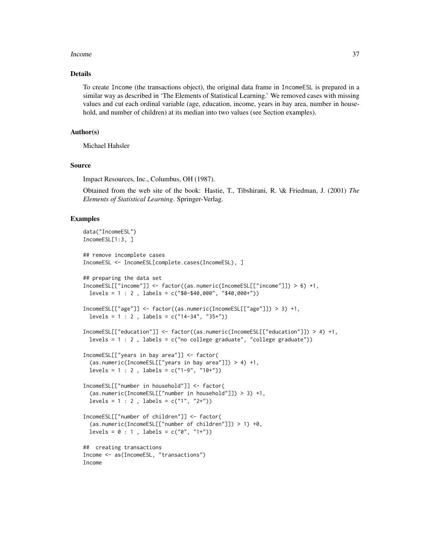#### Income 37

#### Details

To create Income (the transactions object), the original data frame in IncomeESL is prepared in a similar way as described in 'The Elements of Statistical Learning.' We removed cases with missing values and cut each ordinal variable (age, education, income, years in bay area, number in household, and number of children) at its median into two values (see Section examples).

### Author(s)

Michael Hahsler

# Source

Impact Resources, Inc., Columbus, OH (1987).

Obtained from the web site of the book: Hastie, T., Tibshirani, R. \& Friedman, J. (2001) *The Elements of Statistical Learning*. Springer-Verlag.

### Examples

```
data("IncomeESL")
IncomeESL[1:3, ]
## remove incomplete cases
IncomeESL <- IncomeESL[complete.cases(IncomeESL), ]
## preparing the data set
IncomeESL[["income"]] <- factor((as.numeric(IncomeESL[["income"]]) > 6) +1,
 levels = 1 : 2 , labels = c("$0-$40,000", "$40,000+"))
IncomeESL[["age"]] <- factor((as.numeric(IncomeESL[["age"]]) > 3) +1,
 levels = 1 : 2 , labels = c("14-34", "35+"))
IncomeESL[["education"]] <- factor((as.numeric(IncomeESL[["education"]]) > 4) +1,
 levels = 1 : 2 , labels = c("no college graduate", "college graduate"))
IncomeESL[["years in bay area"]] <- factor(
  (as.numeric(IncomeESL[["years in bay area"]]) > 4) +1,
 levels = 1 : 2 , labels = c("1-9", "10+"))
IncomeESL[["number in household"]] <- factor(
  (as.numeric(IncomeESL[["number in household"]]) > 3) +1,
 levels = 1 : 2, labels = c("1", "2+")IncomeESL[["number of children"]] <- factor(
  (as.numeric(IncomeESL[["number of children"]]) > 1) +0,
 levels = 0 : 1, labels = c("0", "1+")## creating transactions
Income <- as(IncomeESL, "transactions")
Income
```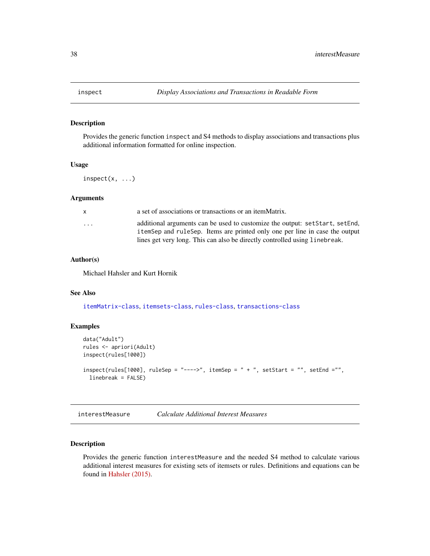<span id="page-37-1"></span>

# Description

Provides the generic function inspect and S4 methods to display associations and transactions plus additional information formatted for online inspection.

### Usage

 $inspect(x, \ldots)$ 

### Arguments

| $\mathsf{x}$ | a set of associations or transactions or an itemMatrix.                     |
|--------------|-----------------------------------------------------------------------------|
| .            | additional arguments can be used to customize the output: setStart, setEnd, |
|              | itemSep and ruleSep. Items are printed only one per line in case the output |
|              | lines get very long. This can also be directly controlled using line break. |

# Author(s)

Michael Hahsler and Kurt Hornik

# See Also

[itemMatrix-class](#page-55-0), [itemsets-class](#page-59-0), [rules-class](#page-75-0), [transactions-class](#page-88-0)

#### Examples

```
data("Adult")
rules <- apriori(Adult)
inspect(rules[1000])
inspect(rules[1000], rulesep = "----->", itemSep = " + " , setStart = "", setEnd = "",linebreak = FALSE)
```
<span id="page-37-0"></span>interestMeasure *Calculate Additional Interest Measures*

# Description

Provides the generic function interestMeasure and the needed S4 method to calculate various additional interest measures for existing sets of itemsets or rules. Definitions and equations can be found in [Hahsler \(2015\).](http://michael.hahsler.net/research/association_rules/measures.html)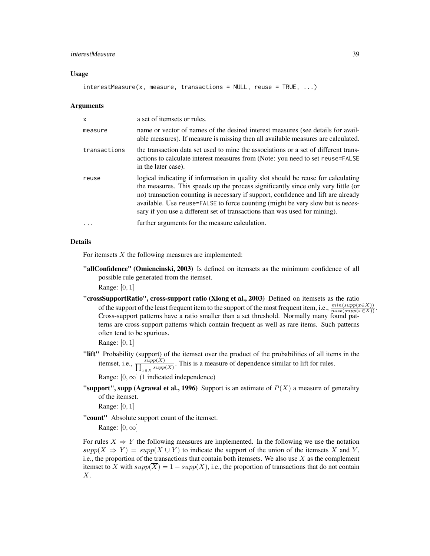## interestMeasure 39

#### Usage

```
interestMeasure(x, measure, transactions = NULL, reuse = TRUE, ...)
```
#### Arguments

| $\times$     | a set of itemsets or rules.                                                                                                                                                                                                                                                                                                                                                                                                 |
|--------------|-----------------------------------------------------------------------------------------------------------------------------------------------------------------------------------------------------------------------------------------------------------------------------------------------------------------------------------------------------------------------------------------------------------------------------|
| measure      | name or vector of names of the desired interest measures (see details for avail-<br>able measures). If measure is missing then all available measures are calculated.                                                                                                                                                                                                                                                       |
| transactions | the transaction data set used to mine the associations or a set of different trans-<br>actions to calculate interest measures from (Note: you need to set reuse=FALSE)<br>in the later case).                                                                                                                                                                                                                               |
| reuse        | logical indicating if information in quality slot should be reuse for calculating<br>the measures. This speeds up the process significantly since only very little (or<br>no) transaction counting is necessary if support, confidence and lift are already<br>available. Use reuse=FALSE to force counting (might be very slow but is neces-<br>sary if you use a different set of transactions than was used for mining). |
|              | further arguments for the measure calculation.                                                                                                                                                                                                                                                                                                                                                                              |

# Details

For itemsets  $X$  the following measures are implemented:

"allConfidence" (Omiencinski, 2003) Is defined on itemsets as the minimum confidence of all possible rule generated from the itemset.

Range: [0, 1]

"crossSupportRatio", cross-support ratio (Xiong et al., 2003) Defined on itemsets as the ratio of the support of the least frequent item to the support of the most frequent item, i.e.,  $\frac{min(supp(x \in X))}{max(supp(x \in X))}$ . Cross-support patterns have a ratio smaller than a set threshold. Normally many found patterns are cross-support patterns which contain frequent as well as rare items. Such patterns often tend to be spurious.

Range: [0, 1]

"lift" Probability (support) of the itemset over the product of the probabilities of all items in the itemset, i.e.,  $\frac{supp(X)}{\prod_{x \in X} supp(X)}$ . This is a measure of dependence similar to lift for rules.

Range:  $[0, \infty]$  (1 indicated independence)

**"support", supp (Agrawal et al., 1996)** Support is an estimate of  $P(X)$  a measure of generality of the itemset.

Range: [0, 1]

"count" Absolute support count of the itemset.

Range:  $[0, \infty]$ 

For rules  $X \Rightarrow Y$  the following measures are implemented. In the following we use the notation  $supp(X \Rightarrow Y) = supp(X \cup Y)$  to indicate the support of the union of the itemsets X and Y, i.e., the proportion of the transactions that contain both itemsets. We also use  $\overline{X}$  as the complement itemset to X with  $supp(\overline{X}) = 1 - supp(X)$ , i.e., the proportion of transactions that do not contain X.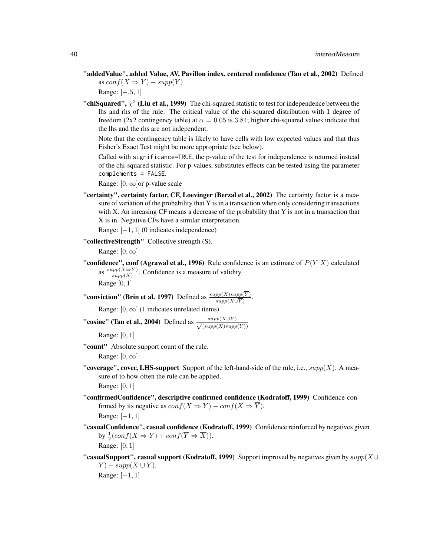"addedValue", added Value, AV, Pavillon index, centered confidence (Tan et al., 2002) Defined as  $conf(X \Rightarrow Y) - supp(Y)$ 

Range: [−.5, 1]

"chiSquared",  $\chi^2$  (Liu et al., 1999) The chi-squared statistic to test for independence between the lhs and rhs of the rule. The critical value of the chi-squared distribution with 1 degree of freedom (2x2 contingency table) at  $\alpha = 0.05$  is 3.84; higher chi-squared values indicate that the lhs and the rhs are not independent.

Note that the contingency table is likely to have cells with low expected values and that thus Fisher's Exact Test might be more appropriate (see below).

Called with significance=TRUE, the p-value of the test for independence is returned instead of the chi-squared statistic. For p-values, substitutes effects can be tested using the parameter complements = FALSE.

Range:  $[0, \infty]$ or p-value scale

"certainty", certainty factor, CF, Loevinger (Berzal et al., 2002) The certainty factor is a measure of variation of the probability that Y is in a transaction when only considering transactions with X. An inreasing CF means a decrease of the probability that Y is not in a transaction that X is in. Negative CFs have a similar interpretation.

Range: [−1, 1] (0 indicates independence)

"collectiveStrength" Collective strength (S).

Range:  $[0, \infty]$ 

**"confidence", conf (Agrawal et al., 1996)** Rule confidence is an estimate of  $P(Y|X)$  calculated as  $\frac{supp(X \Rightarrow Y)}{supp(Y)}$  $\frac{supp(X \to Y)}{supp(X)}$ . Confidence is a measure of validity. Range  $[0, 1]$ 

**"conviction" (Brin et al. 1997)** Defined as  $\frac{supp(X)supp(Y)}{supp(X \cup \overline{Y})}$ .

Range:  $[0, \infty]$  (1 indicates unrelated items)

"cosine" (Tan et al., 2004) Defined as  $\frac{supp(X \cup Y)}{\sqrt{(supp(X)supp(Y))}}$ 

Range: [0, 1]

"count" Absolute support count of the rule.

Range:  $[0, \infty]$ 

"coverage", cover, LHS-support Support of the left-hand-side of the rule, i.e.,  $supp(X)$ . A measure of to how often the rule can be applied.

Range: [0, 1]

"confirmedConfidence", descriptive confirmed confidence (Kodratoff, 1999) Confidence confirmed by its negative as  $conf(X \Rightarrow Y) - conf(X \Rightarrow \overline{Y})$ . Range: [−1, 1]

"casualConfidence", casual confidence (Kodratoff, 1999) Confidence reinforced by negatives given by  $\frac{1}{2}(conf(X \Rightarrow Y) + conf(\overline{Y} \Rightarrow \overline{X})).$ Range: [0, 1]

"casualSupport", casual support (Kodratoff, 1999) Support improved by negatives given by  $supp(X \cup$  $Y$ ) – supp $(\overline{X} \cup \overline{Y})$ . Range: [−1, 1]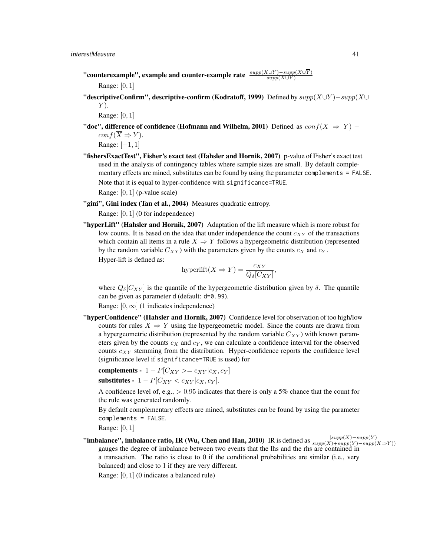- "counterexample", example and counter-example rate  $\frac{supp(X\cup Y)-supp(X\cup Y)}{supp(X\cup Y)}$ Range: [0, 1]
- "descriptiveConfirm", descriptive-confirm (Kodratoff, 1999) Defined by  $supp(X \cup Y) supp(X \cup Y)$  $\overline{Y}$ ).

Range: [0, 1]

- "doc", difference of confidence (Hofmann and Wilhelm, 2001) Defined as  $conf(X \Rightarrow Y)$   $conf(\overline{X} \Rightarrow Y).$ Range: [−1, 1]
- "fishersExactTest", Fisher's exact test (Hahsler and Hornik, 2007) p-value of Fisher's exact test used in the analysis of contingency tables where sample sizes are small. By default complementary effects are mined, substitutes can be found by using the parameter complements = FALSE. Note that it is equal to hyper-confidence with significance=TRUE.

Range: [0, 1] (p-value scale)

"gini", Gini index (Tan et al., 2004) Measures quadratic entropy.

Range: [0, 1] (0 for independence)

"hyperLift" (Hahsler and Hornik, 2007) Adaptation of the lift measure which is more robust for low counts. It is based on the idea that under independence the count  $c_{XY}$  of the transactions which contain all items in a rule  $X \Rightarrow Y$  follows a hypergeometric distribution (represented by the random variable  $C_{XY}$ ) with the parameters given by the counts  $c_X$  and  $c_Y$ .

Hyper-lift is defined as:

$$
\text{hyperlift}(X \Rightarrow Y) = \frac{c_{XY}}{Q_{\delta}[C_{XY}]},
$$

where  $Q_{\delta}[C_{XY}]$  is the quantile of the hypergeometric distribution given by  $\delta$ . The quantile can be given as parameter d (default: d=0.99).

Range:  $[0, \infty]$  (1 indicates independence)

"hyperConfidence" (Hahsler and Hornik, 2007) Confidence level for observation of too high/low counts for rules  $X \Rightarrow Y$  using the hypergeometric model. Since the counts are drawn from a hypergeometric distribution (represented by the random variable  $C_{XY}$ ) with known parameters given by the counts  $c<sub>X</sub>$  and  $c<sub>Y</sub>$ , we can calculate a confidence interval for the observed counts  $c_{XY}$  stemming from the distribution. Hyper-confidence reports the confidence level (significance level if significance=TRUE is used) for

complements - 1 –  $P[C_{XY} \geq c_{XY}|c_X, c_Y]$ 

substitutes -  $1 - P[C_{XY} < c_{XY}|c_X, c_Y].$ 

A confidence level of, e.g.,  $> 0.95$  indicates that there is only a 5% chance that the count for the rule was generated randomly.

By default complementary effects are mined, substitutes can be found by using the parameter complements = FALSE.

Range: [0, 1]

**"imbalance", imbalance ratio, IR (Wu, Chen and Han, 2010)** IR is defined as  $\frac{|supp(X)-supp(Y)|}{supp(Y)-supp(X \Rightarrow Y)}$ gauges the degree of imbalance between two events that the lhs and the rhs are contained in a transaction. The ratio is close to 0 if the conditional probabilities are similar (i.e., very balanced) and close to 1 if they are very different.

Range: [0, 1] (0 indicates a balanced rule)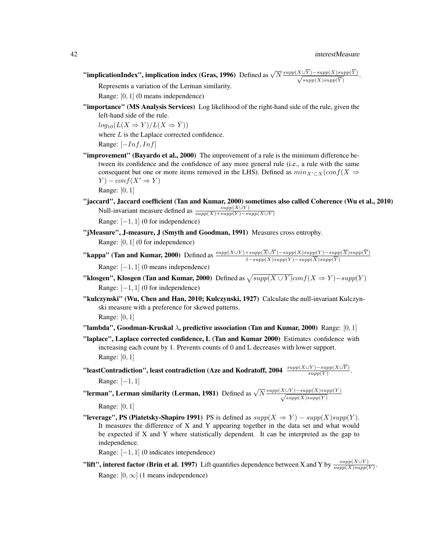**"implicationIndex", implication index (Gras, 1996)** Defined as  $\sqrt{N} \frac{supp(X \cup \overline{Y}) - supp(X)supp(\overline{Y})}{\sqrt{supp(X)supp(\overline{Y})}}$ .

Represents a variation of the Lerman similarity.

Range: [0, 1] (0 means independence)

"importance" (MS Analysis Services) Log likelihood of the right-hand side of the rule, given the left-hand side of the rule.

 $log_{10}(L(X \Rightarrow Y)/L(X \Rightarrow Y))$ 

where  $L$  is the Laplace corrected confidence.

Range:  $[-Inf, Inf]$ 

"improvement" (Bayardo et al., 2000) The improvement of a rule is the minimum difference between its confidence and the confidence of any more general rule (i.e., a rule with the same consequent but one or more items removed in the LHS). Defined as  $min_{X'\subset X}(conf(X \Rightarrow$  $Y$ ) – con $f(X' \Rightarrow Y)$ 

Range: [0, 1]

- "jaccard", Jaccard coefficient (Tan and Kumar, 2000) sometimes also called Coherence (Wu et al., 2010) Null-invariant measure defined as  $\frac{supp(X\cup Y)}{supp(X)+supp(Y)-supp(X\cup Y)}$ Range:  $[-1, 1]$  (0 for independence)
- "jMeasure", J-measure, J (Smyth and Goodman, 1991) Measures cross entrophy. Range: [0, 1] (0 for independence)
- **"kappa" (Tan and Kumar, 2000)** Defined as  $\frac{supp(X\cup Y)+supp(X\cup Y)-supp(X)supp(Y)-supp(X)supp(Y)}{1-supp(X)supp(Y)-supp(\overline{X})supp(\overline{Y})}$

Range:  $[-1, 1]$  (0 means independence)

- **"klosgen", Klosgen (Tan and Kumar, 2000)** Defined as  $\sqrt{supp(X \cup Y)}conf(X \Rightarrow Y) supp(Y)$ Range:  $[-1, 1]$  (0 for independence)
- "kulczynski" (Wu, Chen and Han, 2010; Kulczynski, 1927) Calculate the null-invariant Kulczynski measure with a preference for skewed patterns. Range: [0, 1]
- "lambda", Goodman-Kruskal  $\lambda$ , predictive association (Tan and Kumar, 2000) Range: [0, 1]
- "laplace", Laplace corrected confidence, L (Tan and Kumar 2000) Estimates confidence with increasing each count by 1. Prevents counts of 0 and L decreases with lower support. Range: [0, 1]
- "leastContradiction", least contradiction (Aze and Kodratoff, 2004  $\frac{supp(X\cup Y)-supp(X\cup Y)}{supp(Y)}$ . Range: [−1, 1]

"lerman", Lerman similarity (Lerman, 1981) Defined as  $\sqrt{N} \frac{supp(X \cup Y) - supp(X) supp(Y)}{\sqrt{supp(X) supp(Y)}}$ Range: [0, 1]

"leverage", PS (Piatetsky-Shapiro 1991) PS is defined as  $supp(X \Rightarrow Y) - supp(X) supp(Y)$ . It measures the difference of X and Y appearing together in the data set and what would be expected if X and Y where statistically dependent. It can be interpreted as the gap to independence.

Range: [−1, 1] (0 indicates intependence)

**"lift", interest factor (Brin et al. 1997)** Lift quantifies dependence between X and Y by  $\frac{supp(X\cup Y)}{supp(X)supp(Y)}$ . Range:  $[0, \infty]$  (1 means independence)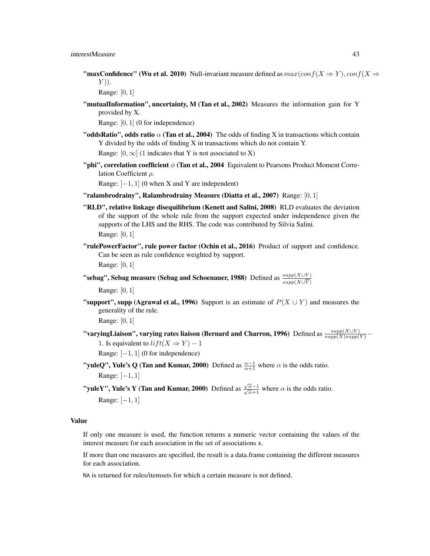**"maxConfidence" (Wu et al. 2010)** Null-invariant measure defined as  $max(conf(X \Rightarrow Y), conf(X \Rightarrow Y))$  $Y$ )).

Range: [0, 1]

"mutualInformation", uncertainty, M (Tan et al., 2002) Measures the information gain for Y provided by X.

Range: [0, 1] (0 for independence)

"oddsRatio", odds ratio  $\alpha$  (Tan et al., 2004) The odds of finding X in transactions which contain Y divided by the odds of finding X in transactions which do not contain Y.

Range:  $[0, \infty]$  (1 indicates that Y is not associated to X)

"phi", correlation coefficient  $\phi$  (Tan et al., 2004 Equivalent to Pearsons Product Moment Correlation Coefficient  $\rho$ .

Range:  $[-1, 1]$  (0 when X and Y are independent)

- "ralambrodrainy", Ralambrodrainy Measure (Diatta et al., 2007) Range:  $[0, 1]$
- "RLD", relative linkage disequilibrium (Kenett and Salini, 2008) RLD evaluates the deviation of the support of the whole rule from the support expected under independence given the supports of the LHS and the RHS. The code was contributed by Silvia Salini.

Range: [0, 1]

"rulePowerFactor", rule power factor (Ochin et al., 2016) Product of support and confidence. Can be seen as rule confidence weighted by support. Range: [0, 1]

"sebag", Sebag measure (Sebag and Schoenauer, 1988) Defined as  $\frac{supp(X \cup Y)}{supp(X \cup \overline{Y})}$ 

Range: [0, 1]

**"support", supp (Agrawal et al., 1996)** Support is an estimate of  $P(X \cup Y)$  and measures the generality of the rule.

Range: [0, 1]

"varyingLiaison", varying rates liaison (Bernard and Charron, 1996) Defined as  $\frac{supp(X\cup Y)}{supp(X)supp(Y)}$  – 1. Is equivalent to  $lift(X \Rightarrow Y) - 1$ 

Range:  $[-1, 1]$  (0 for independence)

"yuleQ", Yule's Q (Tan and Kumar, 2000) Defined as  $\frac{\alpha-1}{\alpha+1}$  where  $\alpha$  is the odds ratio. Range: [−1, 1]

**"yuleY", Yule's Y (Tan and Kumar, 2000)** Defined as  $\frac{\sqrt{\alpha}-1}{\sqrt{\alpha}+1}$  where  $\alpha$  is the odds ratio. Range: [−1, 1]

# Value

If only one measure is used, the function returns a numeric vector containing the values of the interest measure for each association in the set of associations x.

If more than one measures are specified, the result is a data.frame containing the different measures for each association.

NA is returned for rules/itemsets for which a certain measure is not defined.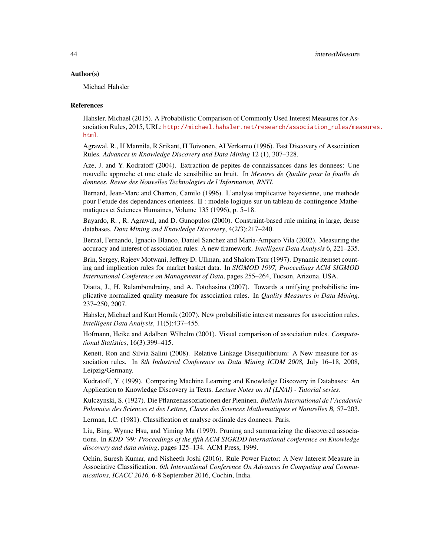### Author(s)

Michael Hahsler

#### References

Hahsler, Michael (2015). A Probabilistic Comparison of Commonly Used Interest Measures for Association Rules, 2015, URL: [http://michael.hahsler.net/research/association\\_rules/mea](http://michael.hahsler.net/research/association_rules/measures.html)sures. [html](http://michael.hahsler.net/research/association_rules/measures.html).

Agrawal, R., H Mannila, R Srikant, H Toivonen, AI Verkamo (1996). Fast Discovery of Association Rules. *Advances in Knowledge Discovery and Data Mining* 12 (1), 307–328.

Aze, J. and Y. Kodratoff (2004). Extraction de pepites de connaissances dans les donnees: Une nouvelle approche et une etude de sensibilite au bruit. In *Mesures de Qualite pour la fouille de donnees. Revue des Nouvelles Technologies de l'Information, RNTI.*

Bernard, Jean-Marc and Charron, Camilo (1996). L'analyse implicative bayesienne, une methode pour l'etude des dependances orientees. II : modele logique sur un tableau de contingence Mathematiques et Sciences Humaines, Volume 135 (1996), p. 5–18.

Bayardo, R. , R. Agrawal, and D. Gunopulos (2000). Constraint-based rule mining in large, dense databases. *Data Mining and Knowledge Discovery*, 4(2/3):217–240.

Berzal, Fernando, Ignacio Blanco, Daniel Sanchez and Maria-Amparo Vila (2002). Measuring the accuracy and interest of association rules: A new framework. *Intelligent Data Analysis* 6, 221–235.

Brin, Sergey, Rajeev Motwani, Jeffrey D. Ullman, and Shalom Tsur (1997). Dynamic itemset counting and implication rules for market basket data. In *SIGMOD 1997, Proceedings ACM SIGMOD International Conference on Management of Data*, pages 255–264, Tucson, Arizona, USA.

Diatta, J., H. Ralambondrainy, and A. Totohasina (2007). Towards a unifying probabilistic implicative normalized quality measure for association rules. In *Quality Measures in Data Mining,* 237–250, 2007.

Hahsler, Michael and Kurt Hornik (2007). New probabilistic interest measures for association rules. *Intelligent Data Analysis*, 11(5):437–455.

Hofmann, Heike and Adalbert Wilhelm (2001). Visual comparison of association rules. *Computational Statistics*, 16(3):399–415.

Kenett, Ron and Silvia Salini (2008). Relative Linkage Disequilibrium: A New measure for association rules. In *8th Industrial Conference on Data Mining ICDM 2008,* July 16–18, 2008, Leipzig/Germany.

Kodratoff, Y. (1999). Comparing Machine Learning and Knowledge Discovery in Databases: An Application to Knowledge Discovery in Texts. *Lecture Notes on AI (LNAI) - Tutorial series*.

Kulczynski, S. (1927). Die Pflanzenassoziationen der Pieninen. *Bulletin International de l'Academie Polonaise des Sciences et des Lettres, Classe des Sciences Mathematiques et Naturelles B,* 57–203.

Lerman, I.C. (1981). Classification et analyse ordinale des donnees. Paris.

Liu, Bing, Wynne Hsu, and Yiming Ma (1999). Pruning and summarizing the discovered associations. In *KDD '99: Proceedings of the fifth ACM SIGKDD international conference on Knowledge discovery and data mining*, pages 125–134. ACM Press, 1999.

Ochin, Suresh Kumar, and Nisheeth Joshi (2016). Rule Power Factor: A New Interest Measure in Associative Classification. *6th International Conference On Advances In Computing and Communications, ICACC 2016,* 6-8 September 2016, Cochin, India.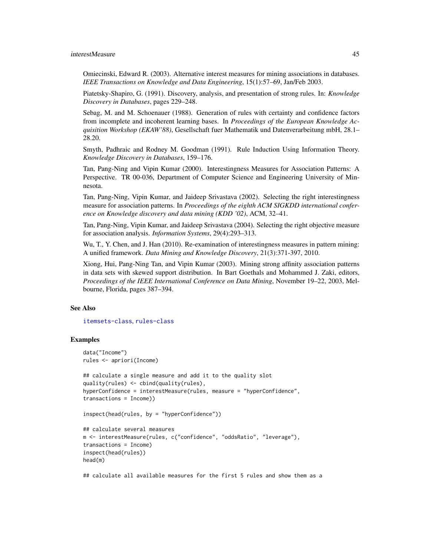Omiecinski, Edward R. (2003). Alternative interest measures for mining associations in databases. *IEEE Transactions on Knowledge and Data Engineering*, 15(1):57–69, Jan/Feb 2003.

Piatetsky-Shapiro, G. (1991). Discovery, analysis, and presentation of strong rules. In: *Knowledge Discovery in Databases*, pages 229–248.

Sebag, M. and M. Schoenauer (1988). Generation of rules with certainty and confidence factors from incomplete and incoherent learning bases. In *Proceedings of the European Knowledge Acquisition Workshop (EKAW'88)*, Gesellschaft fuer Mathematik und Datenverarbeitung mbH, 28.1– 28.20.

Smyth, Padhraic and Rodney M. Goodman (1991). Rule Induction Using Information Theory. *Knowledge Discovery in Databases*, 159–176.

Tan, Pang-Ning and Vipin Kumar (2000). Interestingness Measures for Association Patterns: A Perspective. TR 00-036, Department of Computer Science and Engineering University of Minnesota.

Tan, Pang-Ning, Vipin Kumar, and Jaideep Srivastava (2002). Selecting the right interestingness measure for association patterns. In *Proceedings of the eighth ACM SIGKDD international conference on Knowledge discovery and data mining (KDD '02)*, ACM, 32–41.

Tan, Pang-Ning, Vipin Kumar, and Jaideep Srivastava (2004). Selecting the right objective measure for association analysis. *Information Systems*, 29(4):293–313.

Wu, T., Y. Chen, and J. Han (2010). Re-examination of interestingness measures in pattern mining: A unified framework. *Data Mining and Knowledge Discovery*, 21(3):371-397, 2010.

Xiong, Hui, Pang-Ning Tan, and Vipin Kumar (2003). Mining strong affinity association patterns in data sets with skewed support distribution. In Bart Goethals and Mohammed J. Zaki, editors, *Proceedings of the IEEE International Conference on Data Mining*, November 19–22, 2003, Melbourne, Florida, pages 387–394.

### See Also

[itemsets-class](#page-59-0), [rules-class](#page-75-0)

## Examples

```
data("Income")
rules <- apriori(Income)
```

```
## calculate a single measure and add it to the quality slot
quality(rules) <- cbind(quality(rules),
hyperConfidence = interestMeasure(rules, measure = "hyperConfidence",
transactions = Income))
```

```
inspect(head(rules, by = "hyperConfidence"))
```

```
## calculate several measures
m <- interestMeasure(rules, c("confidence", "oddsRatio", "leverage"),
transactions = Income)
inspect(head(rules))
head(m)
```
## calculate all available measures for the first 5 rules and show them as a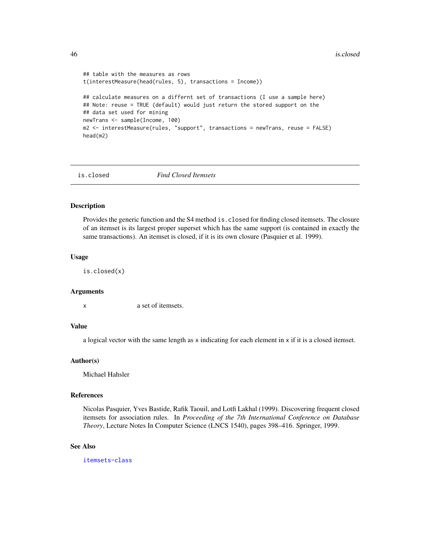```
## table with the measures as rows
t(interestMeasure(head(rules, 5), transactions = Income))
## calculate measures on a differnt set of transactions (I use a sample here)
## Note: reuse = TRUE (default) would just return the stored support on the
## data set used for mining
newTrans <- sample(Income, 100)
m2 <- interestMeasure(rules, "support", transactions = newTrans, reuse = FALSE)
head(m2)
```
is.closed *Find Closed Itemsets*

### **Description**

Provides the generic function and the S4 method is.closed for finding closed itemsets. The closure of an itemset is its largest proper superset which has the same support (is contained in exactly the same transactions). An itemset is closed, if it is its own closure (Pasquier et al. 1999).

#### Usage

is.closed(x)

#### Arguments

x a set of itemsets.

#### Value

a logical vector with the same length as x indicating for each element in x if it is a closed itemset.

### Author(s)

Michael Hahsler

### References

Nicolas Pasquier, Yves Bastide, Rafik Taouil, and Lotfi Lakhal (1999). Discovering frequent closed itemsets for association rules. In *Proceeding of the 7th International Conference on Database Theory*, Lecture Notes In Computer Science (LNCS 1540), pages 398–416. Springer, 1999.

#### See Also

[itemsets-class](#page-59-0)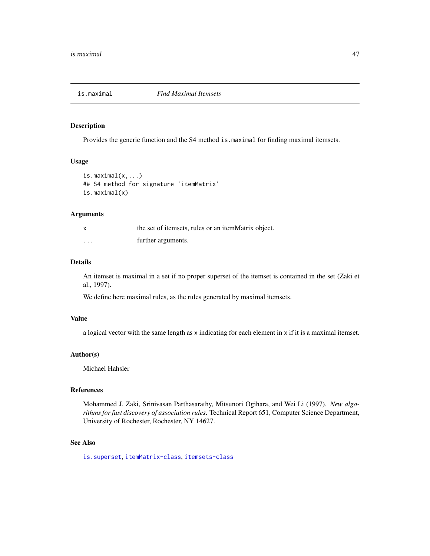<span id="page-46-0"></span>

#### Description

Provides the generic function and the S4 method is.maximal for finding maximal itemsets.

# Usage

```
is.maximal(x, \ldots)## S4 method for signature 'itemMatrix'
is.maximal(x)
```
### Arguments

|          | the set of itemsets, rules or an itemMatrix object. |
|----------|-----------------------------------------------------|
| $\cdots$ | further arguments.                                  |

## Details

An itemset is maximal in a set if no proper superset of the itemset is contained in the set (Zaki et al., 1997).

We define here maximal rules, as the rules generated by maximal itemsets.

#### Value

a logical vector with the same length as x indicating for each element in x if it is a maximal itemset.

### Author(s)

Michael Hahsler

# References

Mohammed J. Zaki, Srinivasan Parthasarathy, Mitsunori Ogihara, and Wei Li (1997). *New algorithms for fast discovery of association rules*. Technical Report 651, Computer Science Department, University of Rochester, Rochester, NY 14627.

#### See Also

[is.superset](#page-49-0), [itemMatrix-class](#page-55-0), [itemsets-class](#page-59-0)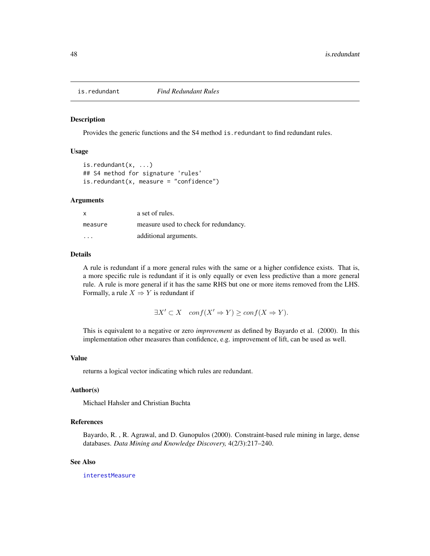#### Description

Provides the generic functions and the S4 method is.redundant to find redundant rules.

#### Usage

is.redundant(x, ...) ## S4 method for signature 'rules'  $is.readundant(x, measure = "confidence")$ 

### Arguments

| X                       | a set of rules.                       |
|-------------------------|---------------------------------------|
| measure                 | measure used to check for redundancy. |
| $\cdot$ $\cdot$ $\cdot$ | additional arguments.                 |

## Details

A rule is redundant if a more general rules with the same or a higher confidence exists. That is, a more specific rule is redundant if it is only equally or even less predictive than a more general rule. A rule is more general if it has the same RHS but one or more items removed from the LHS. Formally, a rule  $X \Rightarrow Y$  is redundant if

 $\exists X' \subset X$  conf( $X' \Rightarrow Y$ ) ≥ conf( $X \Rightarrow Y$ ).

This is equivalent to a negative or zero *improvement* as defined by Bayardo et al. (2000). In this implementation other measures than confidence, e.g. improvement of lift, can be used as well.

### Value

returns a logical vector indicating which rules are redundant.

# Author(s)

Michael Hahsler and Christian Buchta

# References

Bayardo, R. , R. Agrawal, and D. Gunopulos (2000). Constraint-based rule mining in large, dense databases. *Data Mining and Knowledge Discovery,* 4(2/3):217–240.

### See Also

[interestMeasure](#page-37-0)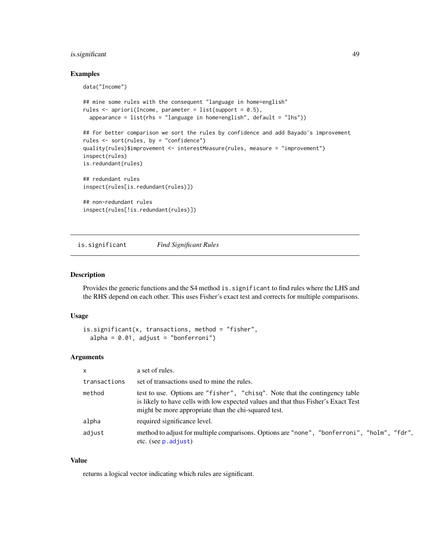# is.significant 49

#### Examples

data("Income")

```
## mine some rules with the consequent "language in home=english"
rules <- apriori(Income, parameter = list(support = 0.5),
 appearance = list(rhs = "language in home=english", default = "lhs"))## for better comparison we sort the rules by confidence and add Bayado's improvement
rules <- sort(rules, by = "confidence")
quality(rules)$improvement <- interestMeasure(rules, measure = "improvement")
inspect(rules)
is.redundant(rules)
## redundant rules
inspect(rules[is.redundant(rules)])
## non-redundant rules
inspect(rules[!is.redundant(rules)])
```
is.significant *Find Significant Rules*

### Description

Provides the generic functions and the S4 method is.significant to find rules where the LHS and the RHS depend on each other. This uses Fisher's exact test and corrects for multiple comparisons.

#### Usage

```
is.significant(x, transactions, method = "fisher",
  alpha = 0.01, adjust = "bonferroni")
```
#### **Arguments**

| $\mathsf{x}$ | a set of rules.                                                                                                                                                                                                           |
|--------------|---------------------------------------------------------------------------------------------------------------------------------------------------------------------------------------------------------------------------|
| transactions | set of transactions used to mine the rules.                                                                                                                                                                               |
| method       | test to use. Options are "fisher", "chisq". Note that the contingency table<br>is likely to have cells with low expected values and that thus Fisher's Exact Test<br>might be more appropriate than the chi-squared test. |
| alpha        | required significance level.                                                                                                                                                                                              |
| adjust       | method to adjust for multiple comparisons. Options are "none", "bonferroni", "holm", "fdr",<br>etc. (see p. adjust)                                                                                                       |

### Value

returns a logical vector indicating which rules are significant.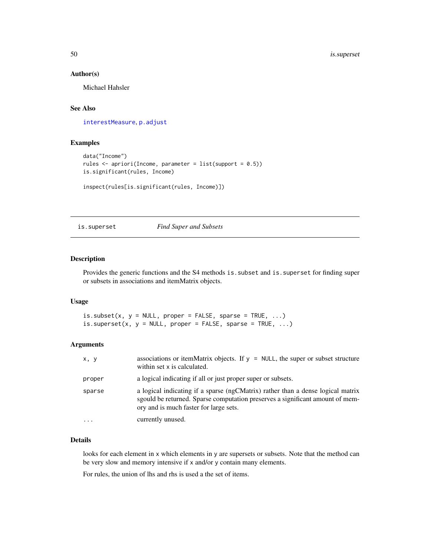## Author(s)

Michael Hahsler

# See Also

[interestMeasure](#page-37-0), [p.adjust](#page-0-0)

# Examples

```
data("Income")
rules <- apriori(Income, parameter = list(support = 0.5))
is.significant(rules, Income)
```

```
inspect(rules[is.significant(rules, Income)])
```
<span id="page-49-0"></span>is.superset *Find Super and Subsets*

## <span id="page-49-1"></span>Description

Provides the generic functions and the S4 methods is.subset and is.superset for finding super or subsets in associations and itemMatrix objects.

# Usage

is.subset(x,  $y = NULL$ , proper = FALSE, sparse = TRUE, ...) is.superset(x,  $y = NULL$ , proper = FALSE, sparse = TRUE, ...)

#### Arguments

| x, y   | associations or itemMatrix objects. If $y = NULL$ , the super or subset structure<br>within set x is calculated.                                                                                           |
|--------|------------------------------------------------------------------------------------------------------------------------------------------------------------------------------------------------------------|
| proper | a logical indicating if all or just proper super or subsets.                                                                                                                                               |
| sparse | a logical indicating if a sparse (ngCMatrix) rather than a dense logical matrix<br>sgould be returned. Sparse computation preserves a significant amount of mem-<br>ory and is much faster for large sets. |
| .      | currently unused.                                                                                                                                                                                          |

# Details

looks for each element in x which elements in y are supersets or subsets. Note that the method can be very slow and memory intensive if x and/or y contain many elements.

For rules, the union of lhs and rhs is used a the set of items.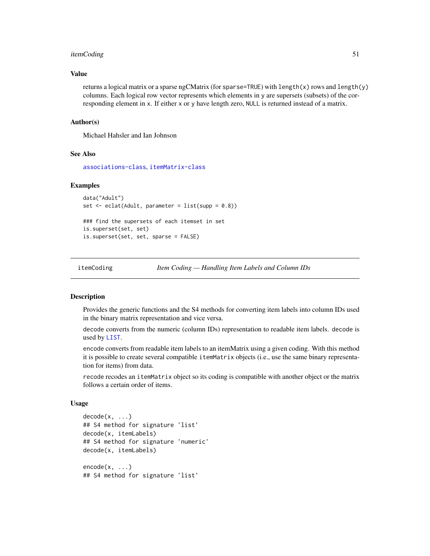# itemCoding 51

### Value

returns a logical matrix or a sparse ngCMatrix (for sparse=TRUE) with length(x) rows and length(y) columns. Each logical row vector represents which elements in y are supersets (subsets) of the corresponding element in x. If either x or y have length zero, NULL is returned instead of a matrix.

#### Author(s)

Michael Hahsler and Ian Johnson

#### See Also

[associations-class](#page-14-0), [itemMatrix-class](#page-55-0)

#### Examples

```
data("Adult")
set \leq eclat(Adult, parameter = list(supp = 0.8))
### find the supersets of each itemset in set
is.superset(set, set)
is.superset(set, set, sparse = FALSE)
```
<span id="page-50-0"></span>

itemCoding *Item Coding — Handling Item Labels and Column IDs*

## <span id="page-50-1"></span>Description

Provides the generic functions and the S4 methods for converting item labels into column IDs used in the binary matrix representation and vice versa.

decode converts from the numeric (column IDs) representation to readable item labels. decode is used by [LIST](#page-61-0).

encode converts from readable item labels to an itemMatrix using a given coding. With this method it is possible to create several compatible itemMatrix objects (i.e., use the same binary representation for items) from data.

recode recodes an itemMatrix object so its coding is compatible with another object or the matrix follows a certain order of items.

#### Usage

```
decode(x, \ldots)## S4 method for signature 'list'
decode(x, itemLabels)
## S4 method for signature 'numeric'
decode(x, itemLabels)
encode(x, \ldots)## S4 method for signature 'list'
```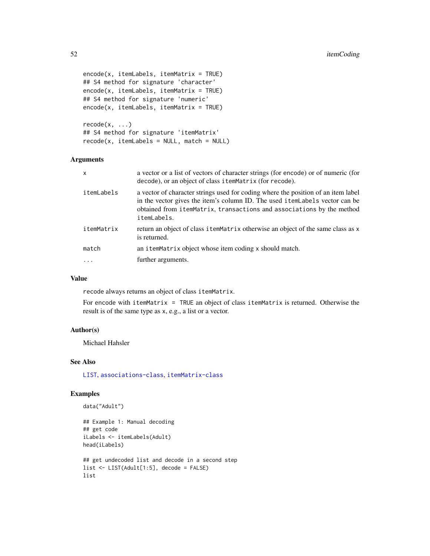```
encode(x, itemLabels, itemMatrix = TRUE)
## S4 method for signature 'character'
encode(x, itemLabels, itemMatrix = TRUE)
## S4 method for signature 'numeric'
encode(x, itemLabels, itemMatrix = TRUE)
```
 $recode(x, \ldots)$ ## S4 method for signature 'itemMatrix'  $recode(x, itemLabels = NULL, match = NULL)$ 

## Arguments

| x          | a vector or a list of vectors of character strings (for encode) or of numeric (for<br>decode), or an object of class itemMatrix (for recode).                                                                                                            |
|------------|----------------------------------------------------------------------------------------------------------------------------------------------------------------------------------------------------------------------------------------------------------|
| itemLabels | a vector of character strings used for coding where the position of an item label<br>in the vector gives the item's column ID. The used itemLabels vector can be<br>obtained from itemMatrix, transactions and associations by the method<br>itemLabels. |
| itemMatrix | return an object of class item Matrix otherwise an object of the same class as x<br>is returned.                                                                                                                                                         |
| match      | an itemMatrix object whose item coding x should match.                                                                                                                                                                                                   |
| $\ddots$ . | further arguments.                                                                                                                                                                                                                                       |

### Value

recode always returns an object of class itemMatrix.

For encode with itemMatrix = TRUE an object of class itemMatrix is returned. Otherwise the result is of the same type as x, e.g., a list or a vector.

### Author(s)

Michael Hahsler

### See Also

[LIST](#page-61-0), [associations-class](#page-14-0), [itemMatrix-class](#page-55-0)

# Examples

```
data("Adult")
```

```
## Example 1: Manual decoding
## get code
iLabels <- itemLabels(Adult)
head(iLabels)
## get undecoded list and decode in a second step
list <- LIST(Adult[1:5], decode = FALSE)
list
```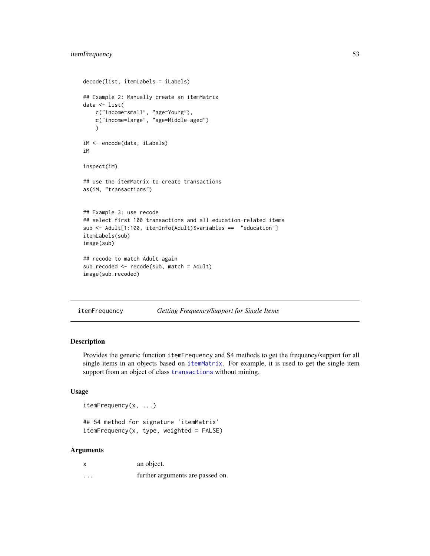# itemFrequency 53

```
decode(list, itemLabels = iLabels)
## Example 2: Manually create an itemMatrix
data <- list(
   c("income=small", "age=Young"),
   c("income=large", "age=Middle-aged")
   )
iM <- encode(data, iLabels)
iM
inspect(iM)
## use the itemMatrix to create transactions
as(iM, "transactions")
## Example 3: use recode
## select first 100 transactions and all education-related items
sub <- Adult[1:100, itemInfo(Adult)$variables == "education"]
itemLabels(sub)
image(sub)
## recode to match Adult again
sub.recoded <- recode(sub, match = Adult)
image(sub.recoded)
```

```
itemFrequency Getting Frequency/Support for Single Items
```
## Description

Provides the generic function itemFrequency and S4 methods to get the frequency/support for all single items in an objects based on [itemMatrix](#page-55-0). For example, it is used to get the single item support from an object of class [transactions](#page-88-0) without mining.

# Usage

itemFrequency(x, ...)

```
## S4 method for signature 'itemMatrix'
itemFrequency(x, type, weighted = FALSE)
```
#### **Arguments**

|          | an object.                       |
|----------|----------------------------------|
| $\cdots$ | further arguments are passed on. |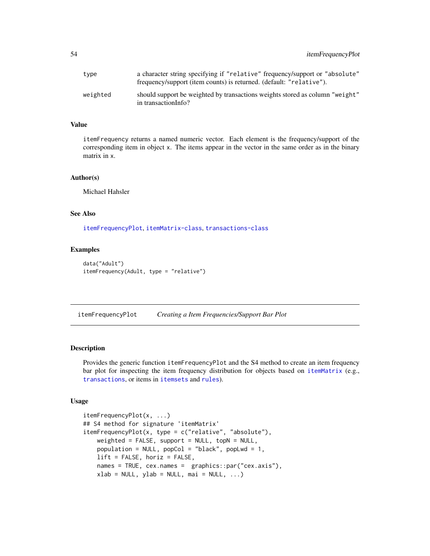| type     | a character string specifying if "relative" frequency/support or "absolute"<br>frequency/support (item counts) is returned. (default: "relative"). |
|----------|----------------------------------------------------------------------------------------------------------------------------------------------------|
| weighted | should support be weighted by transactions weights stored as column "weight"<br>in transactionInfo?                                                |

### Value

itemFrequency returns a named numeric vector. Each element is the frequency/support of the corresponding item in object x. The items appear in the vector in the same order as in the binary matrix in x.

#### Author(s)

Michael Hahsler

# See Also

[itemFrequencyPlot](#page-53-0), [itemMatrix-class](#page-55-0), [transactions-class](#page-88-0)

#### Examples

```
data("Adult")
itemFrequency(Adult, type = "relative")
```
<span id="page-53-0"></span>itemFrequencyPlot *Creating a Item Frequencies/Support Bar Plot*

### Description

Provides the generic function itemFrequencyPlot and the S4 method to create an item frequency bar plot for inspecting the item frequency distribution for objects based on [itemMatrix](#page-55-0) (e.g., [transactions](#page-88-0), or items in [itemsets](#page-59-0) and [rules](#page-75-0)).

## Usage

```
itemFrequencyPlot(x, ...)
## S4 method for signature 'itemMatrix'
itemFrequencyPlot(x, type = c("relative", "absolute"),
   weighted = FALSE, support = NULL, topN = NULL,
   population = NULL, popCol = "black", popLwd = 1,
   lift = FALSE, horiz = FALSE,names = TRUE, cex.names = graphics::par("cex.axis"),
   xlab = NULL, ylab = NULL, mai = NULL, ...)
```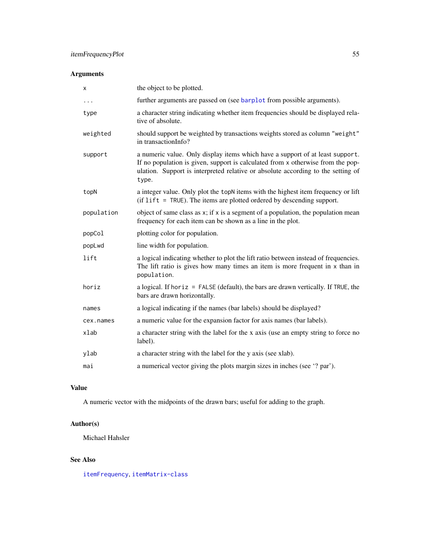# Arguments

| X          | the object to be plotted.                                                                                                                                                                                                                                     |
|------------|---------------------------------------------------------------------------------------------------------------------------------------------------------------------------------------------------------------------------------------------------------------|
| $\cdots$   | further arguments are passed on (see barplot from possible arguments).                                                                                                                                                                                        |
| type       | a character string indicating whether item frequencies should be displayed rela-<br>tive of absolute.                                                                                                                                                         |
| weighted   | should support be weighted by transactions weights stored as column "weight"<br>in transactionInfo?                                                                                                                                                           |
| support    | a numeric value. Only display items which have a support of at least support.<br>If no population is given, support is calculated from x otherwise from the pop-<br>ulation. Support is interpreted relative or absolute according to the setting of<br>type. |
| topN       | a integer value. Only plot the topN items with the highest item frequency or lift<br>$(i$ f lift = TRUE). The items are plotted ordered by descending support.                                                                                                |
| population | object of same class as x; if x is a segment of a population, the population mean<br>frequency for each item can be shown as a line in the plot.                                                                                                              |
|            |                                                                                                                                                                                                                                                               |
| popCol     | plotting color for population.                                                                                                                                                                                                                                |
| popLwd     | line width for population.                                                                                                                                                                                                                                    |
| lift       | a logical indicating whether to plot the lift ratio between instead of frequencies.<br>The lift ratio is gives how many times an item is more frequent in $x$ than in<br>population.                                                                          |
| horiz      | a logical. If horiz = $FALSE$ (default), the bars are drawn vertically. If $TRUE$ , the<br>bars are drawn horizontally.                                                                                                                                       |
| names      | a logical indicating if the names (bar labels) should be displayed?                                                                                                                                                                                           |
| cex.names  | a numeric value for the expansion factor for axis names (bar labels).                                                                                                                                                                                         |
| xlab       | a character string with the label for the x axis (use an empty string to force no<br>label).                                                                                                                                                                  |
| ylab       | a character string with the label for the y axis (see xlab).                                                                                                                                                                                                  |

# Value

A numeric vector with the midpoints of the drawn bars; useful for adding to the graph.

# Author(s)

Michael Hahsler

# See Also

[itemFrequency](#page-52-0), [itemMatrix-class](#page-55-0)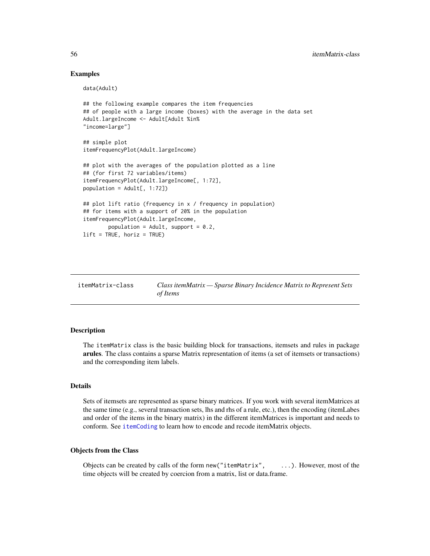### Examples

data(Adult)

```
## the following example compares the item frequencies
## of people with a large income (boxes) with the average in the data set
Adult.largeIncome <- Adult[Adult %in%
"income=large"]
## simple plot
itemFrequencyPlot(Adult.largeIncome)
## plot with the averages of the population plotted as a line
## (for first 72 variables/items)
itemFrequencyPlot(Adult.largeIncome[, 1:72],
population = Adult[, 1:72])## plot lift ratio (frequency in x / frequency in population)
## for items with a support of 20% in the population
itemFrequencyPlot(Adult.largeIncome,
       population = Adult, support = 0.2,
lift = TRUE, horiz = TRUE)
```
<span id="page-55-0"></span>

| itemMatrix-class | Class itemMatrix - Sparse Binary Incidence Matrix to Represent Sets |
|------------------|---------------------------------------------------------------------|
|                  | of Items                                                            |

### Description

The itemMatrix class is the basic building block for transactions, itemsets and rules in package arules. The class contains a sparse Matrix representation of items (a set of itemsets or transactions) and the corresponding item labels.

## Details

Sets of itemsets are represented as sparse binary matrices. If you work with several itemMatrices at the same time (e.g., several transaction sets, lhs and rhs of a rule, etc.), then the encoding (itemLabes and order of the items in the binary matrix) in the different itemMatrices is important and needs to conform. See [itemCoding](#page-50-0) to learn how to encode and recode itemMatrix objects.

### Objects from the Class

Objects can be created by calls of the form new("itemMatrix", ...). However, most of the time objects will be created by coercion from a matrix, list or data.frame.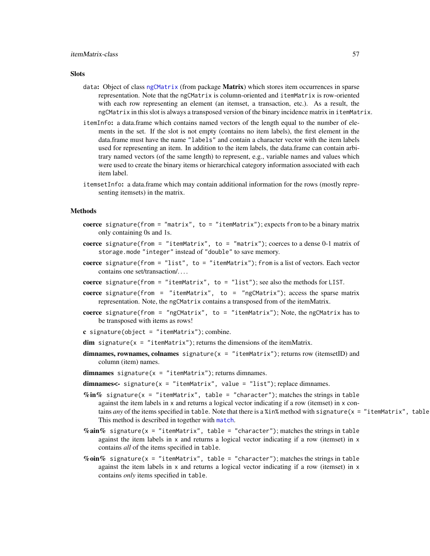### **Slots**

- data: Object of class [ngCMatrix](#page-0-0) (from package **Matrix**) which stores item occurrences in sparse representation. Note that the ngCMatrix is column-oriented and itemMatrix is row-oriented with each row representing an element (an itemset, a transaction, etc.). As a result, the ngCMatrix in this slot is always a transposed version of the binary incidence matrix in itemMatrix.
- itemInfo: a data.frame which contains named vectors of the length equal to the number of elements in the set. If the slot is not empty (contains no item labels), the first element in the data.frame must have the name "labels" and contain a character vector with the item labels used for representing an item. In addition to the item labels, the data.frame can contain arbitrary named vectors (of the same length) to represent, e.g., variable names and values which were used to create the binary items or hierarchical category information associated with each item label.
- itemsetInfo: a data.frame which may contain additional information for the rows (mostly representing itemsets) in the matrix.

#### Methods

- coerce signature(from = "matrix", to = "itemMatrix"); expects from to be a binary matrix only containing 0s and 1s.
- coerce signature(from = "itemMatrix", to = "matrix"); coerces to a dense  $0-1$  matrix of storage.mode "integer" instead of "double" to save memory.
- coerce signature(from = "list", to = "itemMatrix"); from is a list of vectors. Each vector contains one set/transaction/. . . .
- coerce signature(from = "itemMatrix", to = "list"); see also the methods for LIST.
- coerce signature(from = "itemMatrix", to = "ngCMatrix"); access the sparse matrix representation. Note, the ngCMatrix contains a transposed from of the itemMatrix.
- coerce signature(from = "ngCMatrix", to = "itemMatrix"); Note, the ngCMatrix has to be transposed with items as rows!
- c signature(object = "itemMatrix"); combine.
- $dim$  signature(x = "itemMatrix"); returns the dimensions of the itemMatrix.
- dimnames, rownames, colnames signature( $x =$  "itemMatrix"); returns row (itemsetID) and column (item) names.
- dimnames signature( $x =$  "itemMatrix"); returns dimnames.
- dimnames<- signature( $x =$  "itemMatrix", value = "list"); replace dimnames.
- $\%$ in% signature(x = "itemMatrix", table = "character"); matches the strings in table against the item labels in x and returns a logical vector indicating if a row (itemset) in x contains *any* of the items specified in table. Note that there is a %in% method with signature( $x = "itemMatrix",$  table This method is described in together with [match](#page-63-0).
- % $\sin\%$  signature(x = "itemMatrix", table = "character"); matches the strings in table against the item labels in x and returns a logical vector indicating if a row (itemset) in x contains *all* of the items specified in table.
- % $\delta$  oin% signature(x = "itemMatrix", table = "character"); matches the strings in table against the item labels in x and returns a logical vector indicating if a row (itemset) in x contains *only* items specified in table.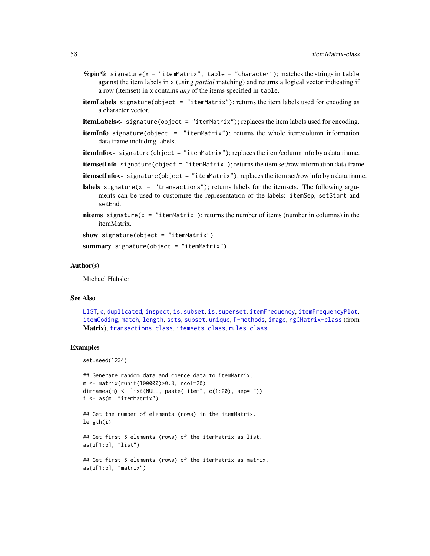- $%$ pin% signature(x = "itemMatrix", table = "character"); matches the strings in table against the item labels in x (using *partial* matching) and returns a logical vector indicating if a row (itemset) in x contains *any* of the items specified in table.
- itemLabels signature(object = "itemMatrix"); returns the item labels used for encoding as a character vector.
- itemLabels<- signature(object = "itemMatrix"); replaces the item labels used for encoding.
- **itemInfo** signature(object = "itemMatrix"); returns the whole item/column information data.frame including labels.
- itemInfo<- signature(object = "itemMatrix"); replaces the item/column info by a data.frame.

itemsetInfo signature(object = "itemMatrix"); returns the item set/row information data.frame.

itemsetInfo<- signature(object = "itemMatrix"); replaces the item set/row info by a data.frame.

- **labels** signature( $x =$  "transactions"); returns labels for the itemsets. The following arguments can be used to customize the representation of the labels: itemSep, setStart and setEnd.
- nitems signature( $x =$  "itemMatrix"); returns the number of items (number in columns) in the itemMatrix.

```
show signature(object = "itemMatrix")
```
summary signature(object = "itemMatrix")

#### Author(s)

Michael Hahsler

#### See Also

[LIST](#page-61-0), [c](#page-15-0), [duplicated](#page-26-0), [inspect](#page-37-1), [is.subset](#page-49-1), [is.superset](#page-49-0), [itemFrequency](#page-52-0), [itemFrequencyPlot](#page-53-0), [itemCoding](#page-50-0), [match](#page-63-0), [length](#page-60-0), [sets](#page-78-0), [subset](#page-81-0), [unique](#page-92-0), [\[-methods](#page-96-0), [image](#page-34-0), [ngCMatrix-class](#page-0-0) (from Matrix), [transactions-class](#page-88-0), [itemsets-class](#page-59-0), [rules-class](#page-75-0)

#### Examples

set.seed(1234)

```
## Generate random data and coerce data to itemMatrix.
m <- matrix(runif(100000)>0.8, ncol=20)
dimnames(m) <- list(NULL, paste("item", c(1:20), sep=""))
i <- as(m, "itemMatrix")
```

```
## Get the number of elements (rows) in the itemMatrix.
length(i)
```

```
## Get first 5 elements (rows) of the itemMatrix as list.
as(i[1:5], "list")
```

```
## Get first 5 elements (rows) of the itemMatrix as matrix.
as(i[1:5], "matrix")
```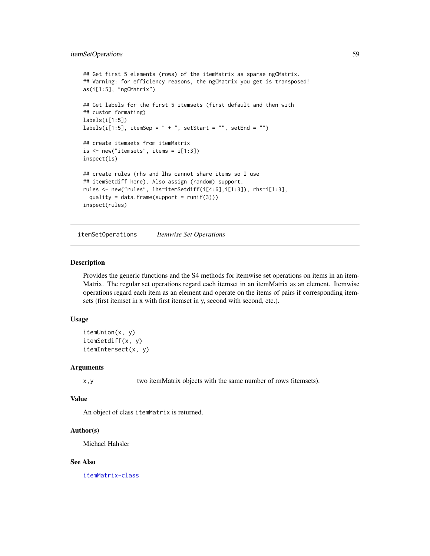```
## Get first 5 elements (rows) of the itemMatrix as sparse ngCMatrix.
## Warning: for efficiency reasons, the ngCMatrix you get is transposed!
as(i[1:5], "ngCMatrix")
## Get labels for the first 5 itemsets (first default and then with
## custom formating)
labels(i[1:5])
labels(i[1:5], itemSep = " + ", setStart = "", setEnd = "")## create itemsets from itemMatrix
is < -new("itemsets", items = i[1:3])inspect(is)
## create rules (rhs and lhs cannot share items so I use
## itemSetdiff here). Also assign (random) support.
rules <- new("rules", lhs=itemSetdiff(i[4:6],i[1:3]), rhs=i[1:3],
 quality = data.frame(support = runif(3)))
inspect(rules)
```
itemSetOperations *Itemwise Set Operations*

#### Description

Provides the generic functions and the S4 methods for itemwise set operations on items in an item-Matrix. The regular set operations regard each itemset in an itemMatrix as an element. Itemwise operations regard each item as an element and operate on the items of pairs if corresponding itemsets (first itemset in x with first itemset in y, second with second, etc.).

#### Usage

```
itemUnion(x, y)
itemSetdiff(x, y)
itemIntersect(x, y)
```
### **Arguments**

x,y two itemMatrix objects with the same number of rows (itemsets).

# Value

An object of class itemMatrix is returned.

#### Author(s)

Michael Hahsler

### See Also

[itemMatrix-class](#page-55-0)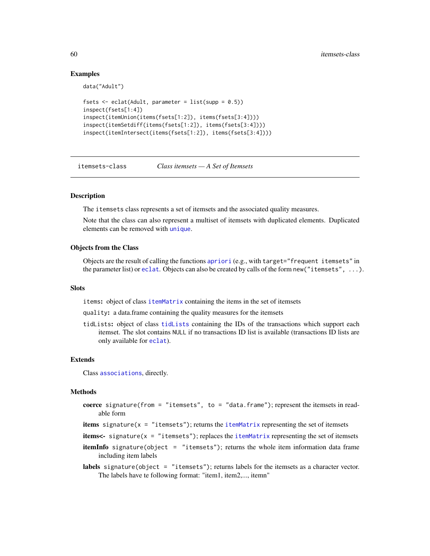# Examples

data("Adult")

```
fsets \leq eclat(Adult, parameter = list(supp = 0.5))
inspect(fsets[1:4])
inspect(itemUnion(items(fsets[1:2]), items(fsets[3:4])))
inspect(itemSetdiff(items(fsets[1:2]), items(fsets[3:4])))
inspect(itemIntersect(items(fsets[1:2]), items(fsets[3:4])))
```
<span id="page-59-0"></span>itemsets-class *Class itemsets — A Set of Itemsets*

#### Description

The itemsets class represents a set of itemsets and the associated quality measures.

Note that the class can also represent a multiset of itemsets with duplicated elements. Duplicated elements can be removed with [unique](#page-92-0).

#### Objects from the Class

Objects are the result of calling the functions [apriori](#page-9-0) (e.g., with target="frequent itemsets" in the parameter list) or [eclat](#page-27-0). Objects can also be created by calls of the form new("itemsets", ...).

#### **Slots**

items: object of class [itemMatrix](#page-55-0) containing the items in the set of itemsets

quality: a data.frame containing the quality measures for the itemsets

tidLists: object of class [tidLists](#page-86-0) containing the IDs of the transactions which support each itemset. The slot contains NULL if no transactions ID list is available (transactions ID lists are only available for [eclat](#page-27-0)).

# Extends

Class [associations](#page-14-0), directly.

#### Methods

- coerce signature(from = "itemsets", to = "data.frame"); represent the itemsets in readable form
- items signature( $x =$  "itemsets"); returns the [itemMatrix](#page-55-0) representing the set of itemsets
- items<- signature( $x =$  "itemsets"); replaces the [itemMatrix](#page-55-0) representing the set of itemsets
- **itemInfo** signature(object = "itemsets"); returns the whole item information data frame including item labels
- labels signature(object = "itemsets"); returns labels for the itemsets as a character vector. The labels have te following format: "item1, item2,..., itemn"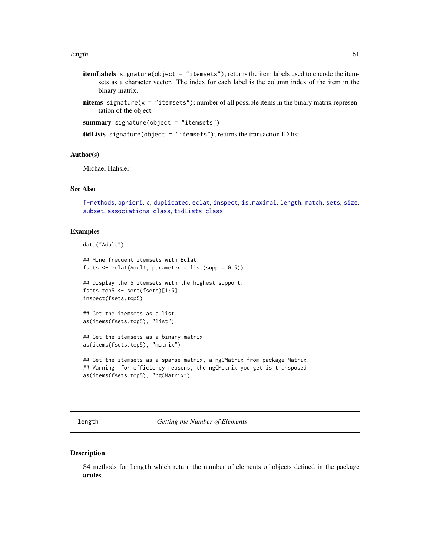#### length 61

- itemLabels signature(object = "itemsets"); returns the item labels used to encode the itemsets as a character vector. The index for each label is the column index of the item in the binary matrix.
- nitems signature( $x =$  "itemsets"); number of all possible items in the binary matrix representation of the object.

summary signature(object = "itemsets")

tidLists signature(object = "itemsets"); returns the transaction ID list

# Author(s)

Michael Hahsler

# See Also

```
[-methods, apriori, c, duplicated, eclat, inspect, is.maximal, length, match, sets, size,
subset, associations-class, tidLists-class
```
#### Examples

data("Adult")

```
## Mine frequent itemsets with Eclat.
fsets \leq eclat(Adult, parameter = list(supp = 0.5))
```
## Display the 5 itemsets with the highest support. fsets.top5 <- sort(fsets)[1:5] inspect(fsets.top5)

```
## Get the itemsets as a list
as(items(fsets.top5), "list")
```
## Get the itemsets as a binary matrix as(items(fsets.top5), "matrix")

## Get the itemsets as a sparse matrix, a ngCMatrix from package Matrix. ## Warning: for efficiency reasons, the ngCMatrix you get is transposed as(items(fsets.top5), "ngCMatrix")

<span id="page-60-0"></span>length *Getting the Number of Elements*

#### Description

S4 methods for length which return the number of elements of objects defined in the package arules.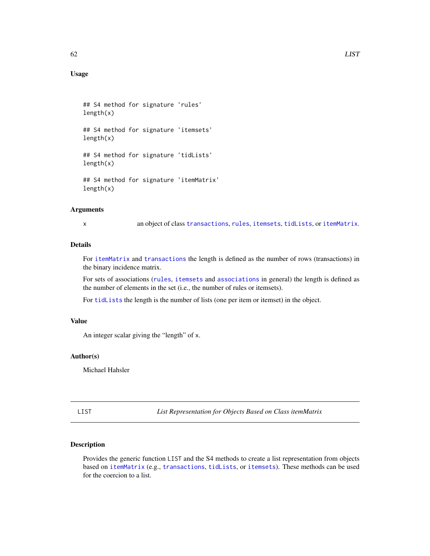# Usage

```
## S4 method for signature 'rules'
length(x)
## S4 method for signature 'itemsets'
length(x)
## S4 method for signature 'tidLists'
length(x)
## S4 method for signature 'itemMatrix'
length(x)
```
### Arguments

x an object of class [transactions](#page-88-0), [rules](#page-75-0), [itemsets](#page-59-0), [tidLists](#page-86-0), or [itemMatrix](#page-55-0).

# Details

For [itemMatrix](#page-55-0) and [transactions](#page-88-0) the length is defined as the number of rows (transactions) in the binary incidence matrix.

For sets of associations ([rules](#page-75-0), [itemsets](#page-59-0) and [associations](#page-14-0) in general) the length is defined as the number of elements in the set (i.e., the number of rules or itemsets).

For [tidLists](#page-86-0) the length is the number of lists (one per item or itemset) in the object.

# Value

An integer scalar giving the "length" of x.

# Author(s)

Michael Hahsler

<span id="page-61-0"></span>LIST *List Representation for Objects Based on Class itemMatrix*

# **Description**

Provides the generic function LIST and the S4 methods to create a list representation from objects based on [itemMatrix](#page-55-0) (e.g., [transactions](#page-88-0), [tidLists](#page-86-0), or [itemsets](#page-59-0)). These methods can be used for the coercion to a list.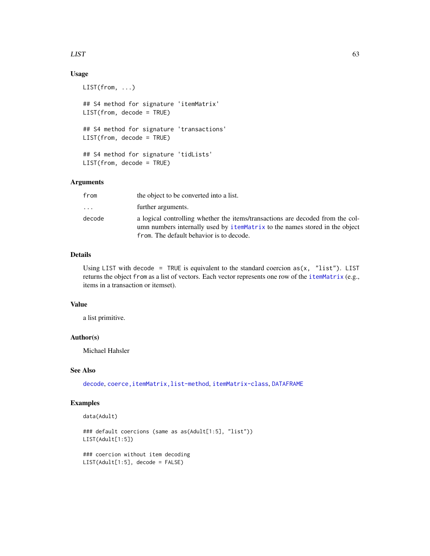### $LIST$  63

# Usage

```
LIST(from, ...)
## S4 method for signature 'itemMatrix'
LIST(from, decode = TRUE)
## S4 method for signature 'transactions'
LIST(from, decode = TRUE)
## S4 method for signature 'tidLists'
LIST(from, decode = TRUE)
```
# Arguments

| from     | the object to be converted into a list.                                                                                                                                                                   |
|----------|-----------------------------------------------------------------------------------------------------------------------------------------------------------------------------------------------------------|
| $\ddots$ | further arguments.                                                                                                                                                                                        |
| decode   | a logical controlling whether the items/transactions are decoded from the col-<br>umn numbers internally used by itemMatrix to the names stored in the object<br>from. The default behavior is to decode. |

# Details

Using LIST with decode = TRUE is equivalent to the standard coercion  $as(x, 'list')$ . LIST returns the object from as a list of vectors. Each vector represents one row of the [itemMatrix](#page-55-0) (e.g., items in a transaction or itemset).

### Value

a list primitive.

#### Author(s)

Michael Hahsler

# See Also

[decode](#page-50-1), coerce, itemMatrix, list-method, [itemMatrix-class](#page-55-0), [DATAFRAME](#page-19-0)

## Examples

```
data(Adult)
```

```
### default coercions (same as as(Adult[1:5], "list"))
LIST(Adult[1:5])
```
### coercion without item decoding LIST(Adult[1:5], decode = FALSE)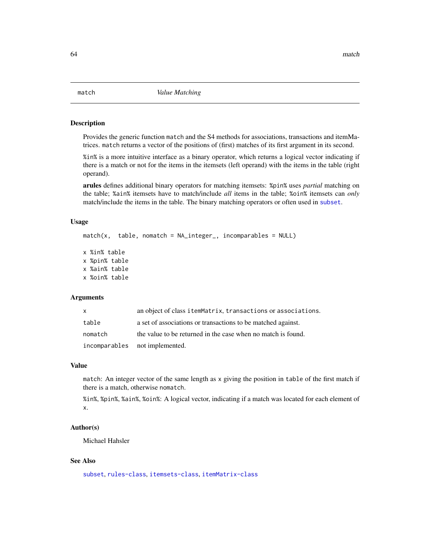<span id="page-63-0"></span>

## Description

Provides the generic function match and the S4 methods for associations, transactions and itemMatrices. match returns a vector of the positions of (first) matches of its first argument in its second.

%in% is a more intuitive interface as a binary operator, which returns a logical vector indicating if there is a match or not for the items in the itemsets (left operand) with the items in the table (right operand).

arules defines additional binary operators for matching itemsets: %pin% uses *partial* matching on the table; %ain% itemsets have to match/include *all* items in the table; %oin% itemsets can *only* match/include the items in the table. The binary matching operators or often used in [subset](#page-81-0).

### Usage

```
match(x, table, nomatch = NA_integer_, incomparables = NULL)
x %in% table
x %pin% table
x %ain% table
x %oin% table
```
## Arguments

| X       | an object of class itemMatrix, transactions or associations. |
|---------|--------------------------------------------------------------|
| table   | a set of associations or transactions to be matched against. |
| nomatch | the value to be returned in the case when no match is found. |
|         | incomparables not implemented.                               |

#### Value

match: An integer vector of the same length as x giving the position in table of the first match if there is a match, otherwise nomatch.

%in%, %pin%, %ain%, %oin%: A logical vector, indicating if a match was located for each element of x.

### Author(s)

Michael Hahsler

# See Also

[subset](#page-81-0), [rules-class](#page-75-0), [itemsets-class](#page-59-0), [itemMatrix-class](#page-55-0)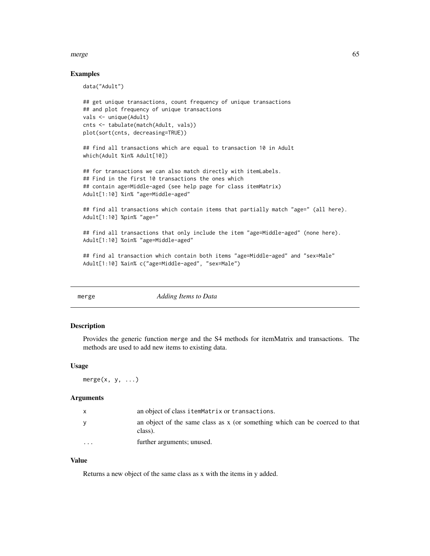#### merge 65

### Examples

data("Adult")

```
## get unique transactions, count frequency of unique transactions
## and plot frequency of unique transactions
vals <- unique(Adult)
cnts <- tabulate(match(Adult, vals))
plot(sort(cnts, decreasing=TRUE))
```
## find all transactions which are equal to transaction 10 in Adult which(Adult %in% Adult[10])

```
## for transactions we can also match directly with itemLabels.
## Find in the first 10 transactions the ones which
## contain age=Middle-aged (see help page for class itemMatrix)
Adult[1:10] %in% "age=Middle-aged"
```

```
## find all transactions which contain items that partially match "age=" (all here).
Adult[1:10] %pin% "age="
```

```
## find all transactions that only include the item "age=Middle-aged" (none here).
Adult[1:10] %oin% "age=Middle-aged"
```

```
## find al transaction which contain both items "age=Middle-aged" and "sex=Male"
Adult[1:10] %ain% c("age=Middle-aged", "sex=Male")
```
merge *Adding Items to Data*

#### **Description**

Provides the generic function merge and the S4 methods for itemMatrix and transactions. The methods are used to add new items to existing data.

#### Usage

 $merge(x, y, ...)$ 

#### Arguments

|          | an object of class itemMatrix or transactions.                                         |
|----------|----------------------------------------------------------------------------------------|
|          | an object of the same class as x (or something which can be coerced to that<br>class). |
| $\cdots$ | further arguments; unused.                                                             |

### Value

Returns a new object of the same class as x with the items in y added.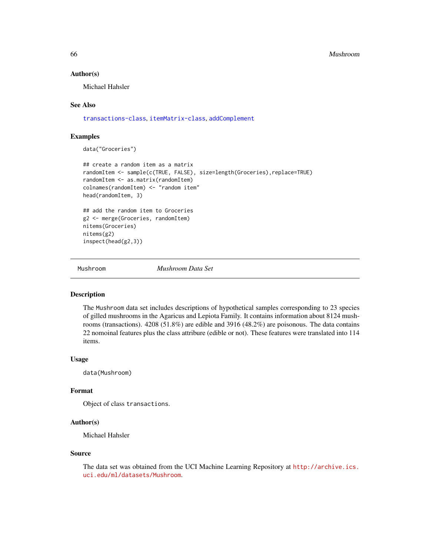#### 66 Mushroom

#### Author(s)

Michael Hahsler

## See Also

[transactions-class](#page-88-0), [itemMatrix-class](#page-55-0), [addComplement](#page-3-0)

# Examples

data("Groceries")

```
## create a random item as a matrix
randomItem <- sample(c(TRUE, FALSE), size=length(Groceries),replace=TRUE)
randomItem <- as.matrix(randomItem)
colnames(randomItem) <- "random item"
head(randomItem, 3)
## add the random item to Groceries
g2 <- merge(Groceries, randomItem)
nitems(Groceries)
nitems(g2)
inspect(head(g2,3))
```
Mushroom *Mushroom Data Set*

#### Description

The Mushroom data set includes descriptions of hypothetical samples corresponding to 23 species of gilled mushrooms in the Agaricus and Lepiota Family. It contains information about 8124 mushrooms (transactions). 4208 (51.8%) are edible and 3916 (48.2%) are poisonous. The data contains 22 nomoinal features plus the class attribure (edible or not). These features were translated into 114 items.

#### Usage

data(Mushroom)

#### Format

Object of class transactions.

#### Author(s)

Michael Hahsler

#### Source

The data set was obtained from the UCI Machine Learning Repository at [http://archive.ics.](http://archive.ics.uci.edu/ml/datasets/Mushroom) [uci.edu/ml/datasets/Mushroom](http://archive.ics.uci.edu/ml/datasets/Mushroom).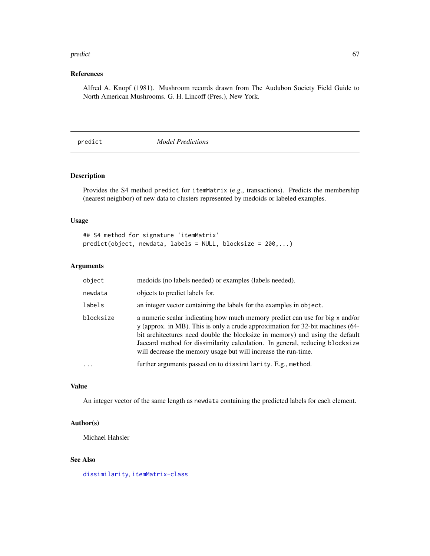#### predict 67

# References

Alfred A. Knopf (1981). Mushroom records drawn from The Audubon Society Field Guide to North American Mushrooms. G. H. Lincoff (Pres.), New York.

predict *Model Predictions*

# Description

Provides the S4 method predict for itemMatrix (e.g., transactions). Predicts the membership (nearest neighbor) of new data to clusters represented by medoids or labeled examples.

## Usage

## S4 method for signature 'itemMatrix' predict(object, newdata, labels = NULL, blocksize = 200,...)

# Arguments

| object    | medoids (no labels needed) or examples (labels needed).                                                                                                                                                                                                                                                                                                                                          |
|-----------|--------------------------------------------------------------------------------------------------------------------------------------------------------------------------------------------------------------------------------------------------------------------------------------------------------------------------------------------------------------------------------------------------|
| newdata   | objects to predict labels for.                                                                                                                                                                                                                                                                                                                                                                   |
| labels    | an integer vector containing the labels for the examples in object.                                                                                                                                                                                                                                                                                                                              |
| blocksize | a numeric scalar indicating how much memory predict can use for big x and/or<br>y (approx. in MB). This is only a crude approximation for 32-bit machines (64-<br>bit architectures need double the blocksize in memory) and using the default<br>Jaccard method for dissimilarity calculation. In general, reducing blocksize<br>will decrease the memory usage but will increase the run-time. |
| .         | further arguments passed on to dissimilarity. E.g., method.                                                                                                                                                                                                                                                                                                                                      |

# Value

An integer vector of the same length as newdata containing the predicted labels for each element.

#### Author(s)

Michael Hahsler

# See Also

[dissimilarity](#page-23-0), [itemMatrix-class](#page-55-0)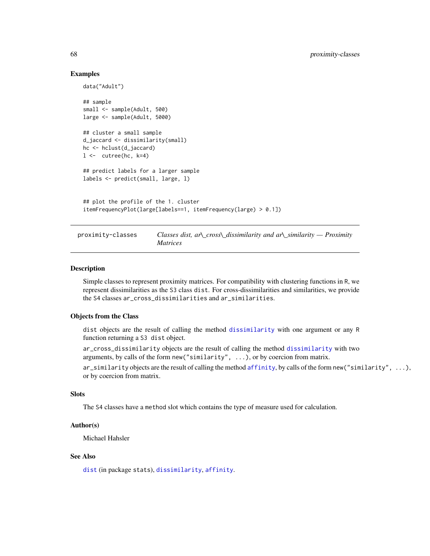### Examples

```
data("Adult")
## sample
small <- sample(Adult, 500)
large <- sample(Adult, 5000)
## cluster a small sample
d_jaccard <- dissimilarity(small)
hc <- hclust(d_jaccard)
l \leftarrow cutree(hc, k=4)
## predict labels for a larger sample
labels <- predict(small, large, l)
## plot the profile of the 1. cluster
itemFrequencyPlot(large[labels==1, itemFrequency(large) > 0.1])
```
proximity-classes *Classes dist, ar\\_cross\\_dissimilarity and ar\\_similarity — Proximity Matrices*

#### Description

Simple classes to represent proximity matrices. For compatibility with clustering functions in R, we represent dissimilarities as the S3 class dist. For cross-dissimilarities and similarities, we provide the S4 classes ar\_cross\_dissimilarities and ar\_similarities.

# Objects from the Class

dist objects are the result of calling the method [dissimilarity](#page-23-0) with one argument or any R function returning a S3 dist object.

ar\_cross\_dissimilarity objects are the result of calling the method [dissimilarity](#page-23-0) with two arguments, by calls of the form new("similarity", ...), or by coercion from matrix.

ar\_similarity objects are the result of calling the method [affinity](#page-6-0), by calls of the form new("similarity", ...), or by coercion from matrix.

### Slots

The S4 classes have a method slot which contains the type of measure used for calculation.

### Author(s)

Michael Hahsler

# See Also

[dist](#page-23-1) (in package stats), [dissimilarity](#page-23-0), [affinity](#page-6-0).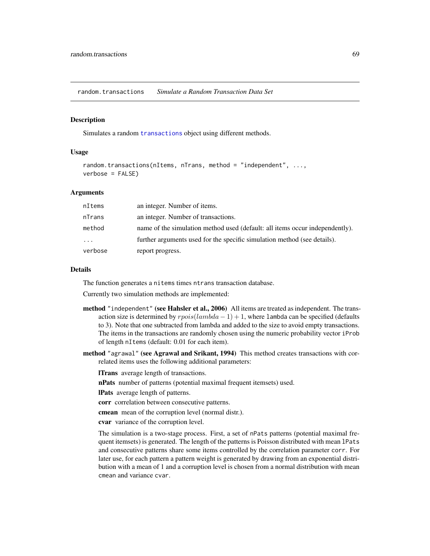random.transactions *Simulate a Random Transaction Data Set*

#### Description

Simulates a random [transactions](#page-88-0) object using different methods.

### Usage

```
random.transactions(nItems, nTrans, method = "independent", ...,
verbose = FALSE)
```
### Arguments

| nItems   | an integer. Number of items.                                                 |
|----------|------------------------------------------------------------------------------|
| nTrans   | an integer. Number of transactions.                                          |
| method   | name of the simulation method used (default: all items occur independently). |
| $\cdots$ | further arguments used for the specific simulation method (see details).     |
| verbose  | report progress.                                                             |

# Details

The function generates a nitems times ntrans transaction database.

Currently two simulation methods are implemented:

- method "independent" (see Hahsler et al., 2006) All items are treated as independent. The transaction size is determined by  $rpois(lambda - 1) + 1$ , where lambda can be specified (defaults to 3). Note that one subtracted from lambda and added to the size to avoid empty transactions. The items in the transactions are randomly chosen using the numeric probability vector iProb of length nItems (default: 0.01 for each item).
- method "agrawal" (see Agrawal and Srikant, 1994) This method creates transactions with correlated items uses the following additional parameters:

lTrans average length of transactions.

nPats number of patterns (potential maximal frequent itemsets) used.

lPats average length of patterns.

corr correlation between consecutive patterns.

cmean mean of the corruption level (normal distr.).

cvar variance of the corruption level.

The simulation is a two-stage process. First, a set of nPats patterns (potential maximal frequent itemsets) is generated. The length of the patterns is Poisson distributed with mean lPats and consecutive patterns share some items controlled by the correlation parameter corr. For later use, for each pattern a pattern weight is generated by drawing from an exponential distribution with a mean of 1 and a corruption level is chosen from a normal distribution with mean cmean and variance cvar.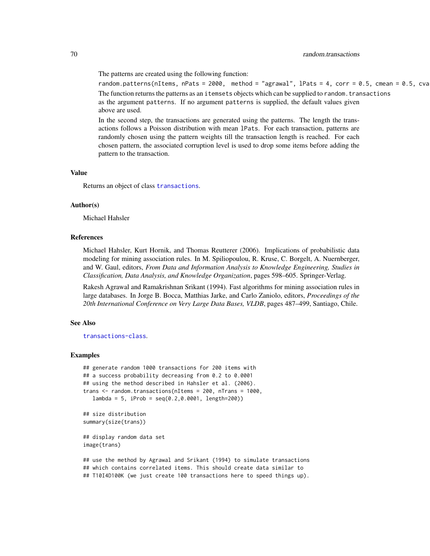The patterns are created using the following function:

```
random.patterns(nItems, nPats = 2000, method = "agrawal", lPats = 4, corr = 0.5, cmean = 0.5, cva
The function returns the patterns as an itemsets objects which can be supplied to random. transactions
as the argument patterns. If no argument patterns is supplied, the default values given
above are used.
```
In the second step, the transactions are generated using the patterns. The length the transactions follows a Poisson distribution with mean lPats. For each transaction, patterns are randomly chosen using the pattern weights till the transaction length is reached. For each chosen pattern, the associated corruption level is used to drop some items before adding the pattern to the transaction.

#### Value

Returns an object of class [transactions](#page-88-0).

#### Author(s)

Michael Hahsler

### References

Michael Hahsler, Kurt Hornik, and Thomas Reutterer (2006). Implications of probabilistic data modeling for mining association rules. In M. Spiliopoulou, R. Kruse, C. Borgelt, A. Nuernberger, and W. Gaul, editors, *From Data and Information Analysis to Knowledge Engineering, Studies in Classification, Data Analysis, and Knowledge Organization*, pages 598–605. Springer-Verlag.

Rakesh Agrawal and Ramakrishnan Srikant (1994). Fast algorithms for mining association rules in large databases. In Jorge B. Bocca, Matthias Jarke, and Carlo Zaniolo, editors, *Proceedings of the 20th International Conference on Very Large Data Bases, VLDB*, pages 487–499, Santiago, Chile.

## See Also

[transactions-class](#page-88-0).

#### Examples

```
## generate random 1000 transactions for 200 items with
## a success probability decreasing from 0.2 to 0.0001
## using the method described in Hahsler et al. (2006).
trans <- random.transactions(nItems = 200, nTrans = 1000,
  lambda = 5, iProb = seq(0.2, 0.0001, length=200)
```

```
## size distribution
summary(size(trans))
```

```
## display random data set
image(trans)
```
## use the method by Agrawal and Srikant (1994) to simulate transactions ## which contains correlated items. This should create data similar to ## T10I4D100K (we just create 100 transactions here to speed things up).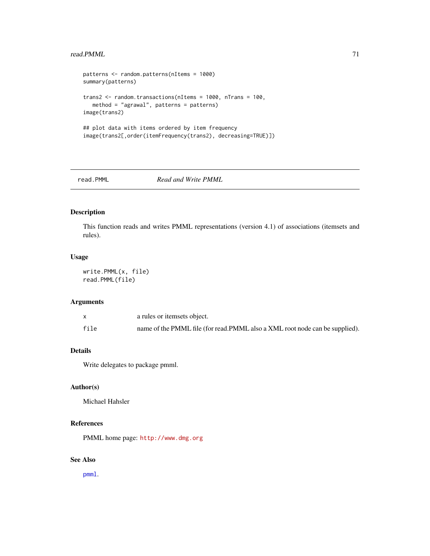## read.PMML 71

```
patterns <- random.patterns(nItems = 1000)
summary(patterns)
trans2 <- random.transactions(nItems = 1000, nTrans = 100,
  method = "agrawal", patterns = patterns)
image(trans2)
## plot data with items ordered by item frequency
image(trans2[,order(itemFrequency(trans2), decreasing=TRUE)])
```

```
read.PMML Read and Write PMML
```
# Description

This function reads and writes PMML representations (version 4.1) of associations (itemsets and rules).

#### Usage

write.PMML(x, file) read.PMML(file)

# Arguments

|      | a rules or itemsets object.                                                 |
|------|-----------------------------------------------------------------------------|
| file | name of the PMML file (for read.PMML also a XML root node can be supplied). |

### Details

Write delegates to package pmml.

# Author(s)

Michael Hahsler

# References

PMML home page: <http://www.dmg.org>

# See Also

[pmml](#page-0-0).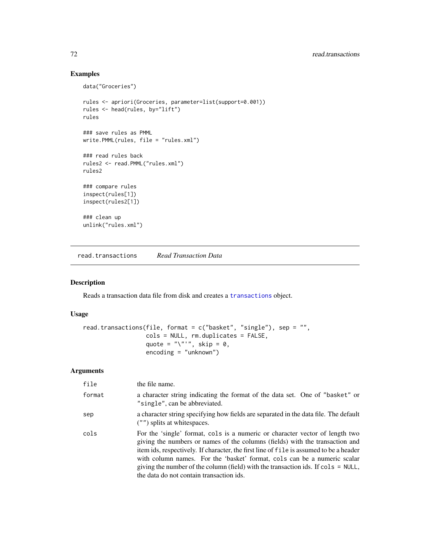# Examples

```
data("Groceries")
rules <- apriori(Groceries, parameter=list(support=0.001))
rules <- head(rules, by="lift")
rules
### save rules as PMML
write.PMML(rules, file = "rules.xml")
### read rules back
rules2 <- read.PMML("rules.xml")
rules2
### compare rules
inspect(rules[1])
inspect(rules2[1])
### clean up
unlink("rules.xml")
```
read.transactions *Read Transaction Data*

# Description

Reads a transaction data file from disk and creates a [transactions](#page-88-0) object.

# Usage

```
read.transactions(file, format = c("basket", "single"), sep = "",cols = NULL, rm.duplicates = FALSE,
                  quote = "\rangle"''", skip = 0,
                  encoding = "unknown")
```
# Arguments

| file   | the file name.                                                                                                                                                                                                                                                                                                                                                                                                                                                                       |
|--------|--------------------------------------------------------------------------------------------------------------------------------------------------------------------------------------------------------------------------------------------------------------------------------------------------------------------------------------------------------------------------------------------------------------------------------------------------------------------------------------|
| format | a character string indicating the format of the data set. One of "basket" or<br>"single", can be abbreviated.                                                                                                                                                                                                                                                                                                                                                                        |
| sep    | a character string specifying how fields are separated in the data file. The default<br>$($ "") splits at whitespaces.                                                                                                                                                                                                                                                                                                                                                               |
| cols   | For the 'single' format, cols is a numeric or character vector of length two<br>giving the numbers or names of the columns (fields) with the transaction and<br>item ids, respectively. If character, the first line of file is assumed to be a header<br>with column names. For the 'basket' format, cols can be a numeric scalar<br>giving the number of the column (field) with the transaction ids. If $\text{cols} = \text{NULL}$ ,<br>the data do not contain transaction ids. |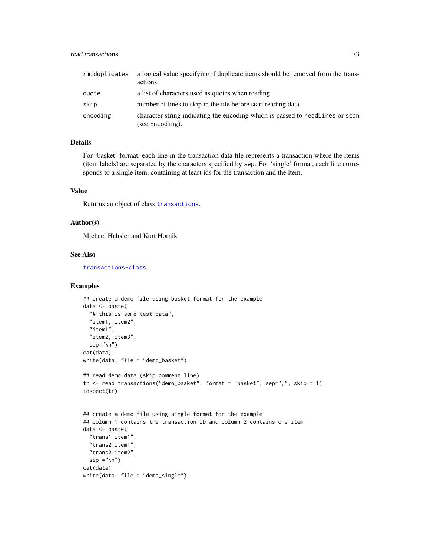<span id="page-72-0"></span>

| rm.duplicates | a logical value specifying if duplicate items should be removed from the trans-<br>actions.      |
|---------------|--------------------------------------------------------------------------------------------------|
| quote         | a list of characters used as quotes when reading.                                                |
| skip          | number of lines to skip in the file before start reading data.                                   |
| encoding      | character string indicating the encoding which is passed to readlines or scan<br>(see Encoding). |

# Details

For 'basket' format, each line in the transaction data file represents a transaction where the items (item labels) are separated by the characters specified by sep. For 'single' format, each line corresponds to a single item, containing at least ids for the transaction and the item.

#### Value

Returns an object of class [transactions](#page-88-0).

### Author(s)

Michael Hahsler and Kurt Hornik

# See Also

[transactions-class](#page-88-0)

```
## create a demo file using basket format for the example
data <- paste(
  "# this is some test data",
  "item1, item2",
  "item1",
  "item2, item3",
  sep="\n")
cat(data)
write(data, file = "demo_basket")
## read demo data (skip comment line)
tr <- read.transactions("demo_basket", format = "basket", sep=",", skip = 1)
inspect(tr)
## create a demo file using single format for the example
## column 1 contains the transaction ID and column 2 contains one item
data <- paste(
  "trans1 item1"
  "trans2 item1"
  "trans2 item2",
  sep ="\ln")
cat(data)
write(data, file = "demo_single")
```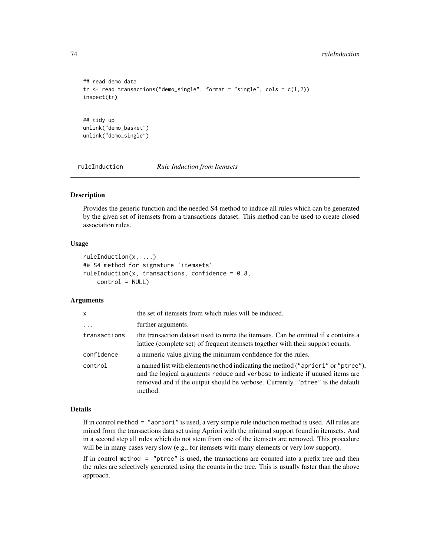```
## read demo data
tr < - read.transactions("demo_single", format = "single", cols = c(1,2))
inspect(tr)
## tidy up
unlink("demo_basket")
unlink("demo_single")
```
<span id="page-73-0"></span>ruleInduction *Rule Induction from Itemsets*

#### Description

Provides the generic function and the needed S4 method to induce all rules which can be generated by the given set of itemsets from a transactions dataset. This method can be used to create closed association rules.

# Usage

```
ruleInduction(x, ...)
## S4 method for signature 'itemsets'
ruleInduction(x, transactions, confidence = 0.8,control = NULL)
```
# Arguments

| x            | the set of itemsets from which rules will be induced.                                                                                                                                                                                                        |
|--------------|--------------------------------------------------------------------------------------------------------------------------------------------------------------------------------------------------------------------------------------------------------------|
| $\cdots$     | further arguments.                                                                                                                                                                                                                                           |
| transactions | the transaction dataset used to mine the itemsets. Can be omitted if x contains a<br>lattice (complete set) of frequent itemsets together with their support counts.                                                                                         |
| confidence   | a numeric value giving the minimum confidence for the rules.                                                                                                                                                                                                 |
| control      | a named list with elements method indicating the method ("apriori" or "ptree"),<br>and the logical arguments reduce and verbose to indicate if unused items are<br>removed and if the output should be verbose. Currently, "ptree" is the default<br>method. |

# Details

If in control method = "apriori" is used, a very simple rule induction method is used. All rules are mined from the transactions data set using Apriori with the minimal support found in itemsets. And in a second step all rules which do not stem from one of the itemsets are removed. This procedure will be in many cases very slow (e.g., for itemsets with many elements or very low support).

If in control method  $=$  "ptree" is used, the transactions are counted into a prefix tree and then the rules are selectively generated using the counts in the tree. This is usually faster than the above approach.

<span id="page-73-1"></span>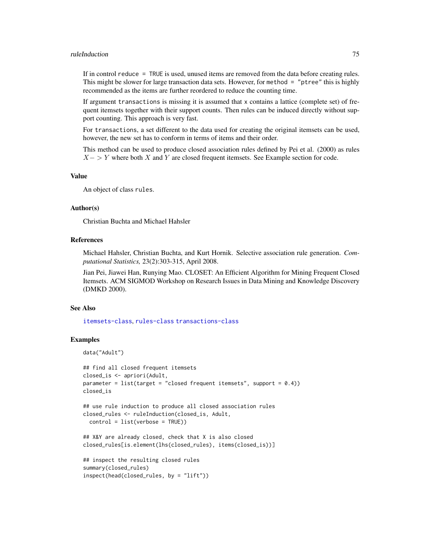#### ruleInduction 75

If in control reduce = TRUE is used, unused items are removed from the data before creating rules. This might be slower for large transaction data sets. However, for method = "ptree" this is highly recommended as the items are further reordered to reduce the counting time.

If argument transactions is missing it is assumed that x contains a lattice (complete set) of frequent itemsets together with their support counts. Then rules can be induced directly without support counting. This approach is very fast.

For transactions, a set different to the data used for creating the original itemsets can be used, however, the new set has to conform in terms of items and their order.

This method can be used to produce closed association rules defined by Pei et al. (2000) as rules  $X - \gt Y$  where both X and Y are closed frequent itemsets. See Example section for code.

#### Value

An object of class rules.

#### Author(s)

Christian Buchta and Michael Hahsler

# References

Michael Hahsler, Christian Buchta, and Kurt Hornik. Selective association rule generation. *Computational Statistics,* 23(2):303-315, April 2008.

Jian Pei, Jiawei Han, Runying Mao. CLOSET: An Efficient Algorithm for Mining Frequent Closed Itemsets. ACM SIGMOD Workshop on Research Issues in Data Mining and Knowledge Discovery (DMKD 2000).

#### See Also

[itemsets-class](#page-59-0), [rules-class](#page-75-0) [transactions-class](#page-88-0)

```
data("Adult")
## find all closed frequent itemsets
```

```
closed_is <- apriori(Adult,
parameter = list(target = "closed frequent itemsets", support = (0.4))
closed_is
```

```
## use rule induction to produce all closed association rules
closed_rules <- ruleInduction(closed_is, Adult,
 control = list(verbose = TRUE))
```

```
## X&Y are already closed, check that X is also closed
closed_rules[is.element(lhs(closed_rules), items(closed_is))]
```

```
## inspect the resulting closed rules
summary(closed_rules)
inspect(head(closed_rules, by = "lift"))
```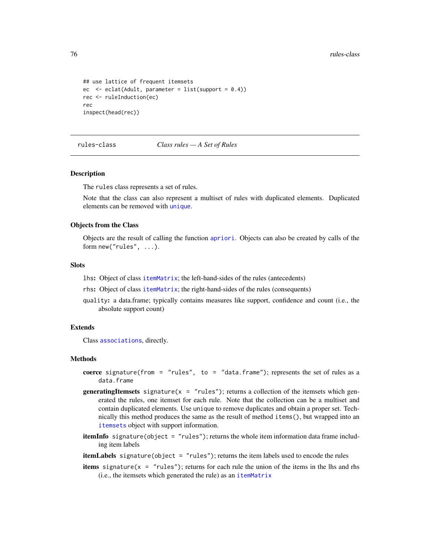```
## use lattice of frequent itemsets
ec \leq eclat(Adult, parameter = list(support = 0.4))
rec <- ruleInduction(ec)
rec
inspect(head(rec))
```
<span id="page-75-0"></span>rules-class *Class rules — A Set of Rules*

#### Description

The rules class represents a set of rules.

Note that the class can also represent a multiset of rules with duplicated elements. Duplicated elements can be removed with [unique](#page-92-0).

#### Objects from the Class

Objects are the result of calling the function [apriori](#page-9-0). Objects can also be created by calls of the form new("rules", ...).

#### **Slots**

- lhs: Object of class [itemMatrix](#page-55-0); the left-hand-sides of the rules (antecedents)
- rhs: Object of class [itemMatrix](#page-55-0); the right-hand-sides of the rules (consequents)
- quality: a data.frame; typically contains measures like support, confidence and count (i.e., the absolute support count)

# Extends

Class [associations](#page-14-0), directly.

#### Methods

- coerce signature(from = "rules", to = "data.frame"); represents the set of rules as a data.frame
- **generatingItemsets** signature( $x = "rules"$ ); returns a collection of the itemsets which generated the rules, one itemset for each rule. Note that the collection can be a multiset and contain duplicated elements. Use unique to remove duplicates and obtain a proper set. Technically this method produces the same as the result of method items(), but wrapped into an [itemsets](#page-59-0) object with support information.
- itemInfo signature(object = "rules"); returns the whole item information data frame including item labels
- itemLabels signature(object = "rules"); returns the item labels used to encode the rules
- **items** signature( $x = "rules")$ ; returns for each rule the union of the items in the lhs and rhs (i.e., the itemsets which generated the rule) as an [itemMatrix](#page-55-0)

<span id="page-75-1"></span>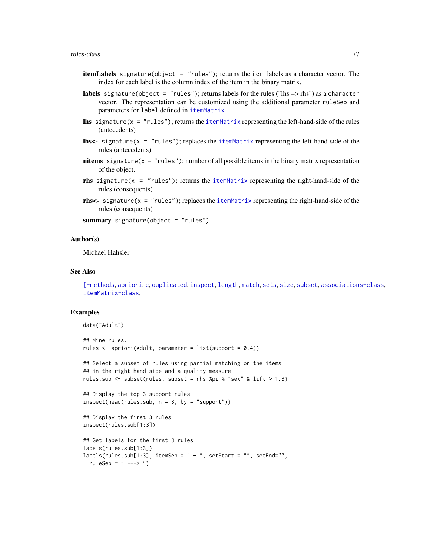- <span id="page-76-0"></span>itemLabels signature(object = "rules"); returns the item labels as a character vector. The index for each label is the column index of the item in the binary matrix.
- labels signature(object = "rules"); returns labels for the rules ("lhs => rhs") as a character vector. The representation can be customized using the additional parameter ruleSep and parameters for label defined in [itemMatrix](#page-55-0)
- **lhs** signature( $x = "rules"$ ); returns the [itemMatrix](#page-55-0) representing the left-hand-side of the rules (antecedents)
- **lhs<-** signature( $x = "rules"$ ); replaces the [itemMatrix](#page-55-0) representing the left-hand-side of the rules (antecedents)
- nitems signature( $x = "rules"$ ); number of all possible items in the binary matrix representation of the object.
- rhs signature( $x = "rules"$ ); returns the [itemMatrix](#page-55-0) representing the right-hand-side of the rules (consequents)
- rhs<- signature( $x = "rules"$ ); replaces the [itemMatrix](#page-55-0) representing the right-hand-side of the rules (consequents)

summary signature(object = "rules")

# Author(s)

Michael Hahsler

# See Also

[\[-methods](#page-96-0), [apriori](#page-9-0), [c](#page-15-0), [duplicated](#page-26-0), [inspect](#page-37-0), [length](#page-60-0), [match](#page-63-0), [sets](#page-78-0), [size](#page-79-0), [subset](#page-81-0), [associations-class](#page-14-0), [itemMatrix-class](#page-55-0),

```
data("Adult")
## Mine rules.
rules \leq apriori(Adult, parameter = list(support = 0.4))
## Select a subset of rules using partial matching on the items
## in the right-hand-side and a quality measure
rules.sub \le subset(rules, subset = rhs %pin% "sex" & lift > 1.3)
## Display the top 3 support rules
inspect(head(rules.sub, n = 3, by = "support"))## Display the first 3 rules
inspect(rules.sub[1:3])
## Get labels for the first 3 rules
labels(rules.sub[1:3])
labels(rules.sub[1:3], itemSep = " + ", setStart = "", setEnd="",
 ruleSep = " --- > "')
```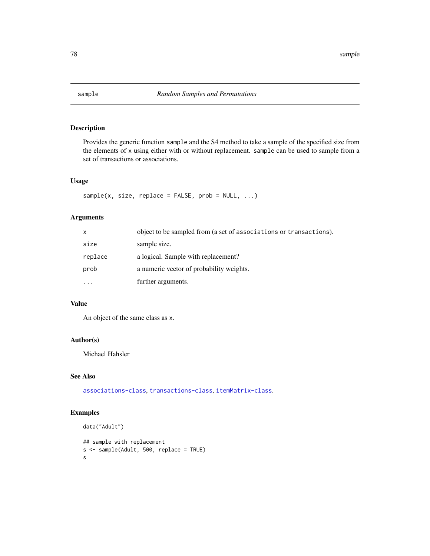<span id="page-77-0"></span>

# Description

Provides the generic function sample and the S4 method to take a sample of the specified size from the elements of x using either with or without replacement. sample can be used to sample from a set of transactions or associations.

# Usage

```
sample(x, size, replace = FALSE, prob = NULL, ...)
```
# Arguments

| X                 | object to be sampled from (a set of associations or transactions). |
|-------------------|--------------------------------------------------------------------|
| size              | sample size.                                                       |
| replace           | a logical. Sample with replacement?                                |
| prob              | a numeric vector of probability weights.                           |
| $\cdot\cdot\cdot$ | further arguments.                                                 |

# Value

An object of the same class as x.

# Author(s)

Michael Hahsler

# See Also

[associations-class](#page-14-0), [transactions-class](#page-88-0), [itemMatrix-class](#page-55-0).

```
data("Adult")
## sample with replacement
s <- sample(Adult, 500, replace = TRUE)
s
```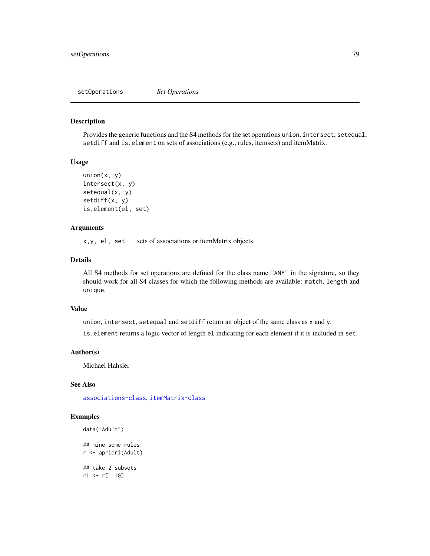<span id="page-78-1"></span>setOperations *Set Operations*

#### <span id="page-78-0"></span>Description

Provides the generic functions and the S4 methods for the set operations union, intersect, setequal, setdiff and is.element on sets of associations (e.g., rules, itemsets) and itemMatrix.

# Usage

```
union(x, y)intersect(x, y)
setequal(x, y)
setdiff(x, y)
is.element(el, set)
```
# Arguments

x, y, el, set sets of associations or itemMatrix objects.

# Details

All S4 methods for set operations are defined for the class name "ANY" in the signature, so they should work for all S4 classes for which the following methods are available: match, length and unique.

# Value

union, intersect, setequal and setdiff return an object of the same class as x and y.

is.element returns a logic vector of length el indicating for each element if it is included in set.

### Author(s)

Michael Hahsler

# See Also

[associations-class](#page-14-0), [itemMatrix-class](#page-55-0)

```
data("Adult")
```

```
## mine some rules
r <- apriori(Adult)
## take 2 subsets
r1 <- r[1:10]
```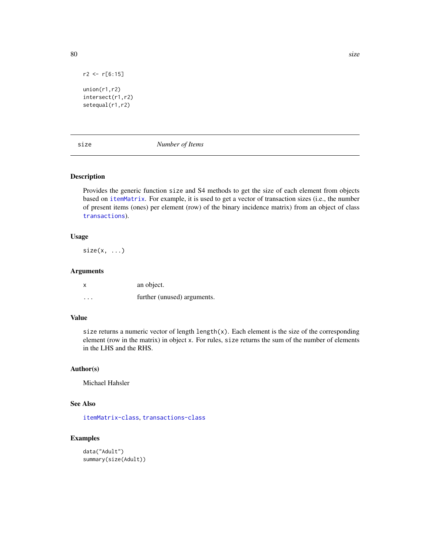r2 <- r[6:15] union(r1,r2) intersect(r1,r2) setequal(r1,r2)

<span id="page-79-0"></span>size *Number of Items*

### Description

Provides the generic function size and S4 methods to get the size of each element from objects based on [itemMatrix](#page-55-0). For example, it is used to get a vector of transaction sizes (i.e., the number of present items (ones) per element (row) of the binary incidence matrix) from an object of class [transactions](#page-88-0)).

# Usage

 $size(x, \ldots)$ 

# Arguments

| X        | an object.                  |
|----------|-----------------------------|
| $\cdots$ | further (unused) arguments. |

# Value

size returns a numeric vector of length  $\text{length}(x)$ . Each element is the size of the corresponding element (row in the matrix) in object x. For rules, size returns the sum of the number of elements in the LHS and the RHS.

#### Author(s)

Michael Hahsler

# See Also

[itemMatrix-class](#page-55-0), [transactions-class](#page-88-0)

```
data("Adult")
summary(size(Adult))
```
<span id="page-79-1"></span>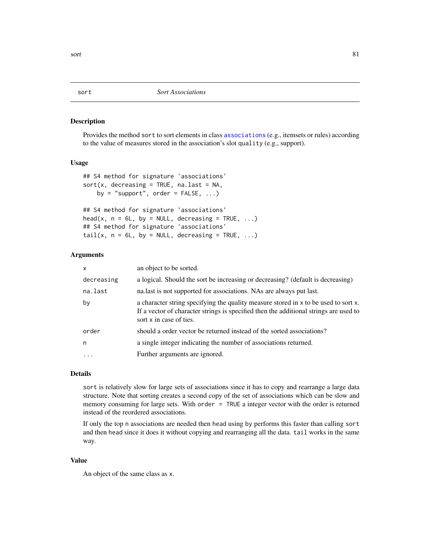<span id="page-80-0"></span>

#### Description

Provides the method sort to sort elements in class [associations](#page-14-0) (e.g., itemsets or rules) according to the value of measures stored in the association's slot quality (e.g., support).

# Usage

```
## S4 method for signature 'associations'
sort(x, decreasing = TRUE, na last = NA,by = "support", order = FALSE, ...)## S4 method for signature 'associations'
head(x, n = 6L, by = NULL, decreasing = TRUE, ...)## S4 method for signature 'associations'
tail(x, n = 6L, by = NULL, decreasing = TRUE, ...)
```
# Arguments

| x          | an object to be sorted.                                                                                                                                                                                 |
|------------|---------------------------------------------------------------------------------------------------------------------------------------------------------------------------------------------------------|
| decreasing | a logical. Should the sort be increasing or decreasing? (default is decreasing)                                                                                                                         |
| na.last    | nalast is not supported for associations. NAs are always put last.                                                                                                                                      |
| by         | a character string specifying the quality measure stored in x to be used to sort x.<br>If a vector of character strings is specified then the additional strings are used to<br>sort x in case of ties. |
| order      | should a order vector be returned instead of the sorted associations?                                                                                                                                   |
| n          | a single integer indicating the number of associations returned.                                                                                                                                        |
| $\ddots$ . | Further arguments are ignored.                                                                                                                                                                          |
|            |                                                                                                                                                                                                         |

# Details

sort is relatively slow for large sets of associations since it has to copy and rearrange a large data structure. Note that sorting creates a second copy of the set of associations which can be slow and memory consuming for large sets. With order = TRUE a integer vector with the order is returned instead of the reordered associations.

If only the top n associations are needed then head using by performs this faster than calling sort and then head since it does it without copying and rearranging all the data. tail works in the same way.

# Value

An object of the same class as x.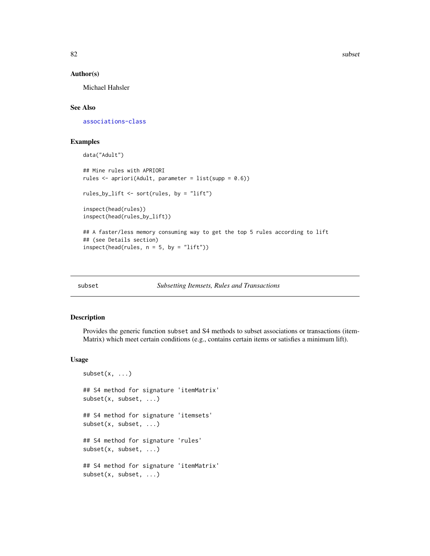82 subset and the subset of the subset of the subset of the subset of the subset of the subset of the subset of the subset of the subset of the subset of the subset of the subset of the subset of the subset of the subset o

#### Author(s)

Michael Hahsler

# See Also

[associations-class](#page-14-0)

#### Examples

```
data("Adult")
```

```
## Mine rules with APRIORI
rules \leq apriori(Adult, parameter = list(supp = 0.6))
rules_by_lift <- sort(rules, by = "lift")
inspect(head(rules))
inspect(head(rules_by_lift))
## A faster/less memory consuming way to get the top 5 rules according to lift
## (see Details section)
inspect(head(rules, n = 5, by = "lift"))
```
# <span id="page-81-0"></span>subset *Subsetting Itemsets, Rules and Transactions*

# Description

Provides the generic function subset and S4 methods to subset associations or transactions (item-Matrix) which meet certain conditions (e.g., contains certain items or satisfies a minimum lift).

#### Usage

```
subset(x, \ldots)## S4 method for signature 'itemMatrix'
subset(x, subset, ...)
## S4 method for signature 'itemsets'
subset(x, subset, ...)
## S4 method for signature 'rules'
subset(x, subset, ...)
## S4 method for signature 'itemMatrix'
subset(x, subset, ...)
```
<span id="page-81-1"></span>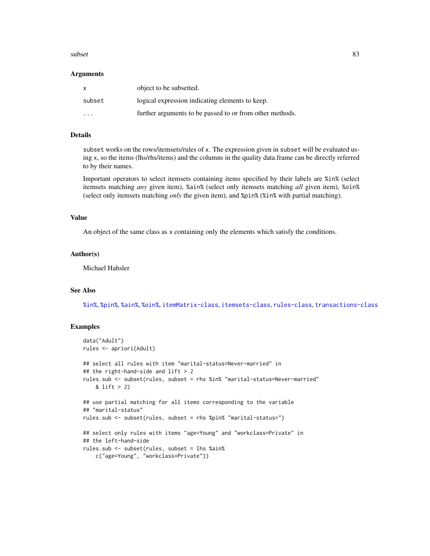#### <span id="page-82-0"></span>subset 83

#### Arguments

| $\mathsf{x}$            | object to be subsetted.                                  |
|-------------------------|----------------------------------------------------------|
| subset                  | logical expression indicating elements to keep.          |
| $\cdot$ $\cdot$ $\cdot$ | further arguments to be passed to or from other methods. |

# Details

subset works on the rows/itemsets/rules of x. The expression given in subset will be evaluated using x, so the items (lhs/rhs/items) and the columns in the quality data.frame can be directly referred to by their names.

Important operators to select itemsets containing items specified by their labels are %in% (select itemsets matching *any* given item), %ain% (select only itemsets matching *all* given item), %oin% (select only itemsets matching *only* the given item), and %pin% (%in% with partial matching).

# Value

An object of the same class as x containing only the elements which satisfy the conditions.

# Author(s)

Michael Hahsler

#### See Also

[%in%](#page-63-1), [%pin%](#page-63-1), [%ain%](#page-63-1), [%oin%](#page-63-1), [itemMatrix-class](#page-55-0), [itemsets-class](#page-59-0), [rules-class](#page-75-0), [transactions-class](#page-88-0)

```
data("Adult")
rules <- apriori(Adult)
## select all rules with item "marital-status=Never-married" in
## the right-hand-side and lift > 2
rules.sub <- subset(rules, subset = rhs %in% "marital-status=Never-married"
   & lift > 2)
## use partial matching for all items corresponding to the variable
## "marital-status"
rules.sub <- subset(rules, subset = rhs %pin% "marital-status=")
## select only rules with items "age=Young" and "workclass=Private" in
## the left-hand-side
rules.sub <- subset(rules, subset = lhs %ain%
    c("age=Young", "workclass=Private"))
```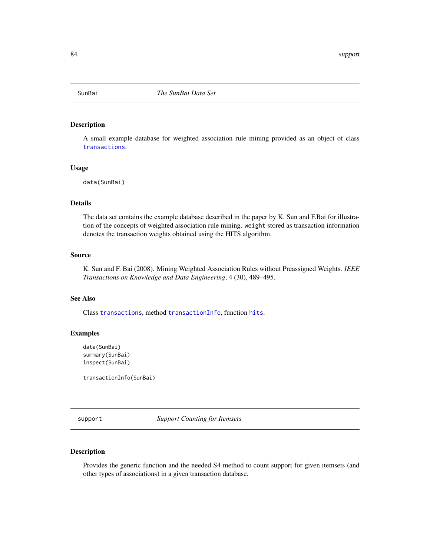<span id="page-83-0"></span>

# Description

A small example database for weighted association rule mining provided as an object of class [transactions](#page-88-1).

#### Usage

data(SunBai)

#### Details

The data set contains the example database described in the paper by K. Sun and F.Bai for illustration of the concepts of weighted association rule mining. weight stored as transaction information denotes the transaction weights obtained using the HITS algorithm.

#### Source

K. Sun and F. Bai (2008). Mining Weighted Association Rules without Preassigned Weights. *IEEE Transactions on Knowledge and Data Engineering*, 4 (30), 489–495.

#### See Also

Class [transactions](#page-88-1), method [transactionInfo](#page-88-1), function [hits](#page-32-0).

#### Examples

```
data(SunBai)
summary(SunBai)
inspect(SunBai)
```
transactionInfo(SunBai)

support *Support Counting for Itemsets*

# Description

Provides the generic function and the needed S4 method to count support for given itemsets (and other types of associations) in a given transaction database.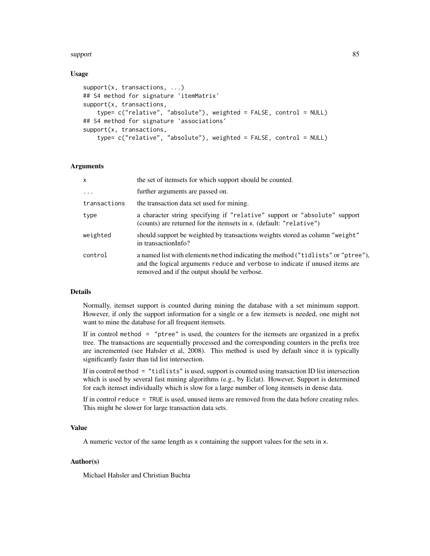#### support and the support of the state of the state of the state of the state of the state of the state of the state of the state of the state of the state of the state of the state of the state of the state of the state of

# Usage

```
support(x, transactions, ...)
## S4 method for signature 'itemMatrix'
support(x, transactions,
    type= c("relative", "absolute"), weighted = FALSE, control = NULL)
## S4 method for signature 'associations'
support(x, transactions,
    type= c("relative", "absolute"), weighted = FALSE, control = NULL)
```
#### Arguments

| $\mathsf{x}$ | the set of itemsets for which support should be counted.                                                                                                                                                         |
|--------------|------------------------------------------------------------------------------------------------------------------------------------------------------------------------------------------------------------------|
| .            | further arguments are passed on.                                                                                                                                                                                 |
| transactions | the transaction data set used for mining.                                                                                                                                                                        |
| type         | a character string specifying if "relative" support or "absolute" support<br>(counts) are returned for the itemsets in x. (default: "relative")                                                                  |
| weighted     | should support be weighted by transactions weights stored as column "weight"<br>in transactionInfo?                                                                                                              |
| control      | a named list with elements method indicating the method ("tidlists" or "ptree"),<br>and the logical arguments reduce and verbose to indicate if unused items are<br>removed and if the output should be verbose. |

#### Details

Normally, itemset support is counted during mining the database with a set minimum support. However, if only the support information for a single or a few itemsets is needed, one might not want to mine the database for all frequent itemsets.

If in control method = "ptree" is used, the counters for the itemsets are organized in a prefix tree. The transactions are sequentially processed and the corresponding counters in the prefix tree are incremented (see Hahsler et al, 2008). This method is used by default since it is typically significantly faster than tid list intersection.

If in control method = "tidlists" is used, support is counted using transaction ID list intersection which is used by several fast mining algorithms (e.g., by Eclat). However, Support is determined for each itemset individually which is slow for a large number of long itemsets in dense data.

If in control reduce = TRUE is used, unused items are removed from the data before creating rules. This might be slower for large transaction data sets.

#### Value

A numeric vector of the same length as x containing the support values for the sets in x.

# Author(s)

Michael Hahsler and Christian Buchta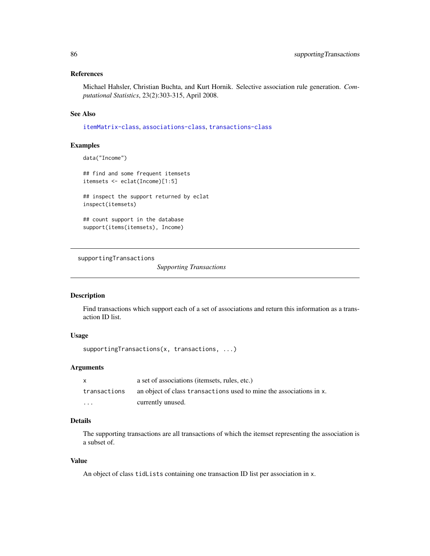# <span id="page-85-0"></span>References

Michael Hahsler, Christian Buchta, and Kurt Hornik. Selective association rule generation. *Computational Statistics*, 23(2):303-315, April 2008.

# See Also

[itemMatrix-class](#page-55-0), [associations-class](#page-14-0), [transactions-class](#page-88-0)

# Examples

data("Income")

## find and some frequent itemsets itemsets <- eclat(Income)[1:5]

## inspect the support returned by eclat inspect(itemsets)

## count support in the database support(items(itemsets), Income)

supportingTransactions

*Supporting Transactions*

# Description

Find transactions which support each of a set of associations and return this information as a transaction ID list.

# Usage

supportingTransactions(x, transactions, ...)

# Arguments

|              | a set of associations (itemsets, rules, etc.)                       |
|--------------|---------------------------------------------------------------------|
| transactions | an object of class transactions used to mine the associations in x. |
| $\cdots$     | currently unused.                                                   |

# Details

The supporting transactions are all transactions of which the itemset representing the association is a subset of.

# Value

An object of class tidLists containing one transaction ID list per association in x.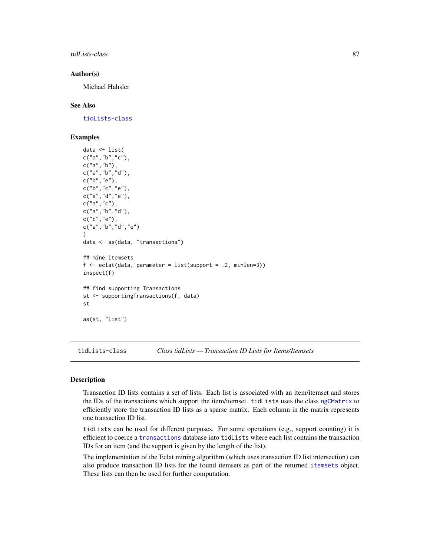<span id="page-86-1"></span>tidLists-class 87

#### Author(s)

Michael Hahsler

#### See Also

[tidLists-class](#page-86-0)

# Examples

```
data <- list(
c("a", "b", "c"),
c("a","b"),
c("a","b","d"),
c("b","e"),
c("b", "c", "e"),
c("a","d","e"),
c("a","c"),
c("a", "b", "d"),c("c","e"),
c("a","b","d","e")
)
data <- as(data, "transactions")
## mine itemsets
f \leftarrow \text{eclat}(data, parameter = list(support = .2, minlen=3))inspect(f)
## find supporting Transactions
st <- supportingTransactions(f, data)
st
as(st, "list")
```
<span id="page-86-0"></span>tidLists-class *Class tidLists — Transaction ID Lists for Items/Itemsets*

# Description

Transaction ID lists contains a set of lists. Each list is associated with an item/itemset and stores the IDs of the transactions which support the item/itemset. tidLists uses the class [ngCMatrix](#page-0-0) to efficiently store the transaction ID lists as a sparse matrix. Each column in the matrix represents one transaction ID list.

tidLists can be used for different purposes. For some operations (e.g., support counting) it is efficient to coerce a [transactions](#page-88-0) database into tidLists where each list contains the transaction IDs for an item (and the support is given by the length of the list).

The implementation of the Eclat mining algorithm (which uses transaction ID list intersection) can also produce transaction ID lists for the found itemsets as part of the returned [itemsets](#page-59-0) object. These lists can then be used for further computation.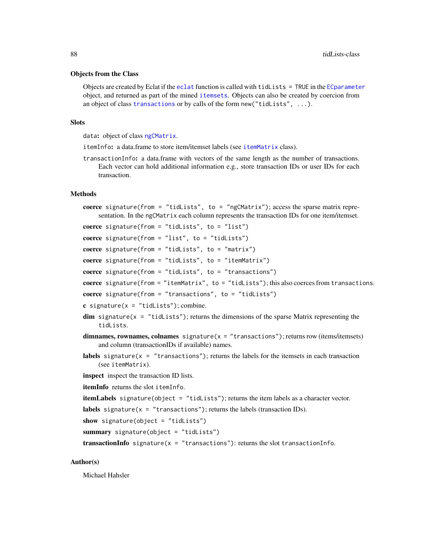#### <span id="page-87-0"></span>Objects from the Class

Objects are created by Eclat if the [eclat](#page-27-0) function is called with tidLists = TRUE in the [ECparameter](#page-12-0) object, and returned as part of the mined [itemsets](#page-59-0). Objects can also be created by coercion from an object of class [transactions](#page-88-0) or by calls of the form new("tidLists", ...).

#### **Slots**

data: object of class [ngCMatrix](#page-0-0).

- itemInfo: a data.frame to store item/itemset labels (see [itemMatrix](#page-55-0) class).
- transactionInfo: a data.frame with vectors of the same length as the number of transactions. Each vector can hold additional information e.g., store transaction IDs or user IDs for each transaction.

# Methods

```
coerce signature(from = "tidLists", to = "ngCMatrix"); access the sparse matrix repre-
    sentation. In the ngCMatrix each column represents the transaction IDs for one item/itemset.
```

```
coerce signature(from = "tidLists", to = "list")
```
coerce signature(from = "list", to = "tidLists")

coerce signature(from = "tidLists", to = "matrix")

coerce signature(from = "tidLists", to = "itemMatrix")

coerce signature(from = "tidLists", to = "transactions")

coerce signature(from  $=$  "itemMatrix", to  $=$  "tidLists"); this also coerces from transactions.

coerce signature(from = "transactions", to = "tidLists")

- c signature( $x =$  "tidLists"); combine.
- $dim$  signature( $x = "tidLists"$ ); returns the dimensions of the sparse Matrix representing the tidLists.
- dimnames, rownames, colnames signature( $x =$  "transactions"); returns row (items/itemsets) and column (transactionIDs if available) names.
- labels signature( $x =$  "transactions"); returns the labels for the itemsets in each transaction (see itemMatrix).
- inspect inspect the transaction ID lists.
- itemInfo returns the slot itemInfo.

```
itemLabels signature(object = "tidLists"); returns the item labels as a character vector.
```

```
labels signature(x = "transactions"); returns the labels (transaction IDs).
```

```
show signature(object = "tidLists")
```
summary signature(object = "tidLists")

transactionInfo signature( $x =$  "transactions"): returns the slot transactionInfo.

# Author(s)

Michael Hahsler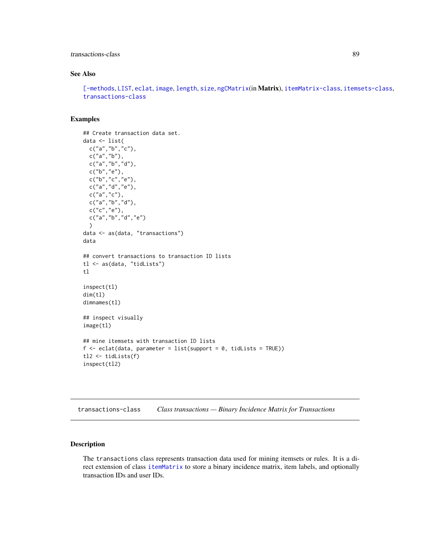# <span id="page-88-2"></span>transactions-class 89

# See Also

[\[-methods](#page-96-0), [LIST](#page-61-0), [eclat](#page-27-0), [image](#page-34-0), [length](#page-60-0), [size](#page-79-0), [ngCMatrix](#page-0-0)(in Matrix), [itemMatrix-class](#page-55-0), [itemsets-class](#page-59-0), [transactions-class](#page-88-0)

# Examples

```
## Create transaction data set.
data <- list(
 c("a", "b", "c"),
  c("a","b"),
  c("a","b","d"),
  c("b","e"),
  c("b", "c", "e"),
  c("a","d","e"),
  c("a","c"),
  c("a","b","d"),
  c("c", "e"),
  c("a","b","d","e")
  \lambdadata <- as(data, "transactions")
data
## convert transactions to transaction ID lists
tl <- as(data, "tidLists")
tl
inspect(tl)
dim(tl)
dimnames(tl)
## inspect visually
image(tl)
## mine itemsets with transaction ID lists
f \leftarrow eclat(data, parameter = list(support = 0, tidLists = TRUE))
tl2 <- tidLists(f)
inspect(tl2)
```
<span id="page-88-0"></span>transactions-class *Class transactions — Binary Incidence Matrix for Transactions*

# <span id="page-88-1"></span>Description

The transactions class represents transaction data used for mining itemsets or rules. It is a direct extension of class [itemMatrix](#page-55-0) to store a binary incidence matrix, item labels, and optionally transaction IDs and user IDs.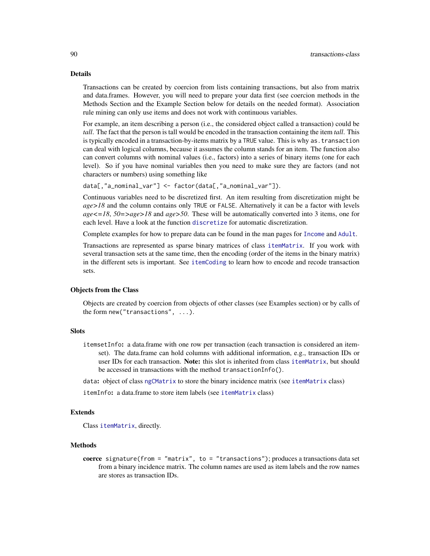#### Details

Transactions can be created by coercion from lists containing transactions, but also from matrix and data.frames. However, you will need to prepare your data first (see coercion methods in the Methods Section and the Example Section below for details on the needed format). Association rule mining can only use items and does not work with continuous variables.

For example, an item describing a person (i.e., the considered object called a transaction) could be *tall*. The fact that the person is tall would be encoded in the transaction containing the item *tall*. This is typically encoded in a transaction-by-items matrix by a TRUE value. This is why as.transaction can deal with logical columns, because it assumes the column stands for an item. The function also can convert columns with nominal values (i.e., factors) into a series of binary items (one for each level). So if you have nominal variables then you need to make sure they are factors (and not characters or numbers) using something like

data[,"a\_nominal\_var"] <- factor(data[,"a\_nominal\_var"]).

Continuous variables need to be discretized first. An item resulting from discretization might be *age>18* and the column contains only TRUE or FALSE. Alternatively it can be a factor with levels *age<=18*, *50=>age>18* and *age>50*. These will be automatically converted into 3 items, one for each level. Have a look at the function [discretize](#page-20-0) for automatic discretization.

Complete examples for how to prepare data can be found in the man pages for [Income](#page-35-0) and [Adult](#page-4-0).

Transactions are represented as sparse binary matrices of class [itemMatrix](#page-55-1). If you work with several transaction sets at the same time, then the encoding (order of the items in the binary matrix) in the different sets is important. See [itemCoding](#page-50-0) to learn how to encode and recode transaction sets.

#### Objects from the Class

Objects are created by coercion from objects of other classes (see Examples section) or by calls of the form new("transactions", ...).

#### **Slots**

itemsetInfo: a data.frame with one row per transaction (each transaction is considered an itemset). The data.frame can hold columns with additional information, e.g., transaction IDs or user IDs for each transaction. Note: this slot is inherited from class [itemMatrix](#page-55-0), but should be accessed in transactions with the method transactionInfo().

data: object of class [ngCMatrix](#page-0-0) to store the binary incidence matrix (see [itemMatrix](#page-55-0) class)

itemInfo: a data.frame to store item labels (see [itemMatrix](#page-55-0) class)

#### Extends

Class [itemMatrix](#page-55-0), directly.

# Methods

coerce signature(from = "matrix", to = "transactions"); produces a transactions data set from a binary incidence matrix. The column names are used as item labels and the row names are stores as transaction IDs.

<span id="page-89-0"></span>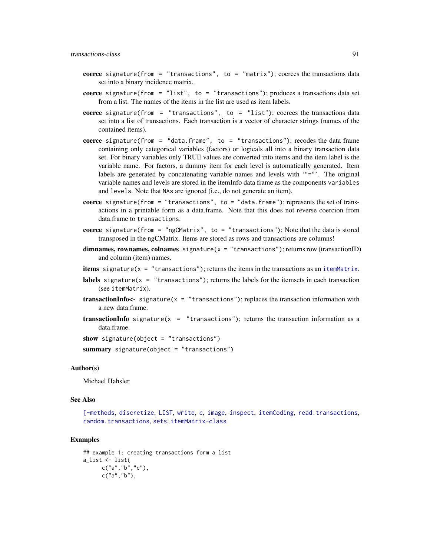#### <span id="page-90-0"></span>transactions-class 91

- coerce signature(from = "transactions", to = "matrix"); coerces the transactions data set into a binary incidence matrix.
- coerce signature(from = "list", to = "transactions"); produces a transactions data set from a list. The names of the items in the list are used as item labels.
- coerce signature(from = "transactions", to = "list"); coerces the transactions data set into a list of transactions. Each transaction is a vector of character strings (names of the contained items).
- coerce signature(from = "data.frame", to = "transactions"); recodes the data frame containing only categorical variables (factors) or logicals all into a binary transaction data set. For binary variables only TRUE values are converted into items and the item label is the variable name. For factors, a dummy item for each level is automatically generated. Item labels are generated by concatenating variable names and levels with '"="'. The original variable names and levels are stored in the itemInfo data frame as the components variables and levels. Note that NAs are ignored (i.e., do not generate an item).
- coerce signature(from = "transactions", to = "data.frame"); represents the set of transactions in a printable form as a data.frame. Note that this does not reverse coercion from data.frame to transactions.
- coerce signature(from = "ngCMatrix", to = "transactions"); Note that the data is stored transposed in the ngCMatrix. Items are stored as rows and transactions are columns!
- dimnames, rownames, colnames signature( $x =$  "transactions"); returns row (transactionID) and column (item) names.
- **items** signature( $x =$  "transactions"); returns the items in the transactions as an [itemMatrix](#page-55-0).
- **labels** signature( $x =$  "transactions"); returns the labels for the itemsets in each transaction (see itemMatrix).
- **transactionInfo<-** signature( $x =$  "transactions"); replaces the transaction information with a new data.frame.
- transactionInfo signature( $x =$  "transactions"); returns the transaction information as a data.frame.

show signature(object = "transactions")

summary signature(object = "transactions")

#### Author(s)

Michael Hahsler

#### See Also

[\[-methods](#page-96-0), [discretize](#page-20-0), [LIST](#page-61-0), [write](#page-94-0), [c](#page-15-0), [image](#page-34-0), [inspect](#page-37-0), [itemCoding](#page-50-0), [read.transactions](#page-71-0), [random.transactions](#page-68-0), [sets](#page-78-0), [itemMatrix-class](#page-55-0)

```
## example 1: creating transactions form a list
a_list <- list(
     c("a", "b", "c"),
      c("a", "b"),
```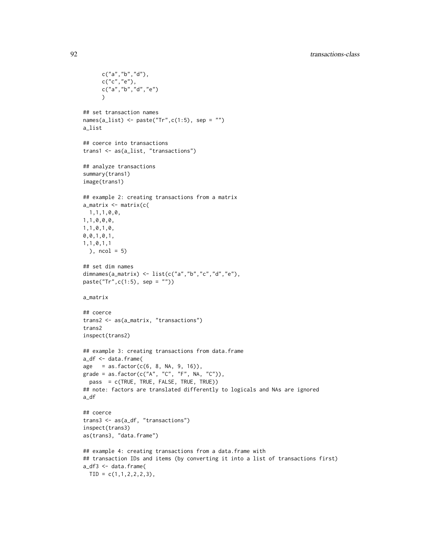```
c("a","b","d"),
      c("c", "e"),
      c("a","b","d","e")
      \lambda## set transaction names
names(a_list) <- paste("Tr",c(1:5), sep = "")
a_list
## coerce into transactions
trans1 <- as(a_list, "transactions")
## analyze transactions
summary(trans1)
image(trans1)
## example 2: creating transactions from a matrix
a_matrix <- matrix(c(
 1,1,1,0,0,
1,1,0,0,0,
1,1,0,1,0,
0,0,1,0,1,
1,1,0,1,1
 ), ncol = 5)
## set dim names
dimnames(a_matrix) <- list(c("a", "b", "c", "d", "e"),paste("Tr",c(1:5), sep = ""))
a_matrix
## coerce
trans2 <- as(a_matrix, "transactions")
trans2
inspect(trans2)
## example 3: creating transactions from data.frame
a_df <- data.frame(
age = as.factor(c(6, 8, NA, 9, 16)),grade = as.factor(c("A", "C", "F", NA, "C")),
 pass = c(TRUE, TRUE, FALSE, TRUE, TRUE))
## note: factors are translated differently to logicals and NAs are ignored
a_df
## coerce
trans3 <- as(a_df, "transactions")
inspect(trans3)
as(trans3, "data.frame")
## example 4: creating transactions from a data.frame with
## transaction IDs and items (by converting it into a list of transactions first)
a_df3 <- data.frame(
 TID = c(1, 1, 2, 2, 2, 3),
```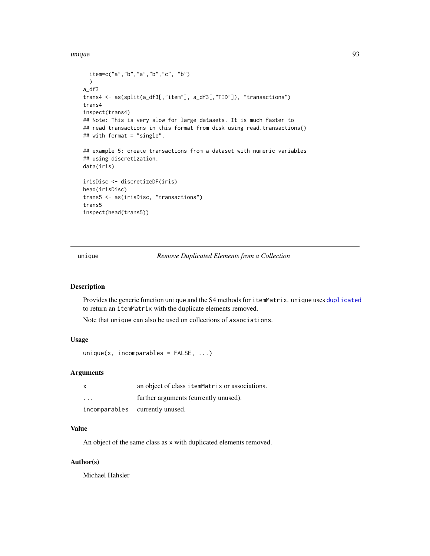<span id="page-92-1"></span>unique totale de la contradiction de la contradiction de la contradiction de la contradiction de la contradiction de la contradiction de la contradiction de la contradiction de la contradiction de la contradiction de la co

```
item=c("a","b","a","b","c", "b")
  )
a_df3
trans4 <- as(split(a_df3[,"item"], a_df3[,"TID"]), "transactions")
trans4
inspect(trans4)
## Note: This is very slow for large datasets. It is much faster to
## read transactions in this format from disk using read.transactions()
## with format = "single".
## example 5: create transactions from a dataset with numeric variables
## using discretization.
data(iris)
irisDisc <- discretizeDF(iris)
head(irisDisc)
trans5 <- as(irisDisc, "transactions")
trans5
inspect(head(trans5))
```
<span id="page-92-0"></span>unique *Remove Duplicated Elements from a Collection*

# Description

Provides the generic function unique and the S4 methods for itemMatrix. unique uses [duplicated](#page-26-0) to return an itemMatrix with the duplicate elements removed.

Note that unique can also be used on collections of associations.

# Usage

```
unique(x, incomparables = FALSE, ...)
```
#### Arguments

| $\boldsymbol{\mathsf{x}}$ | an object of class itemMatrix or associations. |
|---------------------------|------------------------------------------------|
| $\cdot$ $\cdot$ $\cdot$   | further arguments (currently unused).          |
|                           | incomparables currently unused.                |

# Value

An object of the same class as x with duplicated elements removed.

# Author(s)

Michael Hahsler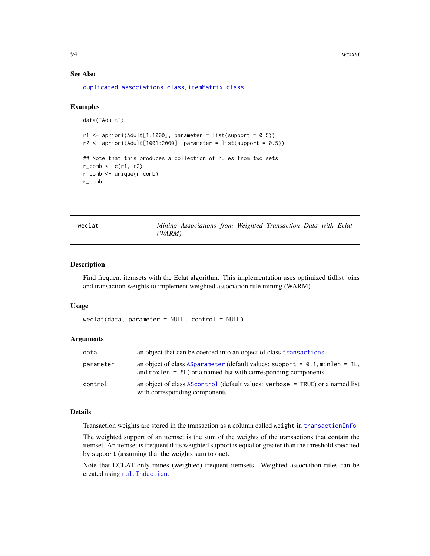94 weclat

#### See Also

[duplicated](#page-26-0), [associations-class](#page-14-0), [itemMatrix-class](#page-55-0)

#### Examples

```
data("Adult")
r1 \leq - apriori(Adult[1:1000], parameter = list(support = 0.5))
r2 \leq - apriori(Adult[1001:2000], parameter = list(support = 0.5))
## Note that this produces a collection of rules from two sets
r_{\text{1}} comb \leq r_{\text{2}} c(r1, r2)
r_comb <- unique(r_comb)
r_comb
```
weclat *Mining Associations from Weighted Transaction Data with Eclat (WARM)*

#### Description

Find frequent itemsets with the Eclat algorithm. This implementation uses optimized tidlist joins and transaction weights to implement weighted association rule mining (WARM).

#### Usage

```
weclat(data, parameter = NULL, control = NULL)
```
#### Arguments

| data      | an object that can be coerced into an object of class transactions.                                                                                 |
|-----------|-----------------------------------------------------------------------------------------------------------------------------------------------------|
| parameter | an object of class ASparameter (default values: support = $0.1$ , minlen = 1L,<br>and max len $= 5L$ or a named list with corresponding components. |
| control   | an object of class AScontrol (default values: verbose $=$ TRUE) or a named list<br>with corresponding components.                                   |

#### Details

Transaction weights are stored in the transaction as a column called weight in [transactionInfo](#page-88-1).

The weighted support of an itemset is the sum of the weights of the transactions that contain the itemset. An itemset is frequent if its weighted support is equal or greater than the threshold specified by support (assuming that the weights sum to one).

Note that ECLAT only mines (weighted) frequent itemsets. Weighted association rules can be created using [ruleInduction](#page-73-0).

<span id="page-93-0"></span>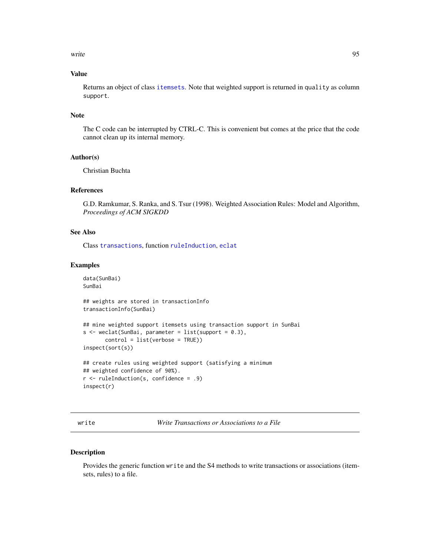<span id="page-94-2"></span>write the set of the set of the set of the set of the set of the set of the set of the set of the set of the set of the set of the set of the set of the set of the set of the set of the set of the set of the set of the set

# Value

Returns an object of class [itemsets](#page-59-1). Note that weighted support is returned in quality as column support.

# Note

The C code can be interrupted by CTRL-C. This is convenient but comes at the price that the code cannot clean up its internal memory.

### Author(s)

Christian Buchta

#### References

G.D. Ramkumar, S. Ranka, and S. Tsur (1998). Weighted Association Rules: Model and Algorithm, *Proceedings of ACM SIGKDD*

# See Also

Class [transactions](#page-88-1), function [ruleInduction](#page-73-0), [eclat](#page-27-0)

#### Examples

```
data(SunBai)
SunBai
```
## weights are stored in transactionInfo transactionInfo(SunBai)

```
## mine weighted support itemsets using transaction support in SunBai
s <- weclat(SunBai, parameter = list(support = 0.3),
      control = list(verbose = TRUE))
inspect(sort(s))
```
## create rules using weighted support (satisfying a minimum ## weighted confidence of 90%). r <- ruleInduction(s, confidence = .9) inspect(r)

<span id="page-94-0"></span>write *Write Transactions or Associations to a File*

#### <span id="page-94-1"></span>Description

Provides the generic function write and the S4 methods to write transactions or associations (itemsets, rules) to a file.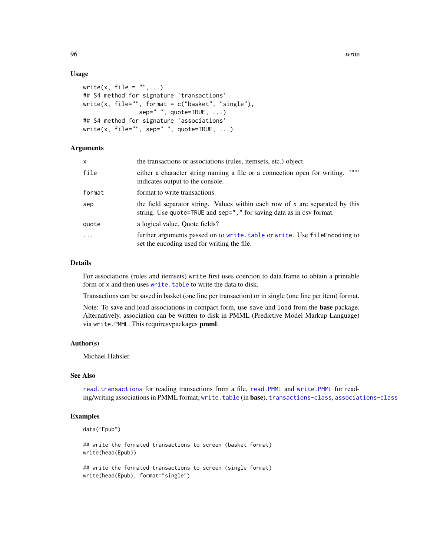# Usage

```
write(x, file = " " , ... )## S4 method for signature 'transactions'
write(x, file="", format = c("basket", "single"),
                sep=" ", quote=TRUE, ...)
## S4 method for signature 'associations'
write(x, file="", sep=" ", quote=TRUE, \ldots)
```
### **Arguments**

| x        | the transactions or associations (rules, itemsets, etc.) object.                                                                                      |
|----------|-------------------------------------------------------------------------------------------------------------------------------------------------------|
| file     | $, \ldots,$<br>either a character string naming a file or a connection open for writing.<br>indicates output to the console.                          |
| format   | format to write transactions.                                                                                                                         |
| sep      | the field separator string. Values within each row of x are separated by this<br>string. Use quote=TRUE and sep="," for saving data as in csv format. |
| quote    | a logical value. Quote fields?                                                                                                                        |
| $\cdots$ | further arguments passed on to write. table or write. Use file Encoding to<br>set the encoding used for writing the file.                             |

#### Details

For associations (rules and itemsets) write first uses coercion to data.frame to obtain a printable form of x and then uses [write.table](#page-94-1) to write the data to disk.

Transactions can be saved in basket (one line per transaction) or in single (one line per item) format.

Note: To save and load associations in compact form, use save and load from the base package. Alternatively, association can be written to disk in PMML (Predictive Model Markup Language) via write. PMML. This requiresvpackages pmml.

# Author(s)

Michael Hahsler

# See Also

[read.transactions](#page-71-0) for reading transactions from a file, [read.PMML](#page-70-0) and [write.PMML](#page-70-1) for reading/writing associations in PMML format, [write.table](#page-94-1) (in base), [transactions-class](#page-88-0), [associations-class](#page-14-0)

# Examples

```
data("Epub")
```
## write the formated transactions to screen (basket format) write(head(Epub))

## write the formated transactions to screen (single format) write(head(Epub), format="single")

<span id="page-95-0"></span>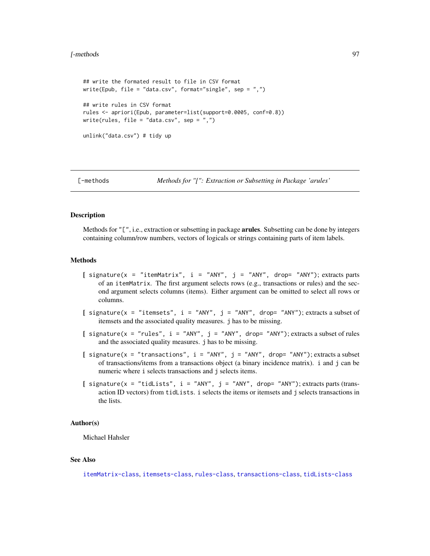#### <span id="page-96-1"></span>[-methods 97

```
## write the formated result to file in CSV format
write(Epub, file = "data.csv", format="single", sep = ",")
## write rules in CSV format
rules <- apriori(Epub, parameter=list(support=0.0005, conf=0.8))
write(rules, file = "data.csv", sep = ",")
unlink("data.csv") # tidy up
```
<span id="page-96-0"></span>

[-methods *Methods for "[": Extraction or Subsetting in Package 'arules'*

# Description

Methods for "[", i.e., extraction or subsetting in package **arules**. Subsetting can be done by integers containing column/row numbers, vectors of logicals or strings containing parts of item labels.

# Methods

- $[$  signature(x = "itemMatrix", i = "ANY", j = "ANY", drop= "ANY"); extracts parts of an itemMatrix. The first argument selects rows (e.g., transactions or rules) and the second argument selects columns (items). Either argument can be omitted to select all rows or columns.
- [ signature(x = "itemsets",  $i = "ANY"$ ,  $j = "ANY"$ , drop= "ANY"); extracts a subset of itemsets and the associated quality measures. j has to be missing.
- [ signature(x = "rules",  $i =$  "ANY",  $j =$  "ANY", drop= "ANY"); extracts a subset of rules and the associated quality measures. j has to be missing.
- [ signature(x = "transactions", i = "ANY", j = "ANY", drop= "ANY"); extracts a subset of transactions/items from a transactions object (a binary incidence matrix). i and j can be numeric where i selects transactions and j selects items.
- $\int$  signature(x = "tidLists", i = "ANY", j = "ANY", drop= "ANY"); extracts parts (transaction ID vectors) from tidLists. i selects the items or itemsets and j selects transactions in the lists.

# Author(s)

Michael Hahsler

#### See Also

[itemMatrix-class](#page-55-0), [itemsets-class](#page-59-0), [rules-class](#page-75-0), [transactions-class](#page-88-0), [tidLists-class](#page-86-0)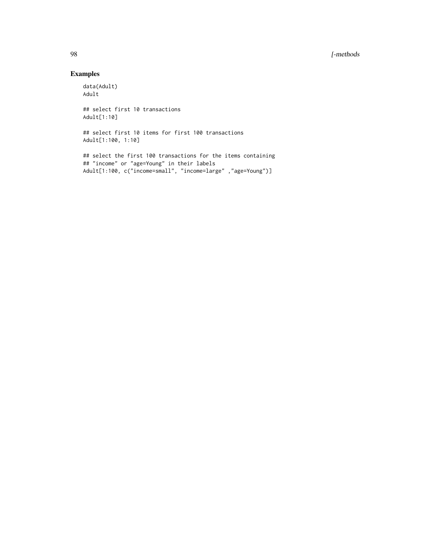# 98 [-methods

# Examples

data(Adult) Adult ## select first 10 transactions Adult[1:10]

## select first 10 items for first 100 transactions Adult[1:100, 1:10]

## select the first 100 transactions for the items containing ## "income" or "age=Young" in their labels Adult[1:100, c("income=small", "income=large" ,"age=Young")]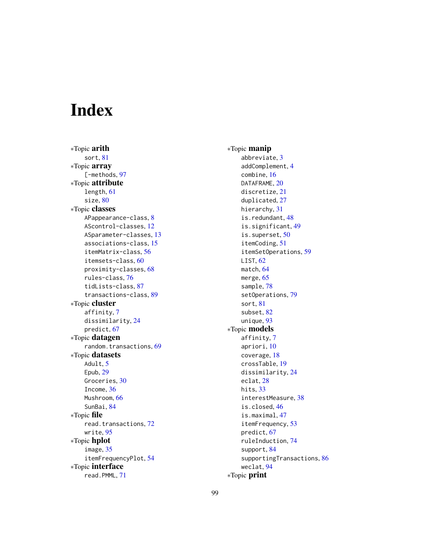# Index

∗Topic arith sort, [81](#page-80-0) ∗Topic array [-methods, [97](#page-96-1) ∗Topic attribute length, [61](#page-60-1) size, [80](#page-79-1) ∗Topic classes APappearance-class, [8](#page-7-0) AScontrol-classes, [12](#page-11-1) ASparameter-classes, [13](#page-12-1) associations-class, [15](#page-14-1) itemMatrix-class, [56](#page-55-2) itemsets-class, [60](#page-59-2) proximity-classes, [68](#page-67-0) rules-class, [76](#page-75-1) tidLists-class, [87](#page-86-1) transactions-class, [89](#page-88-2) ∗Topic cluster affinity, [7](#page-6-0) dissimilarity, [24](#page-23-0) predict, [67](#page-66-0) ∗Topic datagen random.transactions, [69](#page-68-1) ∗Topic datasets Adult, [5](#page-4-1) Epub, [29](#page-28-0) Groceries, [30](#page-29-0) Income, [36](#page-35-1) Mushroom, [66](#page-65-0) SunBai, [84](#page-83-0) ∗Topic file read.transactions, [72](#page-71-1) write, [95](#page-94-2) ∗Topic hplot image, [35](#page-34-1) itemFrequencyPlot, [54](#page-53-0) ∗Topic interface read.PMML, [71](#page-70-2)

∗Topic manip abbreviate, [3](#page-2-0) addComplement, [4](#page-3-0) combine, [16](#page-15-1) DATAFRAME, [20](#page-19-0) discretize, [21](#page-20-1) duplicated, [27](#page-26-1) hierarchy, [31](#page-30-0) is.redundant, [48](#page-47-0) is.significant, [49](#page-48-0) is.superset, [50](#page-49-0) itemCoding, [51](#page-50-1) itemSetOperations, [59](#page-58-0) LIST, [62](#page-61-1) match, [64](#page-63-2) merge, [65](#page-64-0) sample, [78](#page-77-0) setOperations, [79](#page-78-1) sort, [81](#page-80-0) subset, [82](#page-81-1) unique, [93](#page-92-1) ∗Topic models affinity, [7](#page-6-0) apriori, [10](#page-9-1) coverage, [18](#page-17-0) crossTable, [19](#page-18-0) dissimilarity, [24](#page-23-0) eclat, [28](#page-27-1) hits, [33](#page-32-1) interestMeasure, [38](#page-37-1) is.closed, [46](#page-45-0) is.maximal, [47](#page-46-0) itemFrequency, [53](#page-52-0) predict, [67](#page-66-0) ruleInduction, [74](#page-73-1) support, [84](#page-83-0) supportingTransactions, [86](#page-85-0) weclat, [94](#page-93-0) ∗Topic print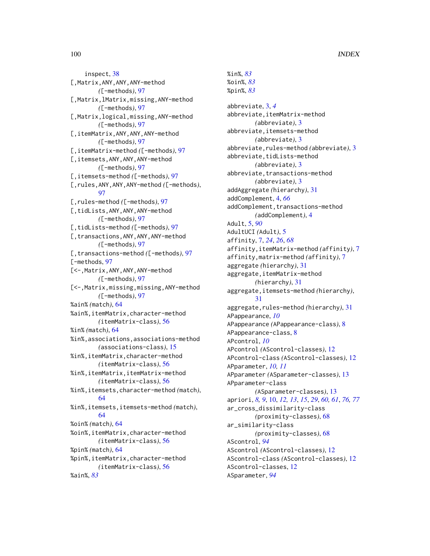inspect, [38](#page-37-1) [,Matrix,ANY,ANY,ANY-method *(*[-methods*)*, [97](#page-96-1) [,Matrix,lMatrix,missing,ANY-method *(*[-methods*)*, [97](#page-96-1) [,Matrix,logical,missing,ANY-method *(*[-methods*)*, [97](#page-96-1) [,itemMatrix,ANY,ANY,ANY-method *(*[-methods*)*, [97](#page-96-1) [,itemMatrix-method *(*[-methods*)*, [97](#page-96-1) [,itemsets,ANY,ANY,ANY-method *(*[-methods*)*, [97](#page-96-1) [,itemsets-method *(*[-methods*)*, [97](#page-96-1) [,rules,ANY,ANY,ANY-method *(*[-methods*)*, [97](#page-96-1) [,rules-method *(*[-methods*)*, [97](#page-96-1) [,tidLists,ANY,ANY,ANY-method *(*[-methods*)*, [97](#page-96-1) [,tidLists-method *(*[-methods*)*, [97](#page-96-1) [, transactions, ANY, ANY, ANY-method *(*[-methods*)*, [97](#page-96-1) [,transactions-method *(*[-methods*)*, [97](#page-96-1) [-methods, [97](#page-96-1) [<-,Matrix,ANY,ANY,ANY-method *(*[-methods*)*, [97](#page-96-1) [<-,Matrix,missing,missing,ANY-method *(*[-methods*)*, [97](#page-96-1) %ain% *(*match*)*, [64](#page-63-2) %ain%,itemMatrix,character-method *(*itemMatrix-class*)*, [56](#page-55-2) %in% *(*match*)*, [64](#page-63-2) %in%,associations,associations-method *(*associations-class*)*, [15](#page-14-1) %in%,itemMatrix,character-method *(*itemMatrix-class*)*, [56](#page-55-2) %in%,itemMatrix,itemMatrix-method *(*itemMatrix-class*)*, [56](#page-55-2) %in%,itemsets,character-method *(*match*)*, [64](#page-63-2) %in%,itemsets,itemsets-method *(*match*)*, [64](#page-63-2) %oin% *(*match*)*, [64](#page-63-2) %oin%,itemMatrix,character-method *(*itemMatrix-class*)*, [56](#page-55-2) %pin% *(*match*)*, [64](#page-63-2) %pin%,itemMatrix,character-method *(*itemMatrix-class*)*, [56](#page-55-2) %ain%, *[83](#page-82-0)*

%oin%, *[83](#page-82-0)* %pin%, *[83](#page-82-0)* abbreviate, [3,](#page-2-0) *[4](#page-3-0)* abbreviate,itemMatrix-method *(*abbreviate*)*, [3](#page-2-0) abbreviate,itemsets-method *(*abbreviate*)*, [3](#page-2-0) abbreviate,rules-method *(*abbreviate*)*, [3](#page-2-0) abbreviate, tidLists-method *(*abbreviate*)*, [3](#page-2-0) abbreviate, transactions-method *(*abbreviate*)*, [3](#page-2-0) addAggregate *(*hierarchy*)*, [31](#page-30-0) addComplement, [4,](#page-3-0) *[66](#page-65-0)* addComplement, transactions-method *(*addComplement*)*, [4](#page-3-0) Adult, [5,](#page-4-1) *[90](#page-89-0)* AdultUCI *(*Adult*)*, [5](#page-4-1) affinity, [7,](#page-6-0) *[24](#page-23-0)*, *[26](#page-25-0)*, *[68](#page-67-0)* affinity,itemMatrix-method *(*affinity*)*, [7](#page-6-0) affinity,matrix-method *(*affinity*)*, [7](#page-6-0) aggregate *(*hierarchy*)*, [31](#page-30-0) aggregate,itemMatrix-method *(*hierarchy*)*, [31](#page-30-0) aggregate,itemsets-method *(*hierarchy*)*, [31](#page-30-0) aggregate,rules-method *(*hierarchy*)*, [31](#page-30-0) APappearance, *[10](#page-9-1)* APappearance *(*APappearance-class*)*, [8](#page-7-0) APappearance-class, [8](#page-7-0) APcontrol, *[10](#page-9-1)* APcontrol *(*AScontrol-classes*)*, [12](#page-11-1) APcontrol-class *(*AScontrol-classes*)*, [12](#page-11-1) APparameter, *[10,](#page-9-1) [11](#page-10-0)* APparameter *(*ASparameter-classes*)*, [13](#page-12-1) APparameter-class *(*ASparameter-classes*)*, [13](#page-12-1) apriori, *[8,](#page-7-0) [9](#page-8-0)*, [10,](#page-9-1) *[12,](#page-11-1) [13](#page-12-1)*, *[15](#page-14-1)*, *[29](#page-28-0)*, *[60,](#page-59-2) [61](#page-60-1)*, *[76,](#page-75-1) [77](#page-76-0)* ar\_cross\_dissimilarity-class *(*proximity-classes*)*, [68](#page-67-0) ar\_similarity-class *(*proximity-classes*)*, [68](#page-67-0) AScontrol, *[94](#page-93-0)* AScontrol *(*AScontrol-classes*)*, [12](#page-11-1) AScontrol-class *(*AScontrol-classes*)*, [12](#page-11-1) AScontrol-classes, [12](#page-11-1) ASparameter, *[94](#page-93-0)*

%in%, *[83](#page-82-0)*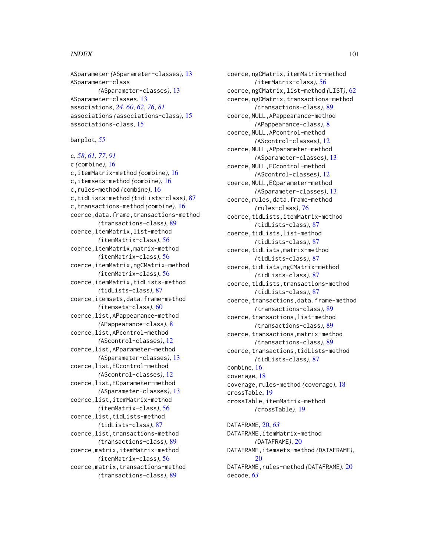#### $I$ NDEX  $101$

ASparameter *(*ASparameter-classes*)*, [13](#page-12-1) ASparameter-class *(*ASparameter-classes*)*, [13](#page-12-1) ASparameter-classes, [13](#page-12-1) associations, *[24](#page-23-0)*, *[60](#page-59-2)*, *[62](#page-61-1)*, *[76](#page-75-1)*, *[81](#page-80-0)* associations *(*associations-class*)*, [15](#page-14-1) associations-class, [15](#page-14-1)

barplot, *[55](#page-54-0)*

c, *[58](#page-57-0)*, *[61](#page-60-1)*, *[77](#page-76-0)*, *[91](#page-90-0)* c *(*combine*)*, [16](#page-15-1) c,itemMatrix-method *(*combine*)*, [16](#page-15-1) c,itemsets-method *(*combine*)*, [16](#page-15-1) c,rules-method *(*combine*)*, [16](#page-15-1) c,tidLists-method *(*tidLists-class*)*, [87](#page-86-1) c,transactions-method *(*combine*)*, [16](#page-15-1) coerce,data.frame,transactions-method *(*transactions-class*)*, [89](#page-88-2) coerce,itemMatrix,list-method *(*itemMatrix-class*)*, [56](#page-55-2) coerce,itemMatrix,matrix-method *(*itemMatrix-class*)*, [56](#page-55-2) coerce,itemMatrix,ngCMatrix-method *(*itemMatrix-class*)*, [56](#page-55-2) coerce,itemMatrix,tidLists-method *(*tidLists-class*)*, [87](#page-86-1) coerce,itemsets,data.frame-method *(*itemsets-class*)*, [60](#page-59-2) coerce,list,APappearance-method *(*APappearance-class*)*, [8](#page-7-0) coerce,list,APcontrol-method *(*AScontrol-classes*)*, [12](#page-11-1) coerce,list,APparameter-method *(*ASparameter-classes*)*, [13](#page-12-1) coerce,list,ECcontrol-method *(*AScontrol-classes*)*, [12](#page-11-1) coerce,list,ECparameter-method *(*ASparameter-classes*)*, [13](#page-12-1) coerce,list,itemMatrix-method *(*itemMatrix-class*)*, [56](#page-55-2) coerce,list,tidLists-method *(*tidLists-class*)*, [87](#page-86-1) coerce,list,transactions-method *(*transactions-class*)*, [89](#page-88-2) coerce,matrix,itemMatrix-method *(*itemMatrix-class*)*, [56](#page-55-2) coerce,matrix,transactions-method *(*transactions-class*)*, [89](#page-88-2)

coerce,ngCMatrix,itemMatrix-method *(*itemMatrix-class*)*, [56](#page-55-2) coerce,ngCMatrix,list-method *(*LIST*)*, [62](#page-61-1) coerce,ngCMatrix,transactions-method *(*transactions-class*)*, [89](#page-88-2) coerce,NULL,APappearance-method *(*APappearance-class*)*, [8](#page-7-0) coerce,NULL,APcontrol-method *(*AScontrol-classes*)*, [12](#page-11-1) coerce,NULL,APparameter-method *(*ASparameter-classes*)*, [13](#page-12-1) coerce,NULL,ECcontrol-method *(*AScontrol-classes*)*, [12](#page-11-1) coerce,NULL,ECparameter-method *(*ASparameter-classes*)*, [13](#page-12-1) coerce, rules, data.frame-method *(*rules-class*)*, [76](#page-75-1) coerce,tidLists,itemMatrix-method *(*tidLists-class*)*, [87](#page-86-1) coerce,tidLists,list-method *(*tidLists-class*)*, [87](#page-86-1) coerce,tidLists,matrix-method *(*tidLists-class*)*, [87](#page-86-1) coerce,tidLists,ngCMatrix-method *(*tidLists-class*)*, [87](#page-86-1) coerce,tidLists,transactions-method *(*tidLists-class*)*, [87](#page-86-1) coerce, transactions, data.frame-method *(*transactions-class*)*, [89](#page-88-2) coerce,transactions,list-method *(*transactions-class*)*, [89](#page-88-2) coerce,transactions,matrix-method *(*transactions-class*)*, [89](#page-88-2) coerce,transactions,tidLists-method *(*tidLists-class*)*, [87](#page-86-1) combine, [16](#page-15-1) coverage, [18](#page-17-0) coverage,rules-method *(*coverage*)*, [18](#page-17-0) crossTable, [19](#page-18-0) crossTable,itemMatrix-method *(*crossTable*)*, [19](#page-18-0)

DATAFRAME, [20,](#page-19-0) *[63](#page-62-0)* DATAFRAME,itemMatrix-method *(*DATAFRAME*)*, [20](#page-19-0) DATAFRAME,itemsets-method *(*DATAFRAME*)*,  $20$ DATAFRAME, rules-method *(DATAFRAME)*, [20](#page-19-0) decode, *[63](#page-62-0)*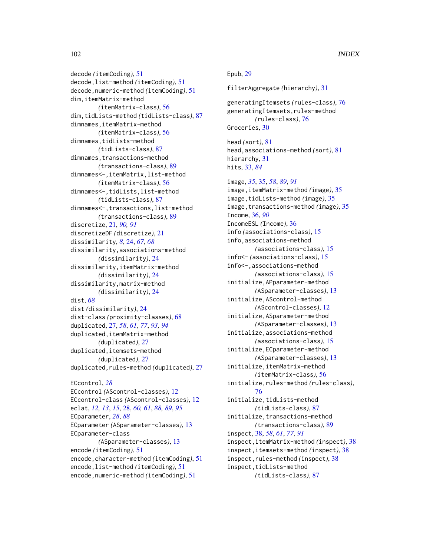decode *(*itemCoding*)*, [51](#page-50-1) decode,list-method *(*itemCoding*)*, [51](#page-50-1) decode,numeric-method *(*itemCoding*)*, [51](#page-50-1) dim,itemMatrix-method *(*itemMatrix-class*)*, [56](#page-55-2) dim,tidLists-method *(*tidLists-class*)*, [87](#page-86-1) dimnames,itemMatrix-method *(*itemMatrix-class*)*, [56](#page-55-2) dimnames,tidLists-method *(*tidLists-class*)*, [87](#page-86-1) dimnames, transactions-method *(*transactions-class*)*, [89](#page-88-2) dimnames<-,itemMatrix,list-method *(*itemMatrix-class*)*, [56](#page-55-2) dimnames<-,tidLists,list-method *(*tidLists-class*)*, [87](#page-86-1) dimnames<-,transactions,list-method *(*transactions-class*)*, [89](#page-88-2) discretize, [21,](#page-20-1) *[90,](#page-89-0) [91](#page-90-0)* discretizeDF *(*discretize*)*, [21](#page-20-1) dissimilarity, *[8](#page-7-0)*, [24,](#page-23-0) *[67,](#page-66-0) [68](#page-67-0)* dissimilarity,associations-method *(*dissimilarity*)*, [24](#page-23-0) dissimilarity,itemMatrix-method *(*dissimilarity*)*, [24](#page-23-0) dissimilarity,matrix-method *(*dissimilarity*)*, [24](#page-23-0) dist, *[68](#page-67-0)* dist *(*dissimilarity*)*, [24](#page-23-0) dist-class *(*proximity-classes*)*, [68](#page-67-0) duplicated, [27,](#page-26-1) *[58](#page-57-0)*, *[61](#page-60-1)*, *[77](#page-76-0)*, *[93,](#page-92-1) [94](#page-93-0)* duplicated,itemMatrix-method *(*duplicated*)*, [27](#page-26-1) duplicated,itemsets-method *(*duplicated*)*, [27](#page-26-1) duplicated,rules-method *(*duplicated*)*, [27](#page-26-1) ECcontrol, *[28](#page-27-1)* ECcontrol *(*AScontrol-classes*)*, [12](#page-11-1) ECcontrol-class *(*AScontrol-classes*)*, [12](#page-11-1) eclat, *[12,](#page-11-1) [13](#page-12-1)*, *[15](#page-14-1)*, [28,](#page-27-1) *[60,](#page-59-2) [61](#page-60-1)*, *[88,](#page-87-0) [89](#page-88-2)*, *[95](#page-94-2)* ECparameter, *[28](#page-27-1)*, *[88](#page-87-0)* ECparameter *(*ASparameter-classes*)*, [13](#page-12-1) ECparameter-class *(*ASparameter-classes*)*, [13](#page-12-1)

encode *(*itemCoding*)*, [51](#page-50-1)

encode,numeric-method *(*itemCoding*)*, [51](#page-50-1)

```
encode,character-method (itemCoding), 51
encode,list-method (itemCoding), 51
                                                Groceries, 30
                                                head (sort), 81
                                                head,associations-method (sort), 81
                                                hierarchy, 31
                                                hits, 33, 84
                                                image, 35, 35, 58, 89, 91
                                                image,itemMatrix-method (image), 35
                                                image,tidLists-method (image), 35
                                                image,transactions-method (image), 35
                                                Income, 36, 90
                                                IncomeESL (Income), 36
                                                info (associations-class), 15
                                                info,associations-method
                                                        (associations-class), 15
                                                info<- (associations-class), 15
                                                info<-,associations-method
                                                        (associations-class), 15
                                                initialize,APparameter-method
                                                        (ASparameter-classes), 13
                                                initialize,AScontrol-method
                                                        (AScontrol-classes), 12
                                                initialize,ASparameter-method
                                                        (ASparameter-classes), 13
                                                initialize,associations-method
                                                        (associations-class), 15
                                                initialize,ECparameter-method
                                                        (ASparameter-classes), 13
                                                initialize,itemMatrix-method
                                                        (itemMatrix-class), 56
                                                initialize,rules-method (rules-class),
                                                        76
                                                initialize,tidLists-method
                                                        (tidLists-class), 87
                                                initialize,transactions-method
                                                        (transactions-class), 89
                                                inspect, 38, 58, 61, 77, 91
                                                inspect,itemMatrix-method (inspect), 38
                                                inspect,itemsets-method (inspect), 38
                                                inspect,rules-method (inspect), 38
                                                inspect,tidLists-method
```
Epub, [29](#page-28-0)

filterAggregate *(*hierarchy*)*, [31](#page-30-0)

generatingItemsets *(*rules-class*)*, [76](#page-75-1) generatingItemsets,rules-method *(*rules-class*)*, [76](#page-75-1)

```
(tidLists-class), 87
```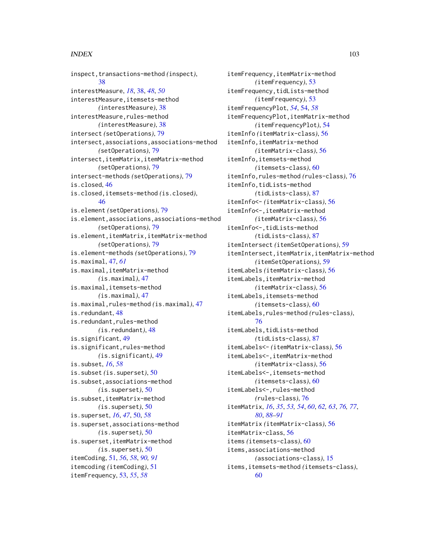#### INDEX  $103$

inspect,transactions-method *(*inspect*)*, [38](#page-37-1) interestMeasure, *[18](#page-17-0)*, [38,](#page-37-1) *[48](#page-47-0)*, *[50](#page-49-0)* interestMeasure,itemsets-method *(*interestMeasure*)*, [38](#page-37-1) interestMeasure, rules-method *(*interestMeasure*)*, [38](#page-37-1) intersect *(*setOperations*)*, [79](#page-78-1) intersect,associations,associations-method *(*setOperations*)*, [79](#page-78-1) intersect,itemMatrix,itemMatrix-method *(*setOperations*)*, [79](#page-78-1) intersect-methods *(*setOperations*)*, [79](#page-78-1) is.closed, [46](#page-45-0) is.closed,itemsets-method *(*is.closed*)*, [46](#page-45-0) is.element *(*setOperations*)*, [79](#page-78-1) is.element,associations,associations-method *(*setOperations*)*, [79](#page-78-1) is.element,itemMatrix,itemMatrix-method *(*setOperations*)*, [79](#page-78-1) is.element-methods *(*setOperations*)*, [79](#page-78-1) is.maximal, [47,](#page-46-0) *[61](#page-60-1)* is.maximal,itemMatrix-method *(*is.maximal*)*, [47](#page-46-0) is.maximal,itemsets-method *(*is.maximal*)*, [47](#page-46-0) is.maximal,rules-method *(*is.maximal*)*, [47](#page-46-0) is.redundant, [48](#page-47-0) is.redundant, rules-method *(*is.redundant*)*, [48](#page-47-0) is.significant, [49](#page-48-0) is.significant,rules-method *(*is.significant*)*, [49](#page-48-0) is.subset, *[16](#page-15-1)*, *[58](#page-57-0)* is.subset *(*is.superset*)*, [50](#page-49-0) is.subset,associations-method *(*is.superset*)*, [50](#page-49-0) is.subset,itemMatrix-method *(*is.superset*)*, [50](#page-49-0) is.superset, *[16](#page-15-1)*, *[47](#page-46-0)*, [50,](#page-49-0) *[58](#page-57-0)* is.superset,associations-method *(*is.superset*)*, [50](#page-49-0) is.superset,itemMatrix-method *(*is.superset*)*, [50](#page-49-0) itemCoding, [51,](#page-50-1) *[56](#page-55-2)*, *[58](#page-57-0)*, *[90,](#page-89-0) [91](#page-90-0)* itemcoding *(*itemCoding*)*, [51](#page-50-1) itemFrequency, [53,](#page-52-0) *[55](#page-54-0)*, *[58](#page-57-0)*

itemFrequency,itemMatrix-method *(*itemFrequency*)*, [53](#page-52-0) itemFrequency,tidLists-method *(*itemFrequency*)*, [53](#page-52-0) itemFrequencyPlot, *[54](#page-53-0)*, [54,](#page-53-0) *[58](#page-57-0)* itemFrequencyPlot,itemMatrix-method *(*itemFrequencyPlot*)*, [54](#page-53-0) itemInfo *(*itemMatrix-class*)*, [56](#page-55-2) itemInfo,itemMatrix-method *(*itemMatrix-class*)*, [56](#page-55-2) itemInfo,itemsets-method *(*itemsets-class*)*, [60](#page-59-2) itemInfo,rules-method *(*rules-class*)*, [76](#page-75-1) itemInfo,tidLists-method *(*tidLists-class*)*, [87](#page-86-1) itemInfo<- *(*itemMatrix-class*)*, [56](#page-55-2) itemInfo<-,itemMatrix-method *(*itemMatrix-class*)*, [56](#page-55-2) itemInfo<-,tidLists-method *(*tidLists-class*)*, [87](#page-86-1) itemIntersect *(*itemSetOperations*)*, [59](#page-58-0) itemIntersect,itemMatrix,itemMatrix-method *(*itemSetOperations*)*, [59](#page-58-0) itemLabels *(*itemMatrix-class*)*, [56](#page-55-2) itemLabels,itemMatrix-method *(*itemMatrix-class*)*, [56](#page-55-2) itemLabels,itemsets-method *(*itemsets-class*)*, [60](#page-59-2) itemLabels,rules-method *(*rules-class*)*, [76](#page-75-1) itemLabels,tidLists-method *(*tidLists-class*)*, [87](#page-86-1) itemLabels<- *(*itemMatrix-class*)*, [56](#page-55-2) itemLabels<-,itemMatrix-method *(*itemMatrix-class*)*, [56](#page-55-2) itemLabels<-,itemsets-method *(*itemsets-class*)*, [60](#page-59-2) itemLabels<-,rules-method *(*rules-class*)*, [76](#page-75-1) itemMatrix, *[16](#page-15-1)*, *[35](#page-34-1)*, *[53,](#page-52-0) [54](#page-53-0)*, *[60](#page-59-2)*, *[62,](#page-61-1) [63](#page-62-0)*, *[76,](#page-75-1) [77](#page-76-0)*, *[80](#page-79-1)*, *[88](#page-87-0)[–91](#page-90-0)* itemMatrix *(*itemMatrix-class*)*, [56](#page-55-2) itemMatrix-class, [56](#page-55-2) items *(*itemsets-class*)*, [60](#page-59-2) items,associations-method *(*associations-class*)*, [15](#page-14-1) items,itemsets-method *(*itemsets-class*)*, [60](#page-59-2)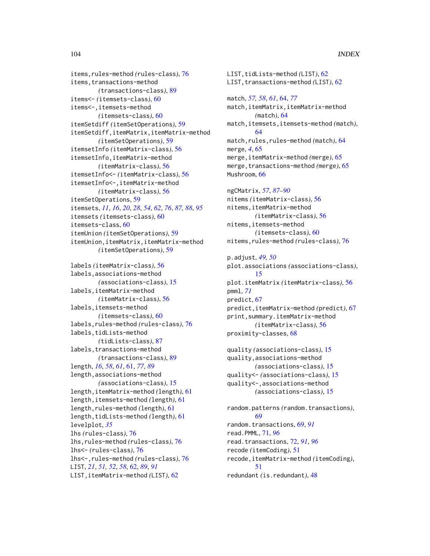```
items,rules-method (rules-class), 76
items,transactions-method
        (transactions-class), 89
items<- (itemsets-class), 60
items<-,itemsets-method
        (itemsets-class), 60
itemSetdiff (itemSetOperations), 59
itemSetdiff,itemMatrix,itemMatrix-method
        (itemSetOperations), 59
itemsetInfo (itemMatrix-class), 56
itemsetInfo,itemMatrix-method
        (itemMatrix-class), 56
itemsetInfo<- (itemMatrix-class), 56
itemsetInfo<-,itemMatrix-method
        (itemMatrix-class), 56
itemSetOperations, 59
itemsets, 11, 16, 20, 28, 54, 62, 76, 87, 88, 95
itemsets (itemsets-class), 60
itemsets-class, 60
itemUnion (itemSetOperations), 59
itemUnion,itemMatrix,itemMatrix-method
        (itemSetOperations), 59
labels (itemMatrix-class), 56
labels,associations-method
        (associations-class), 15
labels,itemMatrix-method
        (itemMatrix-class), 56
labels,itemsets-method
        (itemsets-class), 60
labels,rules-method (rules-class), 76
labels,tidLists-method
        (tidLists-class), 87
labels,transactions-method
        (transactions-class), 89
length, 16, 58, 61, 61, 77, 89
length,associations-method
        (associations-class), 15
length,itemMatrix-method (length), 61
length,itemsets-method (length), 61
length,rules-method (length), 61
length,tidLists-method (length), 61
levelplot, 35
lhs (rules-class), 76
lhs,rules-method (rules-class), 76
lhs<- (rules-class), 76
lhs<-,rules-method (rules-class), 76
LIST, 21, 51, 52, 58, 62, 89, 91
LIST,itemMatrix-method (LIST), 62
```

```
LIST,tidLists-method (LIST), 62
LIST,transactions-method (LIST), 62
match, 57, 58, 61, 64, 77
match,itemMatrix,itemMatrix-method
        (match), 64
match,itemsets,itemsets-method (match),
        64
match,rules,rules-method (match), 64
merge, 4, 65
merge,itemMatrix-method (merge), 65
merge,transactions-method (merge), 65
Mushroom, 66
ngCMatrix, 57, 87–90
nitems (itemMatrix-class), 56
nitems,itemMatrix-method
        (itemMatrix-class), 56
nitems,itemsets-method
        (itemsets-class), 60
nitems,rules-method (rules-class), 76
p.adjust, 49, 50
plot.associations (associations-class),
        15
plot.itemMatrix (itemMatrix-class), 56
pmml, 71
predict, 67
predict,itemMatrix-method (predict), 67
print,summary.itemMatrix-method
        (itemMatrix-class), 56
proximity-classes, 68
quality (associations-class), 15
quality,associations-method
        (associations-class), 15
quality<- (associations-class), 15
quality<-,associations-method
        (associations-class), 15
random.patterns (random.transactions),
        69
random.transactions, 69, 91
read.PMML, 71, 96
read.transactions, 72, 91, 96
recode (itemCoding), 51
recode,itemMatrix-method (itemCoding),
        51
redundant (is.redundant), 48
```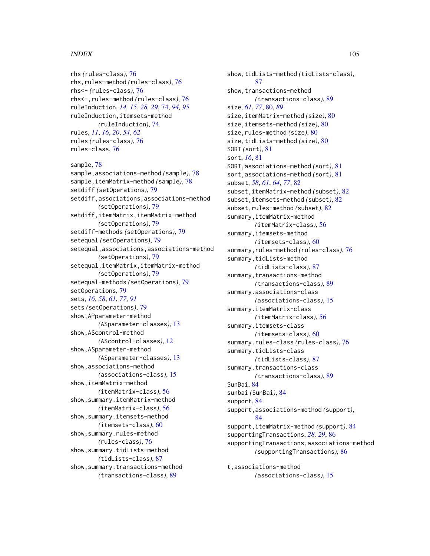# INDEX 105

rhs *(*rules-class*)*, [76](#page-75-1)

rhs<- *(*rules-class*)*, [76](#page-75-1)

rhs,rules-method *(*rules-class*)*, [76](#page-75-1)

rhs<-,rules-method *(*rules-class*)*, [76](#page-75-1) ruleInduction, *[14,](#page-13-0) [15](#page-14-1)*, *[28,](#page-27-1) [29](#page-28-0)*, [74,](#page-73-1) *[94,](#page-93-0) [95](#page-94-2)* ruleInduction,itemsets-method *(*ruleInduction*)*, [74](#page-73-1) rules, *[11](#page-10-0)*, *[16](#page-15-1)*, *[20](#page-19-0)*, *[54](#page-53-0)*, *[62](#page-61-1)* rules *(*rules-class*)*, [76](#page-75-1) rules-class, [76](#page-75-1) sample, [78](#page-77-0) sample,associations-method *(*sample*)*, [78](#page-77-0) sample,itemMatrix-method *(*sample*)*, [78](#page-77-0) setdiff *(*setOperations*)*, [79](#page-78-1) setdiff,associations,associations-method *(*setOperations*)*, [79](#page-78-1) setdiff,itemMatrix,itemMatrix-method *(*setOperations*)*, [79](#page-78-1) setdiff-methods *(*setOperations*)*, [79](#page-78-1) setequal *(*setOperations*)*, [79](#page-78-1) setequal,associations,associations-method *(*setOperations*)*, [79](#page-78-1) setequal,itemMatrix,itemMatrix-method *(*setOperations*)*, [79](#page-78-1) setequal-methods *(*setOperations*)*, [79](#page-78-1) setOperations, [79](#page-78-1) sets, *[16](#page-15-1)*, *[58](#page-57-0)*, *[61](#page-60-1)*, *[77](#page-76-0)*, *[91](#page-90-0)* sets *(*setOperations*)*, [79](#page-78-1) show,APparameter-method *(*ASparameter-classes*)*, [13](#page-12-1) show,AScontrol-method *(*AScontrol-classes*)*, [12](#page-11-1) show,ASparameter-method *(*ASparameter-classes*)*, [13](#page-12-1) show,associations-method *(*associations-class*)*, [15](#page-14-1) show,itemMatrix-method *(*itemMatrix-class*)*, [56](#page-55-2) show,summary.itemMatrix-method *(*itemMatrix-class*)*, [56](#page-55-2) show,summary.itemsets-method *(*itemsets-class*)*, [60](#page-59-2) show, summary.rules-method *(*rules-class*)*, [76](#page-75-1) show,summary.tidLists-method *(*tidLists-class*)*, [87](#page-86-1) show, summary.transactions-method *(*transactions-class*)*, [89](#page-88-2)

show,tidLists-method *(*tidLists-class*)*, [87](#page-86-1) show,transactions-method *(*transactions-class*)*, [89](#page-88-2) size, *[61](#page-60-1)*, *[77](#page-76-0)*, [80,](#page-79-1) *[89](#page-88-2)* size,itemMatrix-method *(*size*)*, [80](#page-79-1) size,itemsets-method *(*size*)*, [80](#page-79-1) size,rules-method *(*size*)*, [80](#page-79-1) size,tidLists-method *(*size*)*, [80](#page-79-1) SORT *(*sort*)*, [81](#page-80-0) sort, *[16](#page-15-1)*, [81](#page-80-0) SORT,associations-method *(*sort*)*, [81](#page-80-0) sort,associations-method *(*sort*)*, [81](#page-80-0) subset, *[58](#page-57-0)*, *[61](#page-60-1)*, *[64](#page-63-2)*, *[77](#page-76-0)*, [82](#page-81-1) subset,itemMatrix-method *(*subset*)*, [82](#page-81-1) subset,itemsets-method *(*subset*)*, [82](#page-81-1) subset,rules-method *(*subset*)*, [82](#page-81-1) summary,itemMatrix-method *(*itemMatrix-class*)*, [56](#page-55-2) summary,itemsets-method *(*itemsets-class*)*, [60](#page-59-2) summary,rules-method *(*rules-class*)*, [76](#page-75-1) summary,tidLists-method *(*tidLists-class*)*, [87](#page-86-1) summary,transactions-method *(*transactions-class*)*, [89](#page-88-2) summary.associations-class *(*associations-class*)*, [15](#page-14-1) summary.itemMatrix-class *(*itemMatrix-class*)*, [56](#page-55-2) summary.itemsets-class *(*itemsets-class*)*, [60](#page-59-2) summary.rules-class *(*rules-class*)*, [76](#page-75-1) summary.tidLists-class *(*tidLists-class*)*, [87](#page-86-1) summary.transactions-class *(*transactions-class*)*, [89](#page-88-2) SunBai, [84](#page-83-0) sunbai *(*SunBai*)*, [84](#page-83-0) support, [84](#page-83-0) support,associations-method *(*support*)*, [84](#page-83-0) support,itemMatrix-method *(*support*)*, [84](#page-83-0) supportingTransactions, *[28,](#page-27-1) [29](#page-28-0)*, [86](#page-85-0) supportingTransactions,associations-method *(*supportingTransactions*)*, [86](#page-85-0)

t,associations-method *(*associations-class*)*, [15](#page-14-1)